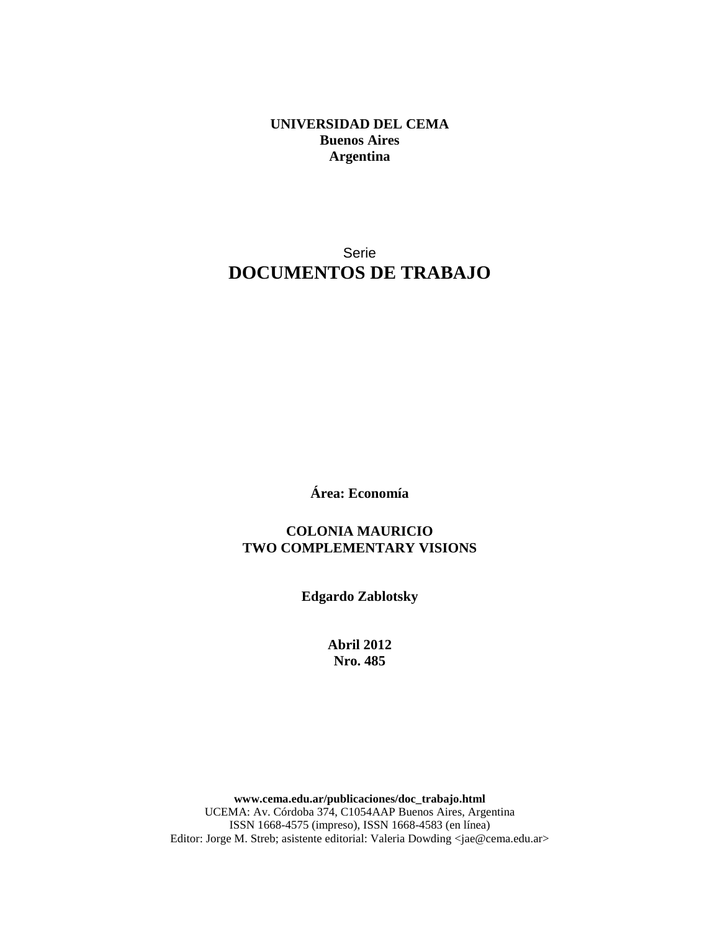**UNIVERSIDAD DEL CEMA Buenos Aires Argentina** 

## Serie **DOCUMENTOS DE TRABAJO**

**Área: Economía** 

**COLONIA MAURICIO TWO COMPLEMENTARY VISIONS** 

**Edgardo Zablotsky** 

**Abril 2012 Nro. 485** 

**www.cema.edu.ar/publicaciones/doc\_trabajo.html**  UCEMA: Av. Córdoba 374, C1054AAP Buenos Aires, Argentina ISSN 1668-4575 (impreso), ISSN 1668-4583 (en línea) Editor: Jorge M. Streb; asistente editorial: Valeria Dowding <jae@cema.edu.ar>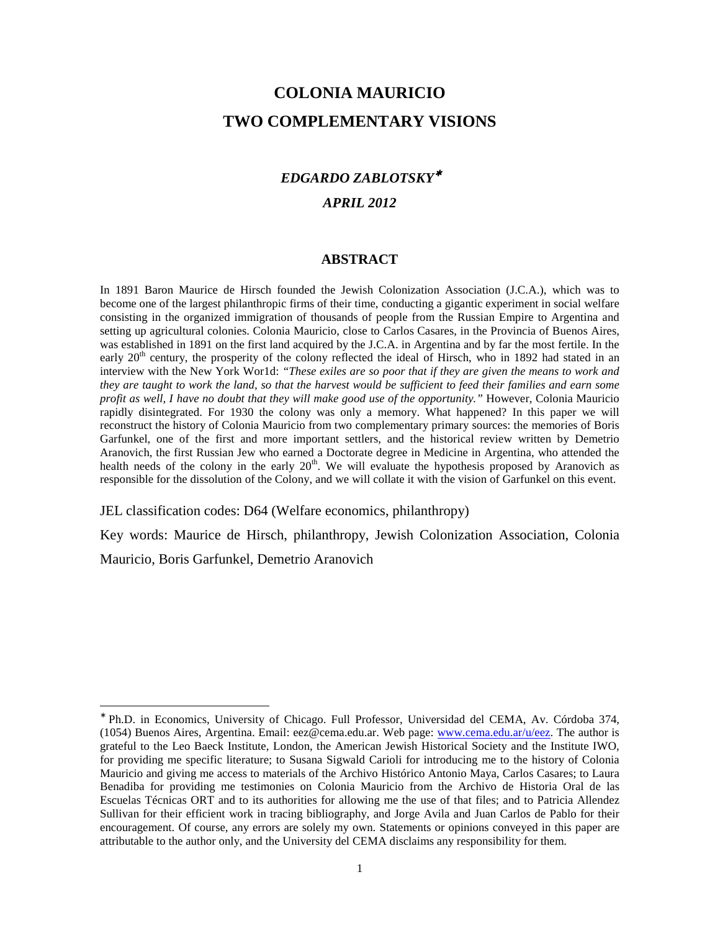# **COLONIA MAURICIO TWO COMPLEMENTARY VISIONS**

## *EDGARDO ZABLOTSKY*<sup>∗</sup>

## *APRIL 2012*

#### **ABSTRACT**

In 1891 Baron Maurice de Hirsch founded the Jewish Colonization Association (J.C.A.), which was to become one of the largest philanthropic firms of their time, conducting a gigantic experiment in social welfare consisting in the organized immigration of thousands of people from the Russian Empire to Argentina and setting up agricultural colonies. Colonia Mauricio, close to Carlos Casares, in the Provincia of Buenos Aires, was established in 1891 on the first land acquired by the J.C.A. in Argentina and by far the most fertile. In the early  $20<sup>th</sup>$  century, the prosperity of the colony reflected the ideal of Hirsch, who in 1892 had stated in an interview with the New York Wor1d: *"These exiles are so poor that if they are given the means to work and they are taught to work the land, so that the harvest would be sufficient to feed their families and earn some profit as well, I have no doubt that they will make good use of the opportunity.*" However, Colonia Mauricio rapidly disintegrated. For 1930 the colony was only a memory. What happened? In this paper we will reconstruct the history of Colonia Mauricio from two complementary primary sources: the memories of Boris Garfunkel, one of the first and more important settlers, and the historical review written by Demetrio Aranovich, the first Russian Jew who earned a Doctorate degree in Medicine in Argentina, who attended the health needs of the colony in the early 20<sup>th</sup>. We will evaluate the hypothesis proposed by Aranovich as responsible for the dissolution of the Colony, and we will collate it with the vision of Garfunkel on this event.

JEL classification codes: D64 (Welfare economics, philanthropy)

Key words: Maurice de Hirsch, philanthropy, Jewish Colonization Association, Colonia

Mauricio, Boris Garfunkel, Demetrio Aranovich

<sup>∗</sup> Ph.D. in Economics, University of Chicago. Full Professor, Universidad del CEMA, Av. Córdoba 374, (1054) Buenos Aires, Argentina. Email: eez@cema.edu.ar. Web page: www.cema.edu.ar/u/eez. The author is grateful to the Leo Baeck Institute, London, the American Jewish Historical Society and the Institute IWO, for providing me specific literature; to Susana Sigwald Carioli for introducing me to the history of Colonia Mauricio and giving me access to materials of the Archivo Histórico Antonio Maya, Carlos Casares; to Laura Benadiba for providing me testimonies on Colonia Mauricio from the Archivo de Historia Oral de las Escuelas Técnicas ORT and to its authorities for allowing me the use of that files; and to Patricia Allendez Sullivan for their efficient work in tracing bibliography, and Jorge Avila and Juan Carlos de Pablo for their encouragement. Of course, any errors are solely my own. Statements or opinions conveyed in this paper are attributable to the author only, and the University del CEMA disclaims any responsibility for them.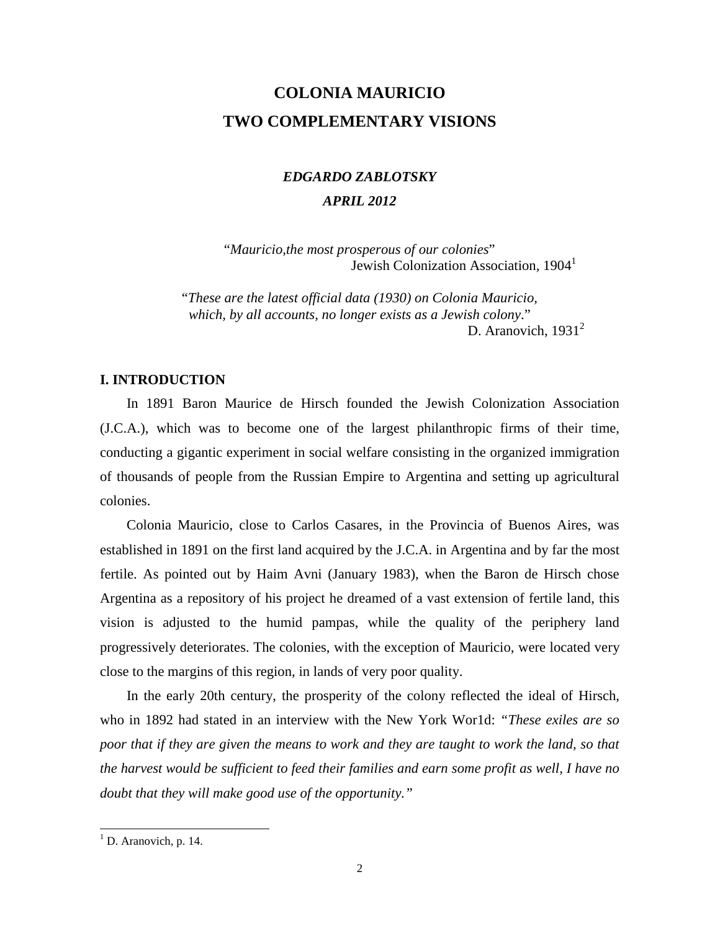# **COLONIA MAURICIO TWO COMPLEMENTARY VISIONS**

# *EDGARDO ZABLOTSKY APRIL 2012*

"*Mauricio,the most prosperous of our colonies*" Jewish Colonization Association*,* 1904<sup>1</sup>

"*These are the latest official data (1930) on Colonia Mauricio, which, by all accounts, no longer exists as a Jewish colony*." D. Aranovich,  $1931<sup>2</sup>$ 

## **I. INTRODUCTION**

In 1891 Baron Maurice de Hirsch founded the Jewish Colonization Association (J.C.A.), which was to become one of the largest philanthropic firms of their time, conducting a gigantic experiment in social welfare consisting in the organized immigration of thousands of people from the Russian Empire to Argentina and setting up agricultural colonies.

Colonia Mauricio, close to Carlos Casares, in the Provincia of Buenos Aires, was established in 1891 on the first land acquired by the J.C.A. in Argentina and by far the most fertile. As pointed out by Haim Avni (January 1983), when the Baron de Hirsch chose Argentina as a repository of his project he dreamed of a vast extension of fertile land, this vision is adjusted to the humid pampas, while the quality of the periphery land progressively deteriorates. The colonies, with the exception of Mauricio, were located very close to the margins of this region, in lands of very poor quality.

In the early 20th century, the prosperity of the colony reflected the ideal of Hirsch, who in 1892 had stated in an interview with the New York Wor1d: *"These exiles are so poor that if they are given the means to work and they are taught to work the land, so that the harvest would be sufficient to feed their families and earn some profit as well, I have no doubt that they will make good use of the opportunity."* 

<sup>&</sup>lt;sup>1</sup> D. Aranovich, p. 14.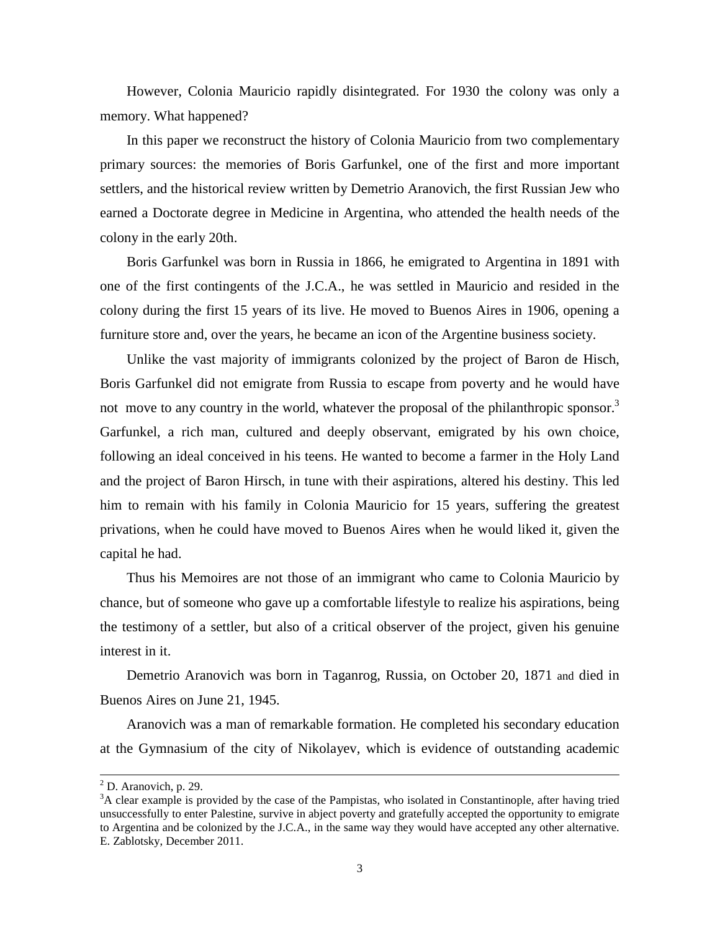However, Colonia Mauricio rapidly disintegrated. For 1930 the colony was only a memory. What happened?

In this paper we reconstruct the history of Colonia Mauricio from two complementary primary sources: the memories of Boris Garfunkel, one of the first and more important settlers, and the historical review written by Demetrio Aranovich, the first Russian Jew who earned a Doctorate degree in Medicine in Argentina, who attended the health needs of the colony in the early 20th.

Boris Garfunkel was born in Russia in 1866, he emigrated to Argentina in 1891 with one of the first contingents of the J.C.A., he was settled in Mauricio and resided in the colony during the first 15 years of its live. He moved to Buenos Aires in 1906, opening a furniture store and, over the years, he became an icon of the Argentine business society.

Unlike the vast majority of immigrants colonized by the project of Baron de Hisch, Boris Garfunkel did not emigrate from Russia to escape from poverty and he would have not move to any country in the world, whatever the proposal of the philanthropic sponsor.<sup>3</sup> Garfunkel, a rich man, cultured and deeply observant, emigrated by his own choice, following an ideal conceived in his teens. He wanted to become a farmer in the Holy Land and the project of Baron Hirsch, in tune with their aspirations, altered his destiny. This led him to remain with his family in Colonia Mauricio for 15 years, suffering the greatest privations, when he could have moved to Buenos Aires when he would liked it, given the capital he had.

Thus his Memoires are not those of an immigrant who came to Colonia Mauricio by chance, but of someone who gave up a comfortable lifestyle to realize his aspirations, being the testimony of a settler, but also of a critical observer of the project, given his genuine interest in it.

Demetrio Aranovich was born in Taganrog, Russia, on October 20, 1871 and died in Buenos Aires on June 21, 1945.

Aranovich was a man of remarkable formation. He completed his secondary education at the Gymnasium of the city of Nikolayev, which is evidence of outstanding academic

-

 $<sup>2</sup>$  D. Aranovich, p. 29.</sup>

<sup>&</sup>lt;sup>3</sup>A clear example is provided by the case of the Pampistas, who isolated in Constantinople, after having tried unsuccessfully to enter Palestine, survive in abject poverty and gratefully accepted the opportunity to emigrate to Argentina and be colonized by the J.C.A., in the same way they would have accepted any other alternative. E. Zablotsky, December 2011.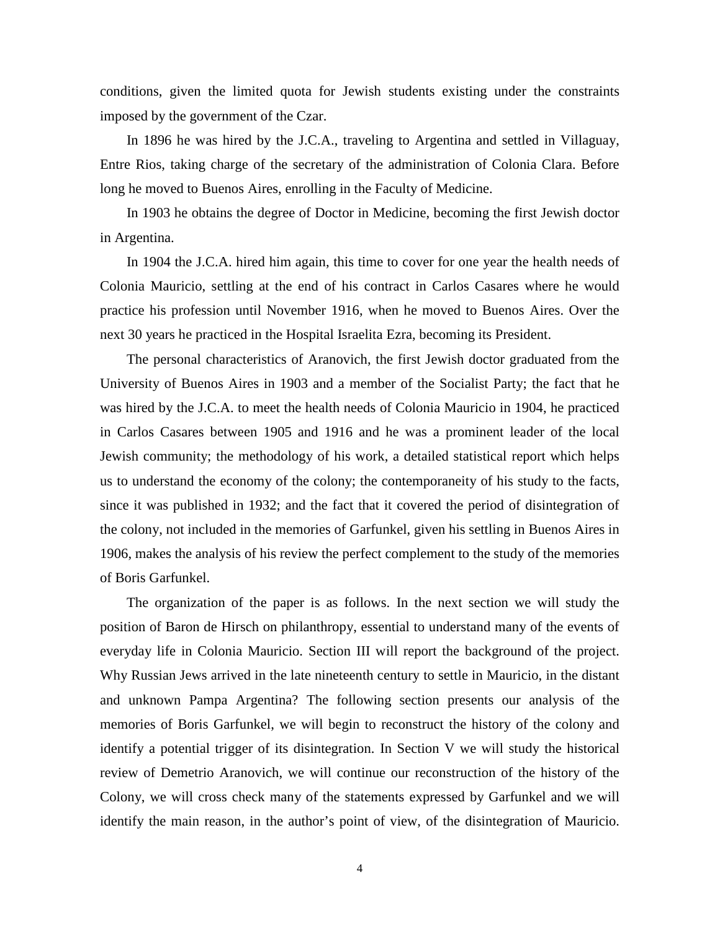conditions, given the limited quota for Jewish students existing under the constraints imposed by the government of the Czar.

In 1896 he was hired by the J.C.A., traveling to Argentina and settled in Villaguay, Entre Rios, taking charge of the secretary of the administration of Colonia Clara. Before long he moved to Buenos Aires, enrolling in the Faculty of Medicine.

In 1903 he obtains the degree of Doctor in Medicine, becoming the first Jewish doctor in Argentina.

In 1904 the J.C.A. hired him again, this time to cover for one year the health needs of Colonia Mauricio, settling at the end of his contract in Carlos Casares where he would practice his profession until November 1916, when he moved to Buenos Aires. Over the next 30 years he practiced in the Hospital Israelita Ezra, becoming its President.

The personal characteristics of Aranovich, the first Jewish doctor graduated from the University of Buenos Aires in 1903 and a member of the Socialist Party; the fact that he was hired by the J.C.A. to meet the health needs of Colonia Mauricio in 1904, he practiced in Carlos Casares between 1905 and 1916 and he was a prominent leader of the local Jewish community; the methodology of his work, a detailed statistical report which helps us to understand the economy of the colony; the contemporaneity of his study to the facts, since it was published in 1932; and the fact that it covered the period of disintegration of the colony, not included in the memories of Garfunkel, given his settling in Buenos Aires in 1906, makes the analysis of his review the perfect complement to the study of the memories of Boris Garfunkel.

The organization of the paper is as follows. In the next section we will study the position of Baron de Hirsch on philanthropy, essential to understand many of the events of everyday life in Colonia Mauricio. Section III will report the background of the project. Why Russian Jews arrived in the late nineteenth century to settle in Mauricio, in the distant and unknown Pampa Argentina? The following section presents our analysis of the memories of Boris Garfunkel, we will begin to reconstruct the history of the colony and identify a potential trigger of its disintegration. In Section V we will study the historical review of Demetrio Aranovich, we will continue our reconstruction of the history of the Colony, we will cross check many of the statements expressed by Garfunkel and we will identify the main reason, in the author's point of view, of the disintegration of Mauricio.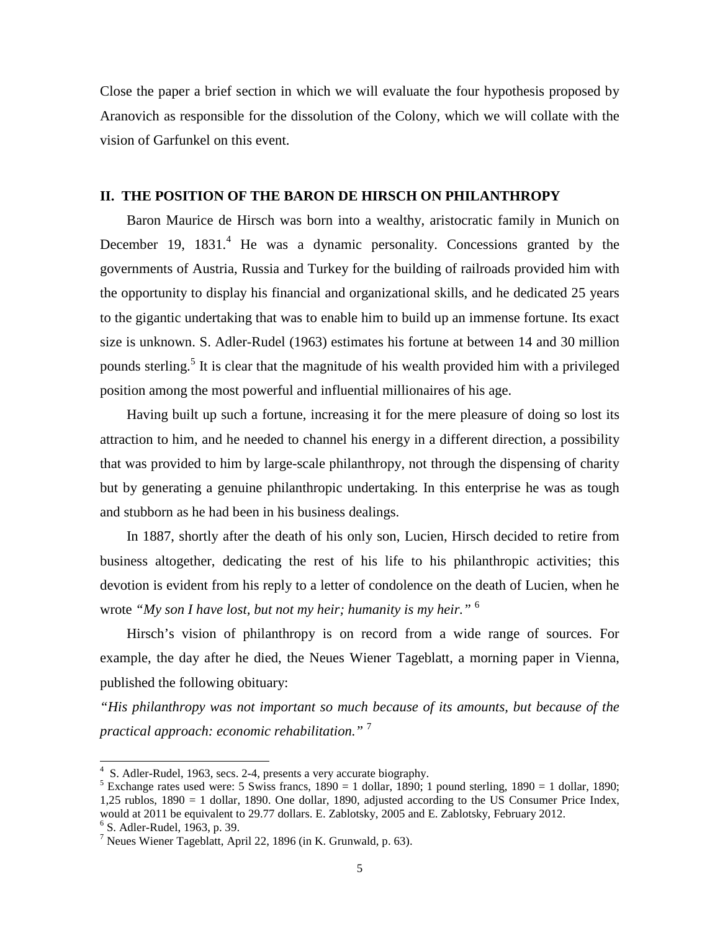Close the paper a brief section in which we will evaluate the four hypothesis proposed by Aranovich as responsible for the dissolution of the Colony, which we will collate with the vision of Garfunkel on this event.

## **II. THE POSITION OF THE BARON DE HIRSCH ON PHILANTHROPY**

Baron Maurice de Hirsch was born into a wealthy, aristocratic family in Munich on December 19, 1831.<sup>4</sup> He was a dynamic personality. Concessions granted by the governments of Austria, Russia and Turkey for the building of railroads provided him with the opportunity to display his financial and organizational skills, and he dedicated 25 years to the gigantic undertaking that was to enable him to build up an immense fortune. Its exact size is unknown. S. Adler-Rudel (1963) estimates his fortune at between 14 and 30 million pounds sterling.<sup>5</sup> It is clear that the magnitude of his wealth provided him with a privileged position among the most powerful and influential millionaires of his age.

Having built up such a fortune, increasing it for the mere pleasure of doing so lost its attraction to him, and he needed to channel his energy in a different direction, a possibility that was provided to him by large-scale philanthropy, not through the dispensing of charity but by generating a genuine philanthropic undertaking. In this enterprise he was as tough and stubborn as he had been in his business dealings.

In 1887, shortly after the death of his only son, Lucien, Hirsch decided to retire from business altogether, dedicating the rest of his life to his philanthropic activities; this devotion is evident from his reply to a letter of condolence on the death of Lucien, when he wrote *"My son I have lost, but not my heir; humanity is my heir."* <sup>6</sup>

Hirsch's vision of philanthropy is on record from a wide range of sources. For example, the day after he died, the Neues Wiener Tageblatt, a morning paper in Vienna, published the following obituary:

*"His philanthropy was not important so much because of its amounts, but because of the practical approach: economic rehabilitation."* <sup>7</sup>

-

<sup>&</sup>lt;sup>4</sup> S. Adler-Rudel, 1963, secs. 2-4, presents a very accurate biography.

<sup>&</sup>lt;sup>5</sup> Exchange rates used were: 5 Swiss francs,  $1890 = 1$  dollar,  $1890$ ; 1 pound sterling,  $1890 = 1$  dollar,  $1890$ ; 1,25 rublos, 1890 = 1 dollar, 1890. One dollar, 1890, adjusted according to the US Consumer Price Index, would at 2011 be equivalent to 29.77 dollars. E. Zablotsky, 2005 and E. Zablotsky, February 2012.

<sup>6</sup> S. Adler-Rudel, 1963, p. 39.

<sup>7</sup> Neues Wiener Tageblatt, April 22, 1896 (in K. Grunwald, p. 63).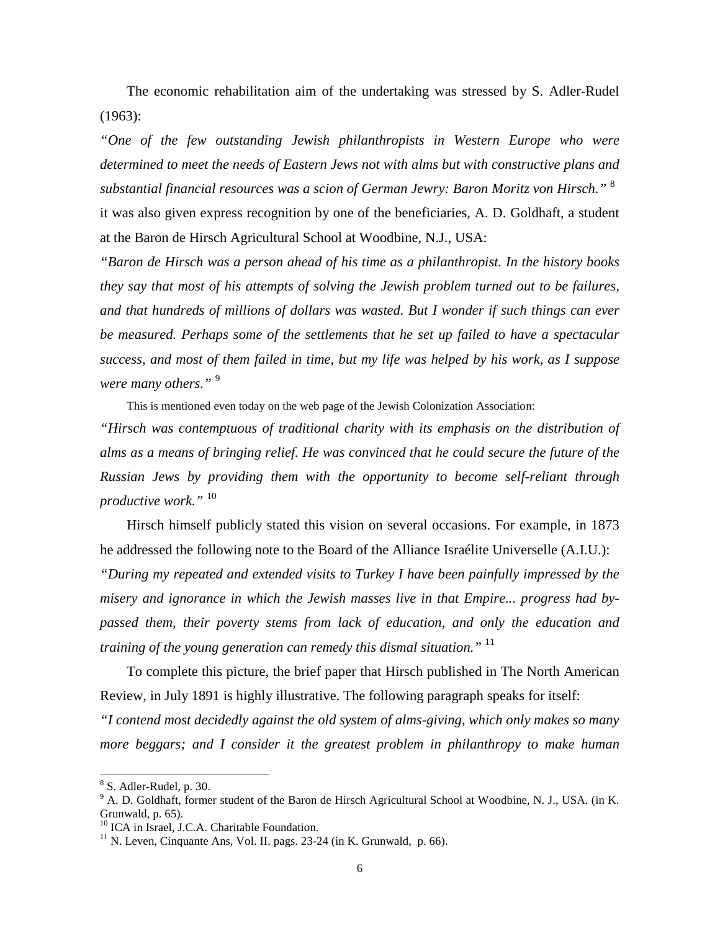The economic rehabilitation aim of the undertaking was stressed by S. Adler-Rudel (1963):

*"One of the few outstanding Jewish philanthropists in Western Europe who were determined to meet the needs of Eastern Jews not with alms but with constructive plans and substantial financial resources was a scion of German Jewry: Baron Moritz von Hirsch."* <sup>8</sup> it was also given express recognition by one of the beneficiaries, A. D. Goldhaft, a student at the Baron de Hirsch Agricultural School at Woodbine, N.J., USA:

*"Baron de Hirsch was a person ahead of his time as a philanthropist. In the history books they say that most of his attempts of solving the Jewish problem turned out to be failures, and that hundreds of millions of dollars was wasted. But I wonder if such things can ever be measured. Perhaps some of the settlements that he set up failed to have a spectacular success, and most of them failed in time, but my life was helped by his work, as I suppose were many others."* <sup>9</sup>

This is mentioned even today on the web page of the Jewish Colonization Association:

*"Hirsch was contemptuous of traditional charity with its emphasis on the distribution of alms as a means of bringing relief. He was convinced that he could secure the future of the Russian Jews by providing them with the opportunity to become self-reliant through productive work."* <sup>10</sup>

Hirsch himself publicly stated this vision on several occasions. For example, in 1873 he addressed the following note to the Board of the Alliance Israélite Universelle (A.I.U.):

*"During my repeated and extended visits to Turkey I have been painfully impressed by the misery and ignorance in which the Jewish masses live in that Empire... progress had bypassed them, their poverty stems from lack of education, and only the education and training of the young generation can remedy this dismal situation."* <sup>11</sup>

To complete this picture, the brief paper that Hirsch published in The North American Review, in July 1891 is highly illustrative. The following paragraph speaks for itself:

*"I contend most decidedly against the old system of alms-giving, which only makes so many more beggars; and I consider it the greatest problem in philanthropy to make human* 

-

 $8$  S. Adler-Rudel, p. 30.

<sup>&</sup>lt;sup>9</sup> A. D. Goldhaft, former student of the Baron de Hirsch Agricultural School at Woodbine, N. J., USA. (in K. Grunwald, p. 65).

<sup>&</sup>lt;sup>10</sup> ICA in Israel, J.C.A. Charitable Foundation.

 $11$  N. Leven, Cinquante Ans, Vol. II. pags. 23-24 (in K. Grunwald, p. 66).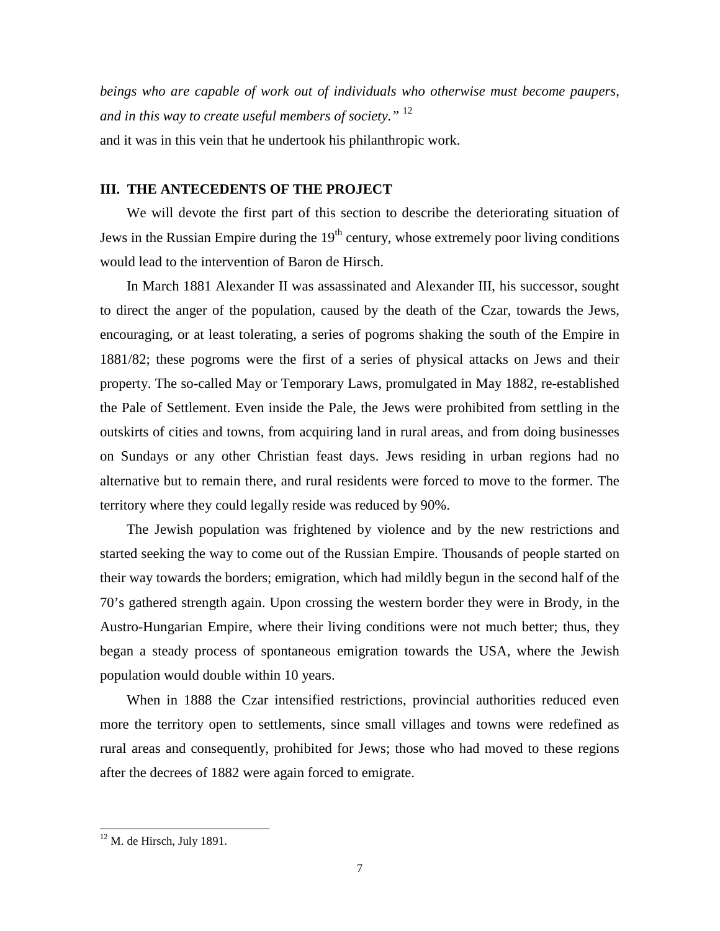*beings who are capable of work out of individuals who otherwise must become paupers, and in this way to create useful members of society."* <sup>12</sup> and it was in this vein that he undertook his philanthropic work.

## **III. THE ANTECEDENTS OF THE PROJECT**

We will devote the first part of this section to describe the deteriorating situation of Jews in the Russian Empire during the  $19<sup>th</sup>$  century, whose extremely poor living conditions would lead to the intervention of Baron de Hirsch.

In March 1881 Alexander II was assassinated and Alexander III, his successor, sought to direct the anger of the population, caused by the death of the Czar, towards the Jews, encouraging, or at least tolerating, a series of pogroms shaking the south of the Empire in 1881/82; these pogroms were the first of a series of physical attacks on Jews and their property. The so-called May or Temporary Laws, promulgated in May 1882, re-established the Pale of Settlement. Even inside the Pale, the Jews were prohibited from settling in the outskirts of cities and towns, from acquiring land in rural areas, and from doing businesses on Sundays or any other Christian feast days. Jews residing in urban regions had no alternative but to remain there, and rural residents were forced to move to the former. The territory where they could legally reside was reduced by 90%.

The Jewish population was frightened by violence and by the new restrictions and started seeking the way to come out of the Russian Empire. Thousands of people started on their way towards the borders; emigration, which had mildly begun in the second half of the 70's gathered strength again. Upon crossing the western border they were in Brody, in the Austro-Hungarian Empire, where their living conditions were not much better; thus, they began a steady process of spontaneous emigration towards the USA, where the Jewish population would double within 10 years.

When in 1888 the Czar intensified restrictions, provincial authorities reduced even more the territory open to settlements, since small villages and towns were redefined as rural areas and consequently, prohibited for Jews; those who had moved to these regions after the decrees of 1882 were again forced to emigrate.

 $12$  M. de Hirsch, July 1891.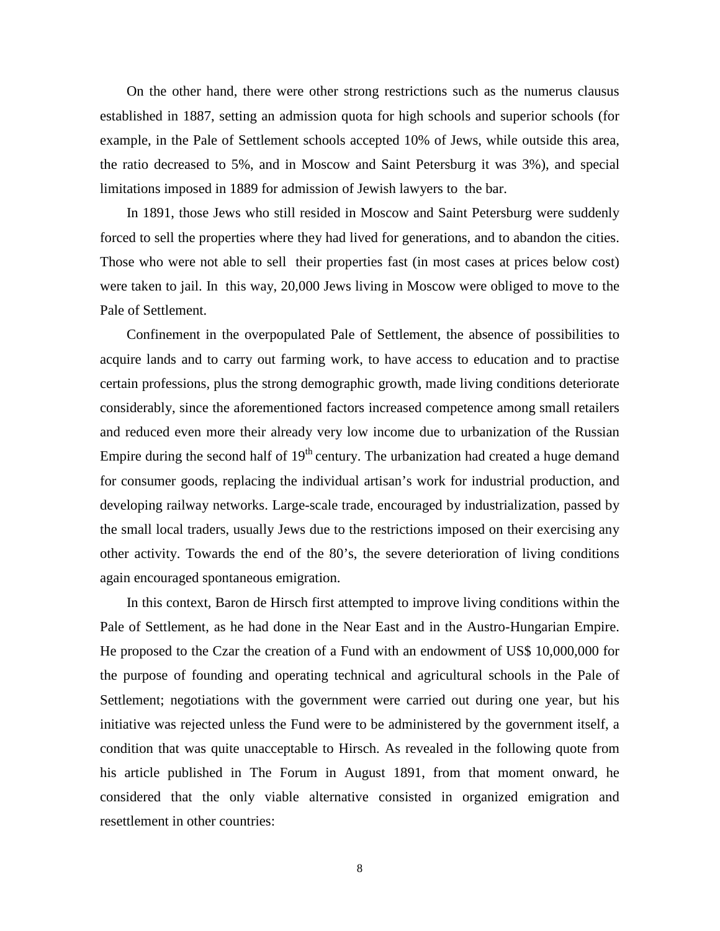On the other hand, there were other strong restrictions such as the numerus clausus established in 1887, setting an admission quota for high schools and superior schools (for example, in the Pale of Settlement schools accepted 10% of Jews, while outside this area, the ratio decreased to 5%, and in Moscow and Saint Petersburg it was 3%), and special limitations imposed in 1889 for admission of Jewish lawyers to the bar.

In 1891, those Jews who still resided in Moscow and Saint Petersburg were suddenly forced to sell the properties where they had lived for generations, and to abandon the cities. Those who were not able to sell their properties fast (in most cases at prices below cost) were taken to jail. In this way, 20,000 Jews living in Moscow were obliged to move to the Pale of Settlement.

Confinement in the overpopulated Pale of Settlement, the absence of possibilities to acquire lands and to carry out farming work, to have access to education and to practise certain professions, plus the strong demographic growth, made living conditions deteriorate considerably, since the aforementioned factors increased competence among small retailers and reduced even more their already very low income due to urbanization of the Russian Empire during the second half of  $19<sup>th</sup>$  century. The urbanization had created a huge demand for consumer goods, replacing the individual artisan's work for industrial production, and developing railway networks. Large-scale trade, encouraged by industrialization, passed by the small local traders, usually Jews due to the restrictions imposed on their exercising any other activity. Towards the end of the 80's, the severe deterioration of living conditions again encouraged spontaneous emigration.

In this context, Baron de Hirsch first attempted to improve living conditions within the Pale of Settlement, as he had done in the Near East and in the Austro-Hungarian Empire. He proposed to the Czar the creation of a Fund with an endowment of US\$ 10,000,000 for the purpose of founding and operating technical and agricultural schools in the Pale of Settlement; negotiations with the government were carried out during one year, but his initiative was rejected unless the Fund were to be administered by the government itself, a condition that was quite unacceptable to Hirsch. As revealed in the following quote from his article published in The Forum in August 1891, from that moment onward, he considered that the only viable alternative consisted in organized emigration and resettlement in other countries: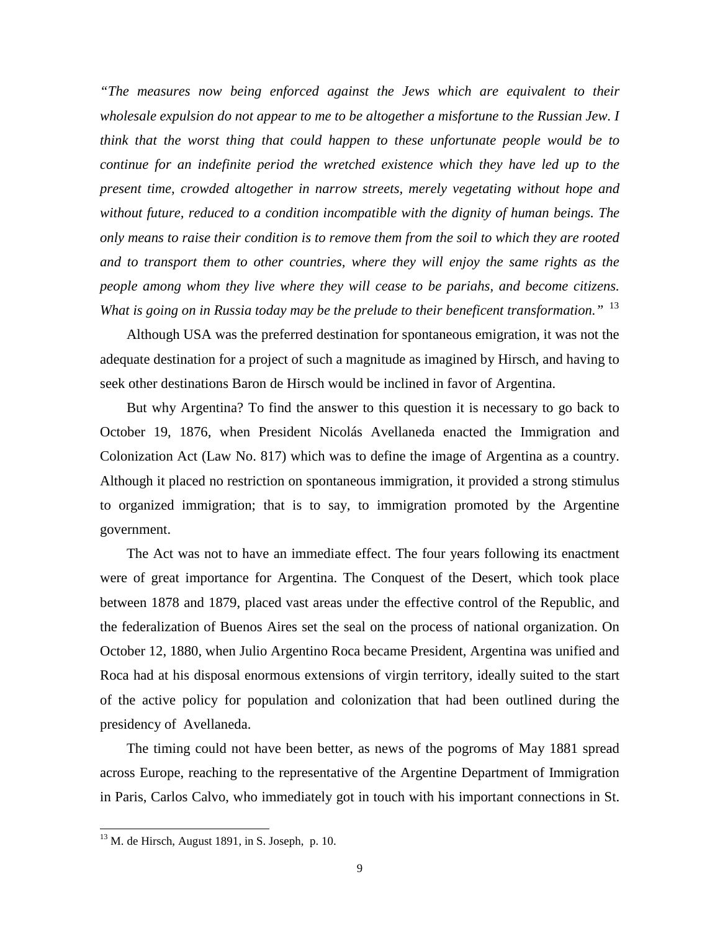*"The measures now being enforced against the Jews which are equivalent to their wholesale expulsion do not appear to me to be altogether a misfortune to the Russian Jew. I think that the worst thing that could happen to these unfortunate people would be to continue for an indefinite period the wretched existence which they have led up to the present time, crowded altogether in narrow streets, merely vegetating without hope and without future, reduced to a condition incompatible with the dignity of human beings. The only means to raise their condition is to remove them from the soil to which they are rooted and to transport them to other countries, where they will enjoy the same rights as the people among whom they live where they will cease to be pariahs, and become citizens. What is going on in Russia today may be the prelude to their beneficent transformation."* <sup>13</sup>

Although USA was the preferred destination for spontaneous emigration, it was not the adequate destination for a project of such a magnitude as imagined by Hirsch, and having to seek other destinations Baron de Hirsch would be inclined in favor of Argentina.

But why Argentina? To find the answer to this question it is necessary to go back to October 19, 1876, when President Nicolás Avellaneda enacted the Immigration and Colonization Act (Law No. 817) which was to define the image of Argentina as a country. Although it placed no restriction on spontaneous immigration, it provided a strong stimulus to organized immigration; that is to say, to immigration promoted by the Argentine government.

The Act was not to have an immediate effect. The four years following its enactment were of great importance for Argentina. The Conquest of the Desert, which took place between 1878 and 1879, placed vast areas under the effective control of the Republic, and the federalization of Buenos Aires set the seal on the process of national organization. On October 12, 1880, when Julio Argentino Roca became President, Argentina was unified and Roca had at his disposal enormous extensions of virgin territory, ideally suited to the start of the active policy for population and colonization that had been outlined during the presidency of Avellaneda.

The timing could not have been better, as news of the pogroms of May 1881 spread across Europe, reaching to the representative of the Argentine Department of Immigration in Paris, Carlos Calvo, who immediately got in touch with his important connections in St.

 $13$  M. de Hirsch, August 1891, in S. Joseph, p. 10.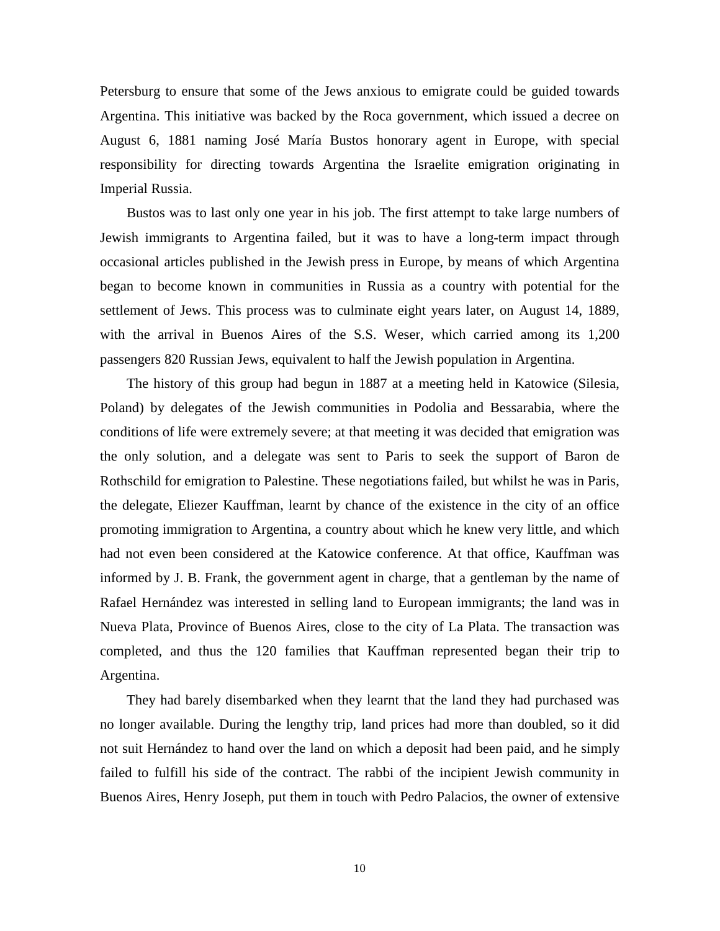Petersburg to ensure that some of the Jews anxious to emigrate could be guided towards Argentina. This initiative was backed by the Roca government, which issued a decree on August 6, 1881 naming José María Bustos honorary agent in Europe, with special responsibility for directing towards Argentina the Israelite emigration originating in Imperial Russia.

Bustos was to last only one year in his job. The first attempt to take large numbers of Jewish immigrants to Argentina failed, but it was to have a long-term impact through occasional articles published in the Jewish press in Europe, by means of which Argentina began to become known in communities in Russia as a country with potential for the settlement of Jews. This process was to culminate eight years later, on August 14, 1889, with the arrival in Buenos Aires of the S.S. Weser, which carried among its 1,200 passengers 820 Russian Jews, equivalent to half the Jewish population in Argentina.

The history of this group had begun in 1887 at a meeting held in Katowice (Silesia, Poland) by delegates of the Jewish communities in Podolia and Bessarabia, where the conditions of life were extremely severe; at that meeting it was decided that emigration was the only solution, and a delegate was sent to Paris to seek the support of Baron de Rothschild for emigration to Palestine. These negotiations failed, but whilst he was in Paris, the delegate, Eliezer Kauffman, learnt by chance of the existence in the city of an office promoting immigration to Argentina, a country about which he knew very little, and which had not even been considered at the Katowice conference. At that office, Kauffman was informed by J. B. Frank, the government agent in charge, that a gentleman by the name of Rafael Hernández was interested in selling land to European immigrants; the land was in Nueva Plata, Province of Buenos Aires, close to the city of La Plata. The transaction was completed, and thus the 120 families that Kauffman represented began their trip to Argentina.

They had barely disembarked when they learnt that the land they had purchased was no longer available. During the lengthy trip, land prices had more than doubled, so it did not suit Hernández to hand over the land on which a deposit had been paid, and he simply failed to fulfill his side of the contract. The rabbi of the incipient Jewish community in Buenos Aires, Henry Joseph, put them in touch with Pedro Palacios, the owner of extensive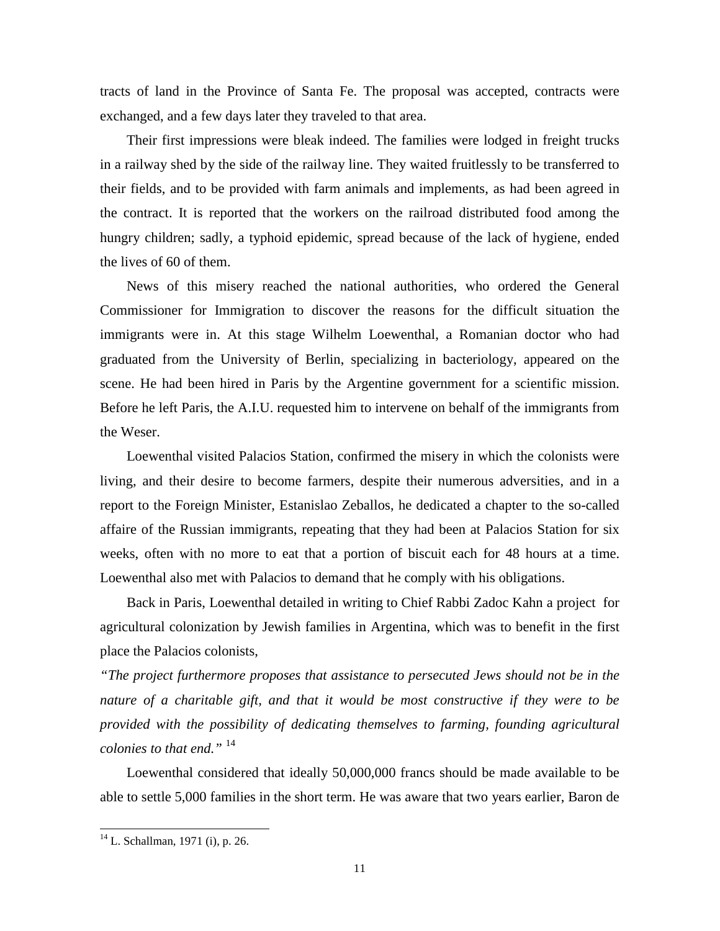tracts of land in the Province of Santa Fe. The proposal was accepted, contracts were exchanged, and a few days later they traveled to that area.

Their first impressions were bleak indeed. The families were lodged in freight trucks in a railway shed by the side of the railway line. They waited fruitlessly to be transferred to their fields, and to be provided with farm animals and implements, as had been agreed in the contract. It is reported that the workers on the railroad distributed food among the hungry children; sadly, a typhoid epidemic, spread because of the lack of hygiene, ended the lives of 60 of them.

News of this misery reached the national authorities, who ordered the General Commissioner for Immigration to discover the reasons for the difficult situation the immigrants were in. At this stage Wilhelm Loewenthal, a Romanian doctor who had graduated from the University of Berlin, specializing in bacteriology, appeared on the scene. He had been hired in Paris by the Argentine government for a scientific mission. Before he left Paris, the A.I.U. requested him to intervene on behalf of the immigrants from the Weser.

Loewenthal visited Palacios Station, confirmed the misery in which the colonists were living, and their desire to become farmers, despite their numerous adversities, and in a report to the Foreign Minister, Estanislao Zeballos, he dedicated a chapter to the so-called affaire of the Russian immigrants, repeating that they had been at Palacios Station for six weeks, often with no more to eat that a portion of biscuit each for 48 hours at a time. Loewenthal also met with Palacios to demand that he comply with his obligations.

Back in Paris, Loewenthal detailed in writing to Chief Rabbi Zadoc Kahn a project for agricultural colonization by Jewish families in Argentina, which was to benefit in the first place the Palacios colonists,

*"The project furthermore proposes that assistance to persecuted Jews should not be in the nature of a charitable gift, and that it would be most constructive if they were to be provided with the possibility of dedicating themselves to farming, founding agricultural colonies to that end."* <sup>14</sup>

Loewenthal considered that ideally 50,000,000 francs should be made available to be able to settle 5,000 families in the short term. He was aware that two years earlier, Baron de

<sup>&</sup>lt;sup>14</sup> L. Schallman, 1971 (i), p. 26.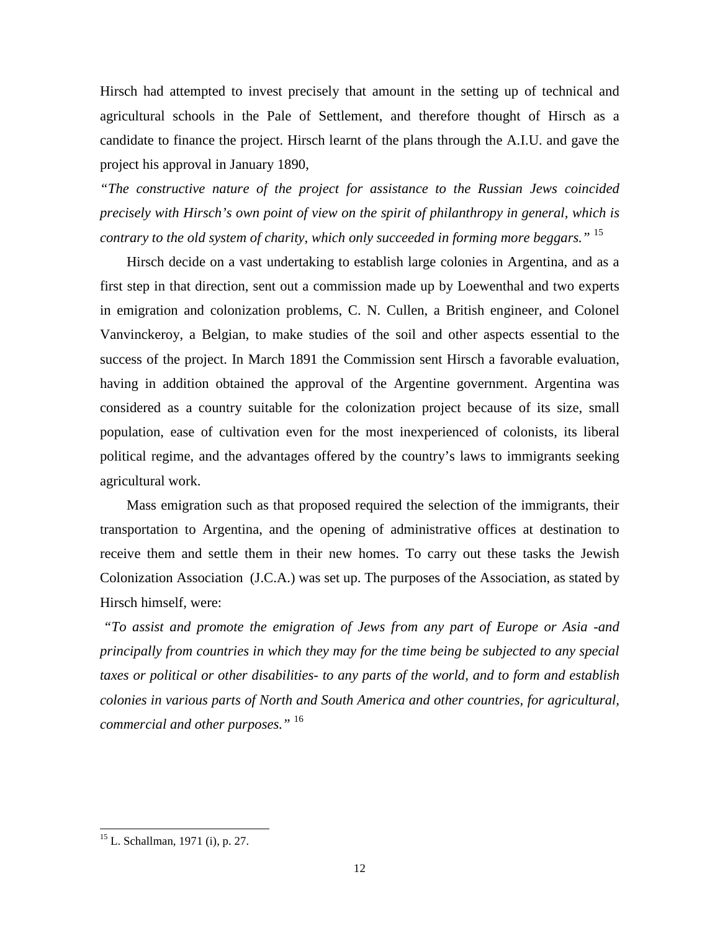Hirsch had attempted to invest precisely that amount in the setting up of technical and agricultural schools in the Pale of Settlement, and therefore thought of Hirsch as a candidate to finance the project. Hirsch learnt of the plans through the A.I.U. and gave the project his approval in January 1890,

*"The constructive nature of the project for assistance to the Russian Jews coincided precisely with Hirsch's own point of view on the spirit of philanthropy in general, which is contrary to the old system of charity, which only succeeded in forming more beggars."* <sup>15</sup>

Hirsch decide on a vast undertaking to establish large colonies in Argentina, and as a first step in that direction, sent out a commission made up by Loewenthal and two experts in emigration and colonization problems, C. N. Cullen, a British engineer, and Colonel Vanvinckeroy, a Belgian, to make studies of the soil and other aspects essential to the success of the project. In March 1891 the Commission sent Hirsch a favorable evaluation, having in addition obtained the approval of the Argentine government. Argentina was considered as a country suitable for the colonization project because of its size, small population, ease of cultivation even for the most inexperienced of colonists, its liberal political regime, and the advantages offered by the country's laws to immigrants seeking agricultural work.

Mass emigration such as that proposed required the selection of the immigrants, their transportation to Argentina, and the opening of administrative offices at destination to receive them and settle them in their new homes. To carry out these tasks the Jewish Colonization Association (J.C.A.) was set up. The purposes of the Association, as stated by Hirsch himself, were:

 *"To assist and promote the emigration of Jews from any part of Europe or Asia -and principally from countries in which they may for the time being be subjected to any special taxes or political or other disabilities- to any parts of the world, and to form and establish colonies in various parts of North and South America and other countries, for agricultural, commercial and other purposes."* <sup>16</sup>

<sup>&</sup>lt;sup>15</sup> L. Schallman, 1971 (i), p. 27.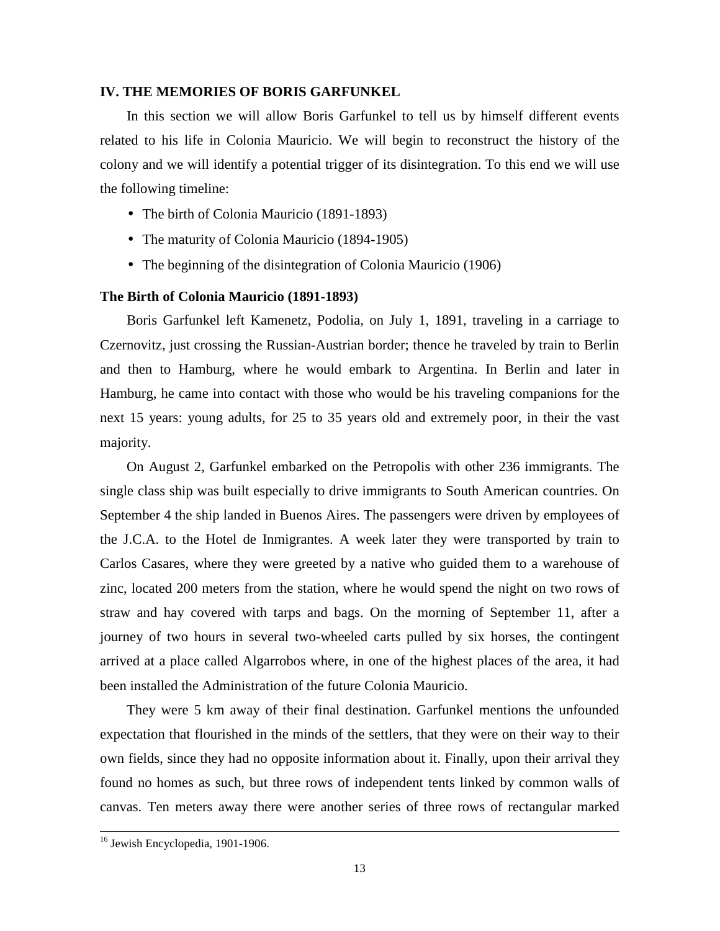#### **IV. THE MEMORIES OF BORIS GARFUNKEL**

In this section we will allow Boris Garfunkel to tell us by himself different events related to his life in Colonia Mauricio. We will begin to reconstruct the history of the colony and we will identify a potential trigger of its disintegration. To this end we will use the following timeline:

- The birth of Colonia Mauricio (1891-1893)
- The maturity of Colonia Mauricio (1894-1905)
- The beginning of the disintegration of Colonia Mauricio (1906)

#### **The Birth of Colonia Mauricio (1891-1893)**

Boris Garfunkel left Kamenetz, Podolia, on July 1, 1891, traveling in a carriage to Czernovitz, just crossing the Russian-Austrian border; thence he traveled by train to Berlin and then to Hamburg, where he would embark to Argentina. In Berlin and later in Hamburg, he came into contact with those who would be his traveling companions for the next 15 years: young adults, for 25 to 35 years old and extremely poor, in their the vast majority.

On August 2, Garfunkel embarked on the Petropolis with other 236 immigrants. The single class ship was built especially to drive immigrants to South American countries. On September 4 the ship landed in Buenos Aires. The passengers were driven by employees of the J.C.A. to the Hotel de Inmigrantes. A week later they were transported by train to Carlos Casares, where they were greeted by a native who guided them to a warehouse of zinc, located 200 meters from the station, where he would spend the night on two rows of straw and hay covered with tarps and bags. On the morning of September 11, after a journey of two hours in several two-wheeled carts pulled by six horses, the contingent arrived at a place called Algarrobos where, in one of the highest places of the area, it had been installed the Administration of the future Colonia Mauricio.

They were 5 km away of their final destination. Garfunkel mentions the unfounded expectation that flourished in the minds of the settlers, that they were on their way to their own fields, since they had no opposite information about it. Finally, upon their arrival they found no homes as such, but three rows of independent tents linked by common walls of canvas. Ten meters away there were another series of three rows of rectangular marked

1

<sup>&</sup>lt;sup>16</sup> Jewish Encyclopedia, 1901-1906.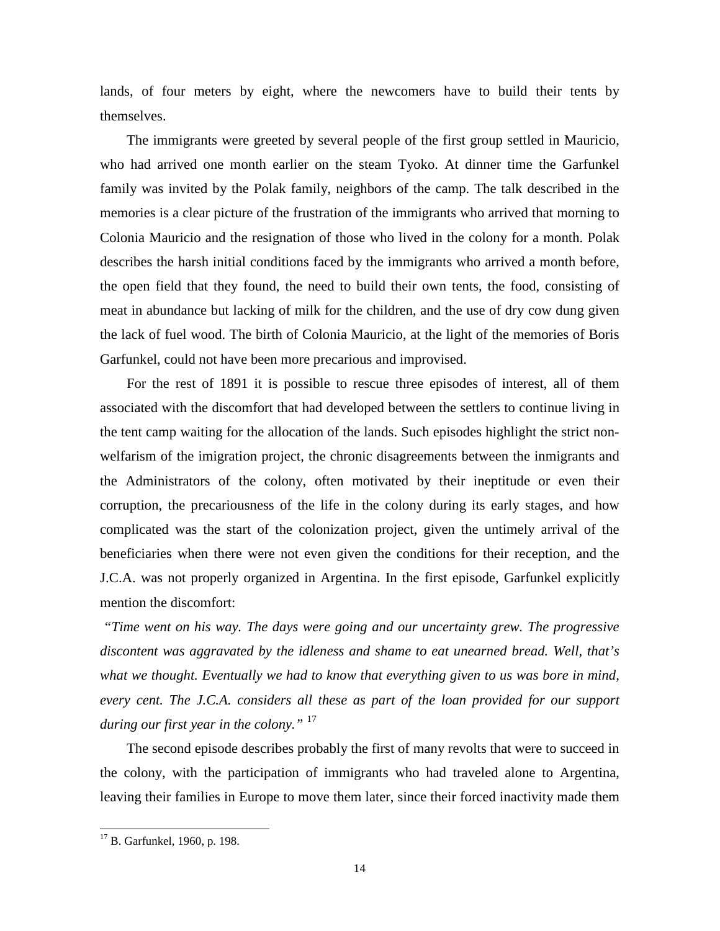lands, of four meters by eight, where the newcomers have to build their tents by themselves.

The immigrants were greeted by several people of the first group settled in Mauricio, who had arrived one month earlier on the steam Tyoko. At dinner time the Garfunkel family was invited by the Polak family, neighbors of the camp. The talk described in the memories is a clear picture of the frustration of the immigrants who arrived that morning to Colonia Mauricio and the resignation of those who lived in the colony for a month. Polak describes the harsh initial conditions faced by the immigrants who arrived a month before, the open field that they found, the need to build their own tents, the food, consisting of meat in abundance but lacking of milk for the children, and the use of dry cow dung given the lack of fuel wood. The birth of Colonia Mauricio, at the light of the memories of Boris Garfunkel, could not have been more precarious and improvised.

For the rest of 1891 it is possible to rescue three episodes of interest, all of them associated with the discomfort that had developed between the settlers to continue living in the tent camp waiting for the allocation of the lands. Such episodes highlight the strict nonwelfarism of the imigration project, the chronic disagreements between the inmigrants and the Administrators of the colony, often motivated by their ineptitude or even their corruption, the precariousness of the life in the colony during its early stages, and how complicated was the start of the colonization project, given the untimely arrival of the beneficiaries when there were not even given the conditions for their reception, and the J.C.A. was not properly organized in Argentina. In the first episode, Garfunkel explicitly mention the discomfort:

 *"Time went on his way. The days were going and our uncertainty grew. The progressive discontent was aggravated by the idleness and shame to eat unearned bread. Well, that's what we thought. Eventually we had to know that everything given to us was bore in mind, every cent. The J.C.A. considers all these as part of the loan provided for our support during our first year in the colony."* <sup>17</sup>

The second episode describes probably the first of many revolts that were to succeed in the colony, with the participation of immigrants who had traveled alone to Argentina, leaving their families in Europe to move them later, since their forced inactivity made them

<sup>&</sup>lt;sup>17</sup> B. Garfunkel, 1960, p. 198.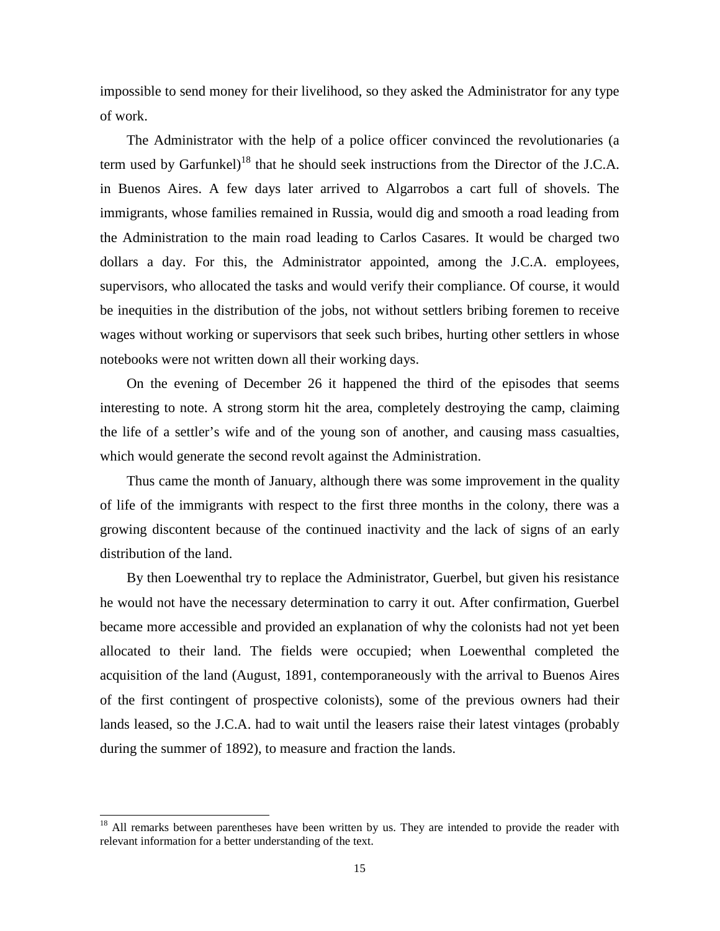impossible to send money for their livelihood, so they asked the Administrator for any type of work.

The Administrator with the help of a police officer convinced the revolutionaries (a term used by Garfunkel)<sup>18</sup> that he should seek instructions from the Director of the J.C.A. in Buenos Aires. A few days later arrived to Algarrobos a cart full of shovels. The immigrants, whose families remained in Russia, would dig and smooth a road leading from the Administration to the main road leading to Carlos Casares. It would be charged two dollars a day. For this, the Administrator appointed, among the J.C.A. employees, supervisors, who allocated the tasks and would verify their compliance. Of course, it would be inequities in the distribution of the jobs, not without settlers bribing foremen to receive wages without working or supervisors that seek such bribes, hurting other settlers in whose notebooks were not written down all their working days.

On the evening of December 26 it happened the third of the episodes that seems interesting to note. A strong storm hit the area, completely destroying the camp, claiming the life of a settler's wife and of the young son of another, and causing mass casualties, which would generate the second revolt against the Administration.

Thus came the month of January, although there was some improvement in the quality of life of the immigrants with respect to the first three months in the colony, there was a growing discontent because of the continued inactivity and the lack of signs of an early distribution of the land.

By then Loewenthal try to replace the Administrator, Guerbel, but given his resistance he would not have the necessary determination to carry it out. After confirmation, Guerbel became more accessible and provided an explanation of why the colonists had not yet been allocated to their land. The fields were occupied; when Loewenthal completed the acquisition of the land (August, 1891, contemporaneously with the arrival to Buenos Aires of the first contingent of prospective colonists), some of the previous owners had their lands leased, so the J.C.A. had to wait until the leasers raise their latest vintages (probably during the summer of 1892), to measure and fraction the lands.

 $18$  All remarks between parentheses have been written by us. They are intended to provide the reader with relevant information for a better understanding of the text.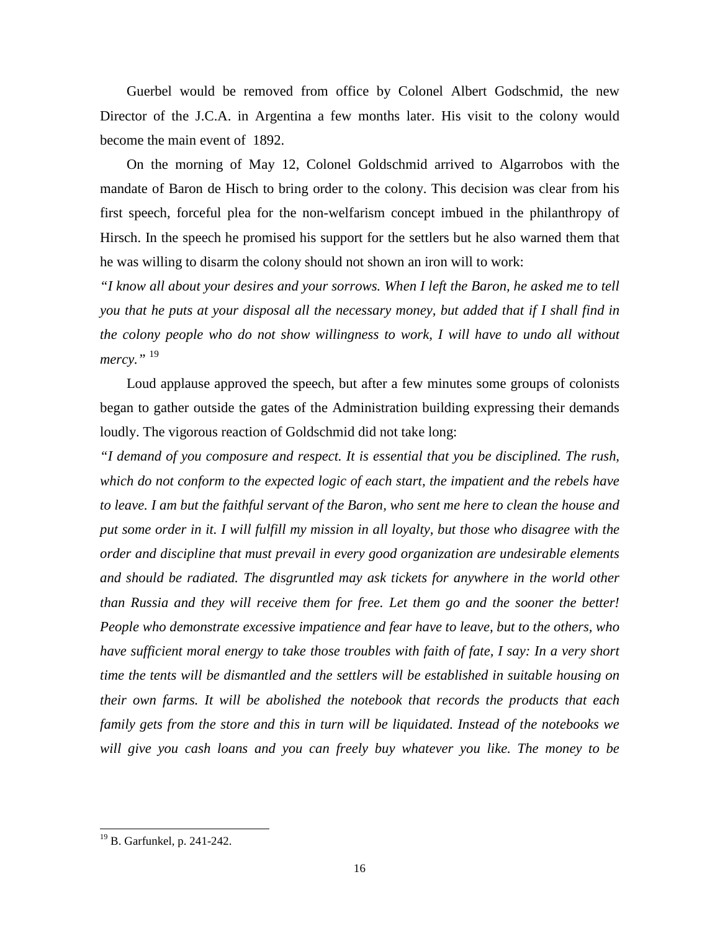Guerbel would be removed from office by Colonel Albert Godschmid, the new Director of the J.C.A. in Argentina a few months later. His visit to the colony would become the main event of 1892.

On the morning of May 12, Colonel Goldschmid arrived to Algarrobos with the mandate of Baron de Hisch to bring order to the colony. This decision was clear from his first speech, forceful plea for the non-welfarism concept imbued in the philanthropy of Hirsch. In the speech he promised his support for the settlers but he also warned them that he was willing to disarm the colony should not shown an iron will to work:

*"I know all about your desires and your sorrows. When I left the Baron, he asked me to tell you that he puts at your disposal all the necessary money, but added that if I shall find in the colony people who do not show willingness to work, I will have to undo all without mercy."* <sup>19</sup>

Loud applause approved the speech, but after a few minutes some groups of colonists began to gather outside the gates of the Administration building expressing their demands loudly. The vigorous reaction of Goldschmid did not take long:

*"I demand of you composure and respect. It is essential that you be disciplined. The rush, which do not conform to the expected logic of each start, the impatient and the rebels have to leave. I am but the faithful servant of the Baron, who sent me here to clean the house and put some order in it. I will fulfill my mission in all loyalty, but those who disagree with the order and discipline that must prevail in every good organization are undesirable elements and should be radiated. The disgruntled may ask tickets for anywhere in the world other than Russia and they will receive them for free. Let them go and the sooner the better! People who demonstrate excessive impatience and fear have to leave, but to the others, who have sufficient moral energy to take those troubles with faith of fate, I say: In a very short time the tents will be dismantled and the settlers will be established in suitable housing on their own farms. It will be abolished the notebook that records the products that each family gets from the store and this in turn will be liquidated. Instead of the notebooks we will give you cash loans and you can freely buy whatever you like. The money to be* 

<sup>19</sup> B. Garfunkel, p. 241-242.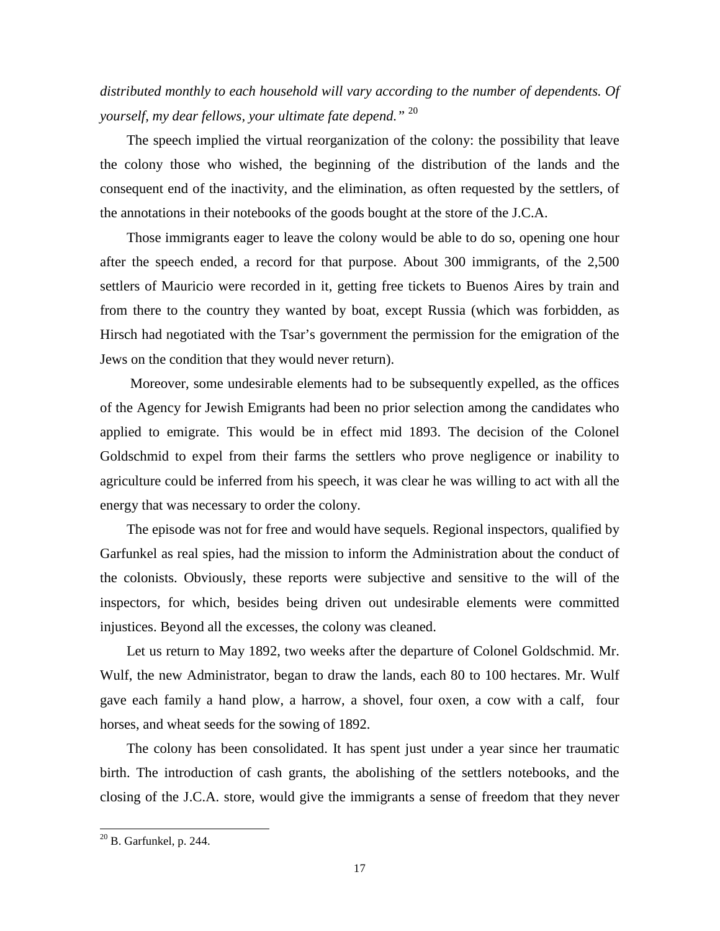*distributed monthly to each household will vary according to the number of dependents. Of yourself, my dear fellows, your ultimate fate depend."* <sup>20</sup>

The speech implied the virtual reorganization of the colony: the possibility that leave the colony those who wished, the beginning of the distribution of the lands and the consequent end of the inactivity, and the elimination, as often requested by the settlers, of the annotations in their notebooks of the goods bought at the store of the J.C.A.

Those immigrants eager to leave the colony would be able to do so, opening one hour after the speech ended, a record for that purpose. About 300 immigrants, of the 2,500 settlers of Mauricio were recorded in it, getting free tickets to Buenos Aires by train and from there to the country they wanted by boat, except Russia (which was forbidden, as Hirsch had negotiated with the Tsar's government the permission for the emigration of the Jews on the condition that they would never return).

 Moreover, some undesirable elements had to be subsequently expelled, as the offices of the Agency for Jewish Emigrants had been no prior selection among the candidates who applied to emigrate. This would be in effect mid 1893. The decision of the Colonel Goldschmid to expel from their farms the settlers who prove negligence or inability to agriculture could be inferred from his speech, it was clear he was willing to act with all the energy that was necessary to order the colony.

The episode was not for free and would have sequels. Regional inspectors, qualified by Garfunkel as real spies, had the mission to inform the Administration about the conduct of the colonists. Obviously, these reports were subjective and sensitive to the will of the inspectors, for which, besides being driven out undesirable elements were committed injustices. Beyond all the excesses, the colony was cleaned.

Let us return to May 1892, two weeks after the departure of Colonel Goldschmid. Mr. Wulf, the new Administrator, began to draw the lands, each 80 to 100 hectares. Mr. Wulf gave each family a hand plow, a harrow, a shovel, four oxen, a cow with a calf, four horses, and wheat seeds for the sowing of 1892.

The colony has been consolidated. It has spent just under a year since her traumatic birth. The introduction of cash grants, the abolishing of the settlers notebooks, and the closing of the J.C.A. store, would give the immigrants a sense of freedom that they never

 $^{20}$  B. Garfunkel, p. 244.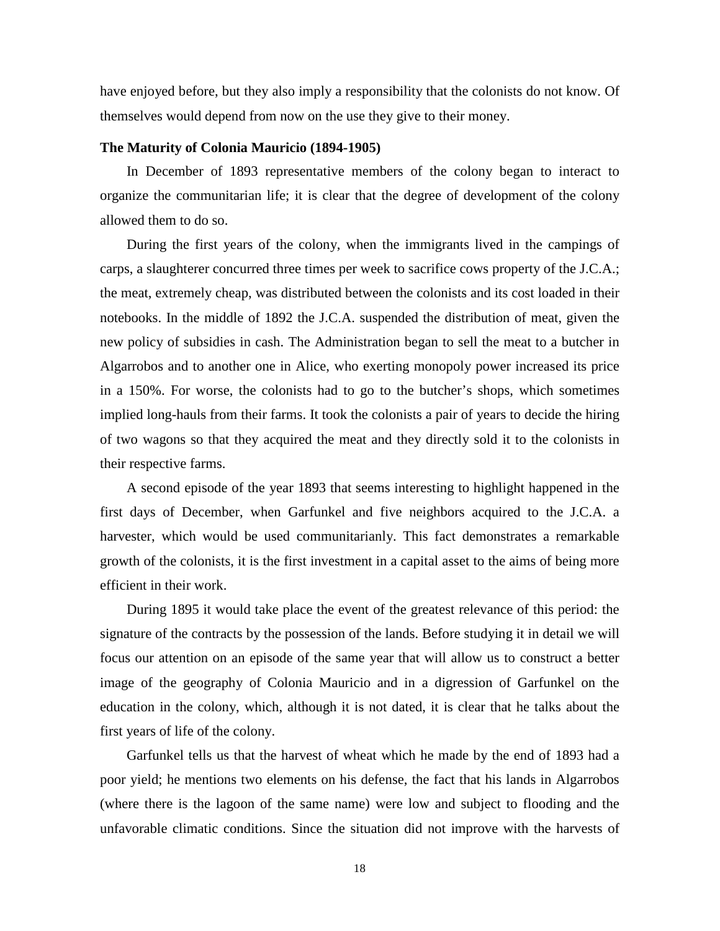have enjoyed before, but they also imply a responsibility that the colonists do not know. Of themselves would depend from now on the use they give to their money.

#### **The Maturity of Colonia Mauricio (1894-1905)**

In December of 1893 representative members of the colony began to interact to organize the communitarian life; it is clear that the degree of development of the colony allowed them to do so.

During the first years of the colony, when the immigrants lived in the campings of carps, a slaughterer concurred three times per week to sacrifice cows property of the J.C.A.; the meat, extremely cheap, was distributed between the colonists and its cost loaded in their notebooks. In the middle of 1892 the J.C.A. suspended the distribution of meat, given the new policy of subsidies in cash. The Administration began to sell the meat to a butcher in Algarrobos and to another one in Alice, who exerting monopoly power increased its price in a 150%. For worse, the colonists had to go to the butcher's shops, which sometimes implied long-hauls from their farms. It took the colonists a pair of years to decide the hiring of two wagons so that they acquired the meat and they directly sold it to the colonists in their respective farms.

A second episode of the year 1893 that seems interesting to highlight happened in the first days of December, when Garfunkel and five neighbors acquired to the J.C.A. a harvester, which would be used communitarianly. This fact demonstrates a remarkable growth of the colonists, it is the first investment in a capital asset to the aims of being more efficient in their work.

During 1895 it would take place the event of the greatest relevance of this period: the signature of the contracts by the possession of the lands. Before studying it in detail we will focus our attention on an episode of the same year that will allow us to construct a better image of the geography of Colonia Mauricio and in a digression of Garfunkel on the education in the colony, which, although it is not dated, it is clear that he talks about the first years of life of the colony.

Garfunkel tells us that the harvest of wheat which he made by the end of 1893 had a poor yield; he mentions two elements on his defense, the fact that his lands in Algarrobos (where there is the lagoon of the same name) were low and subject to flooding and the unfavorable climatic conditions. Since the situation did not improve with the harvests of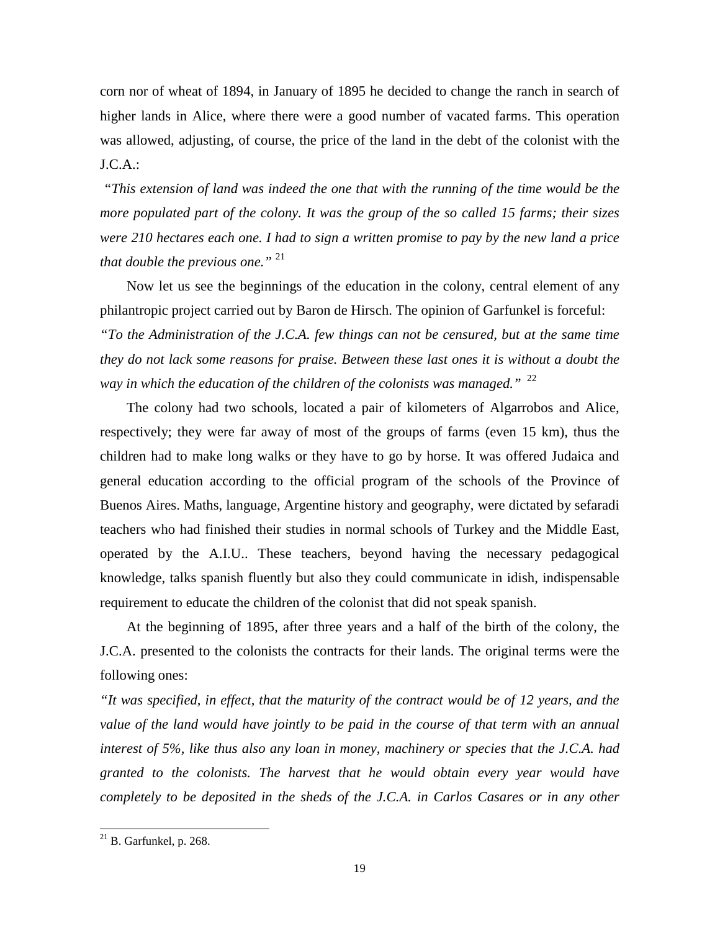corn nor of wheat of 1894, in January of 1895 he decided to change the ranch in search of higher lands in Alice, where there were a good number of vacated farms. This operation was allowed, adjusting, of course, the price of the land in the debt of the colonist with the  $J.C.A.:$ 

 *"This extension of land was indeed the one that with the running of the time would be the more populated part of the colony. It was the group of the so called 15 farms; their sizes were 210 hectares each one. I had to sign a written promise to pay by the new land a price that double the previous one."* <sup>21</sup>

Now let us see the beginnings of the education in the colony, central element of any philantropic project carried out by Baron de Hirsch. The opinion of Garfunkel is forceful: *"To the Administration of the J.C.A. few things can not be censured, but at the same time they do not lack some reasons for praise. Between these last ones it is without a doubt the way in which the education of the children of the colonists was managed.*" <sup>22</sup>

The colony had two schools, located a pair of kilometers of Algarrobos and Alice, respectively; they were far away of most of the groups of farms (even 15 km), thus the children had to make long walks or they have to go by horse. It was offered Judaica and general education according to the official program of the schools of the Province of Buenos Aires. Maths, language, Argentine history and geography, were dictated by sefaradi teachers who had finished their studies in normal schools of Turkey and the Middle East, operated by the A.I.U.. These teachers, beyond having the necessary pedagogical knowledge, talks spanish fluently but also they could communicate in idish, indispensable requirement to educate the children of the colonist that did not speak spanish.

At the beginning of 1895, after three years and a half of the birth of the colony, the J.C.A. presented to the colonists the contracts for their lands. The original terms were the following ones:

*"It was specified, in effect, that the maturity of the contract would be of 12 years, and the value of the land would have jointly to be paid in the course of that term with an annual interest of 5%, like thus also any loan in money, machinery or species that the J.C.A. had granted to the colonists. The harvest that he would obtain every year would have completely to be deposited in the sheds of the J.C.A. in Carlos Casares or in any other* 

 $^{21}$  B. Garfunkel, p. 268.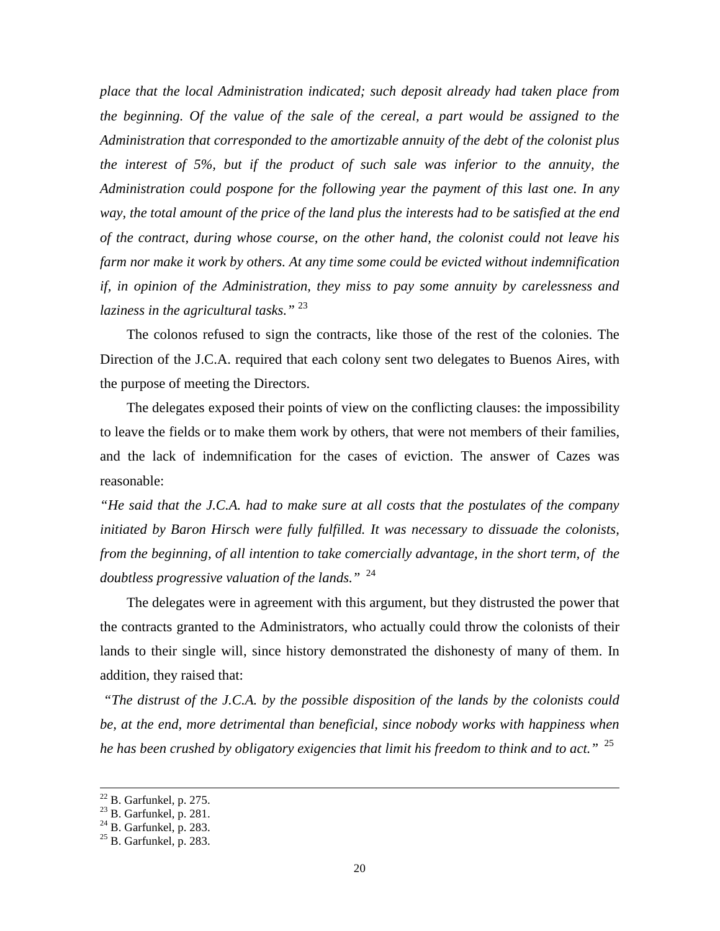*place that the local Administration indicated; such deposit already had taken place from the beginning. Of the value of the sale of the cereal, a part would be assigned to the Administration that corresponded to the amortizable annuity of the debt of the colonist plus the interest of 5%, but if the product of such sale was inferior to the annuity, the Administration could pospone for the following year the payment of this last one. In any way, the total amount of the price of the land plus the interests had to be satisfied at the end of the contract, during whose course, on the other hand, the colonist could not leave his farm nor make it work by others. At any time some could be evicted without indemnification if, in opinion of the Administration, they miss to pay some annuity by carelessness and laziness in the agricultural tasks."* <sup>23</sup>

The colonos refused to sign the contracts, like those of the rest of the colonies. The Direction of the J.C.A. required that each colony sent two delegates to Buenos Aires, with the purpose of meeting the Directors.

The delegates exposed their points of view on the conflicting clauses: the impossibility to leave the fields or to make them work by others, that were not members of their families, and the lack of indemnification for the cases of eviction. The answer of Cazes was reasonable:

*"He said that the J.C.A. had to make sure at all costs that the postulates of the company initiated by Baron Hirsch were fully fulfilled. It was necessary to dissuade the colonists, from the beginning, of all intention to take comercially advantage, in the short term, of the doubtless progressive valuation of the lands."* <sup>24</sup>

The delegates were in agreement with this argument, but they distrusted the power that the contracts granted to the Administrators, who actually could throw the colonists of their lands to their single will, since history demonstrated the dishonesty of many of them. In addition, they raised that:

 *"The distrust of the J.C.A. by the possible disposition of the lands by the colonists could be, at the end, more detrimental than beneficial, since nobody works with happiness when he has been crushed by obligatory exigencies that limit his freedom to think and to act."* <sup>25</sup>

-

 $22$  B. Garfunkel, p. 275.

<sup>&</sup>lt;sup>23</sup> B. Garfunkel, p. 281.

 $24$  B. Garfunkel, p. 283.

 $25$  B. Garfunkel, p. 283.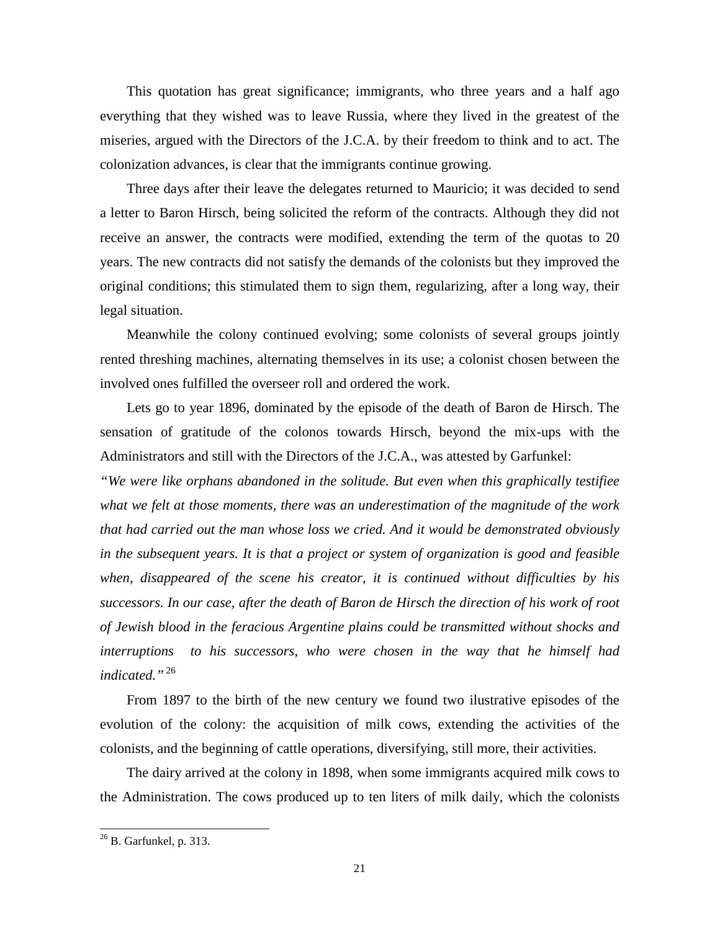This quotation has great significance; immigrants, who three years and a half ago everything that they wished was to leave Russia, where they lived in the greatest of the miseries, argued with the Directors of the J.C.A. by their freedom to think and to act. The colonization advances, is clear that the immigrants continue growing.

Three days after their leave the delegates returned to Mauricio; it was decided to send a letter to Baron Hirsch, being solicited the reform of the contracts. Although they did not receive an answer, the contracts were modified, extending the term of the quotas to 20 years. The new contracts did not satisfy the demands of the colonists but they improved the original conditions; this stimulated them to sign them, regularizing, after a long way, their legal situation.

Meanwhile the colony continued evolving; some colonists of several groups jointly rented threshing machines, alternating themselves in its use; a colonist chosen between the involved ones fulfilled the overseer roll and ordered the work.

Lets go to year 1896, dominated by the episode of the death of Baron de Hirsch. The sensation of gratitude of the colonos towards Hirsch, beyond the mix-ups with the Administrators and still with the Directors of the J.C.A., was attested by Garfunkel:

*"We were like orphans abandoned in the solitude. But even when this graphically testifiee what we felt at those moments, there was an underestimation of the magnitude of the work that had carried out the man whose loss we cried. And it would be demonstrated obviously in the subsequent years. It is that a project or system of organization is good and feasible when, disappeared of the scene his creator, it is continued without difficulties by his successors. In our case, after the death of Baron de Hirsch the direction of his work of root of Jewish blood in the feracious Argentine plains could be transmitted without shocks and interruptions to his successors, who were chosen in the way that he himself had indicated."*<sup>26</sup>

From 1897 to the birth of the new century we found two ilustrative episodes of the evolution of the colony: the acquisition of milk cows, extending the activities of the colonists, and the beginning of cattle operations, diversifying, still more, their activities.

The dairy arrived at the colony in 1898, when some immigrants acquired milk cows to the Administration. The cows produced up to ten liters of milk daily, which the colonists

 $^{26}$  B. Garfunkel, p. 313.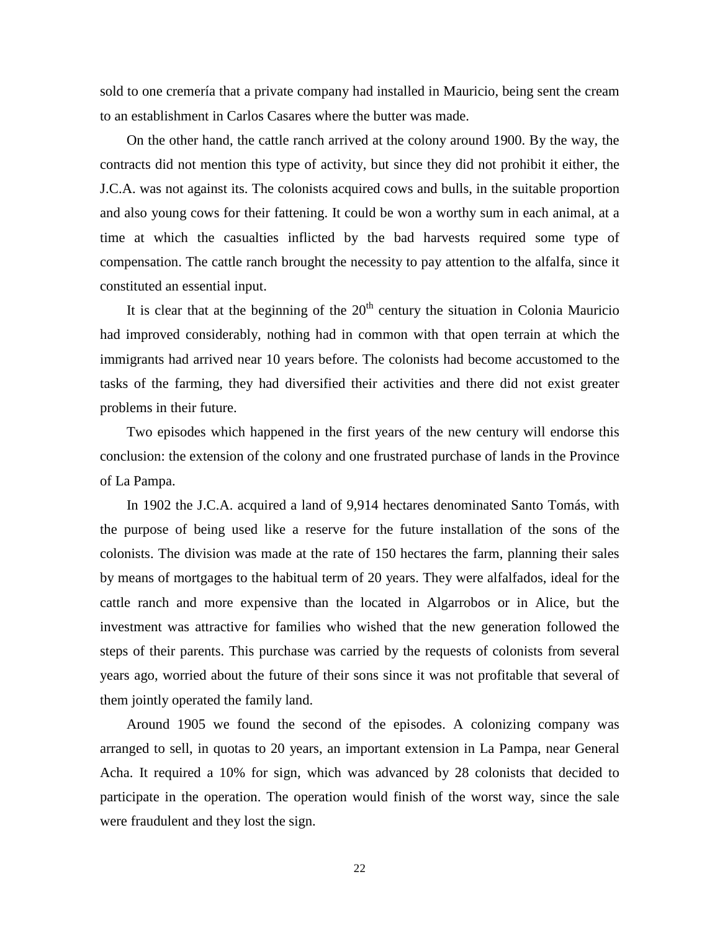sold to one cremería that a private company had installed in Mauricio, being sent the cream to an establishment in Carlos Casares where the butter was made.

On the other hand, the cattle ranch arrived at the colony around 1900. By the way, the contracts did not mention this type of activity, but since they did not prohibit it either, the J.C.A. was not against its. The colonists acquired cows and bulls, in the suitable proportion and also young cows for their fattening. It could be won a worthy sum in each animal, at a time at which the casualties inflicted by the bad harvests required some type of compensation. The cattle ranch brought the necessity to pay attention to the alfalfa, since it constituted an essential input.

It is clear that at the beginning of the  $20<sup>th</sup>$  century the situation in Colonia Mauricio had improved considerably, nothing had in common with that open terrain at which the immigrants had arrived near 10 years before. The colonists had become accustomed to the tasks of the farming, they had diversified their activities and there did not exist greater problems in their future.

Two episodes which happened in the first years of the new century will endorse this conclusion: the extension of the colony and one frustrated purchase of lands in the Province of La Pampa.

In 1902 the J.C.A. acquired a land of 9,914 hectares denominated Santo Tomás, with the purpose of being used like a reserve for the future installation of the sons of the colonists. The division was made at the rate of 150 hectares the farm, planning their sales by means of mortgages to the habitual term of 20 years. They were alfalfados, ideal for the cattle ranch and more expensive than the located in Algarrobos or in Alice, but the investment was attractive for families who wished that the new generation followed the steps of their parents. This purchase was carried by the requests of colonists from several years ago, worried about the future of their sons since it was not profitable that several of them jointly operated the family land.

Around 1905 we found the second of the episodes. A colonizing company was arranged to sell, in quotas to 20 years, an important extension in La Pampa, near General Acha. It required a 10% for sign, which was advanced by 28 colonists that decided to participate in the operation. The operation would finish of the worst way, since the sale were fraudulent and they lost the sign.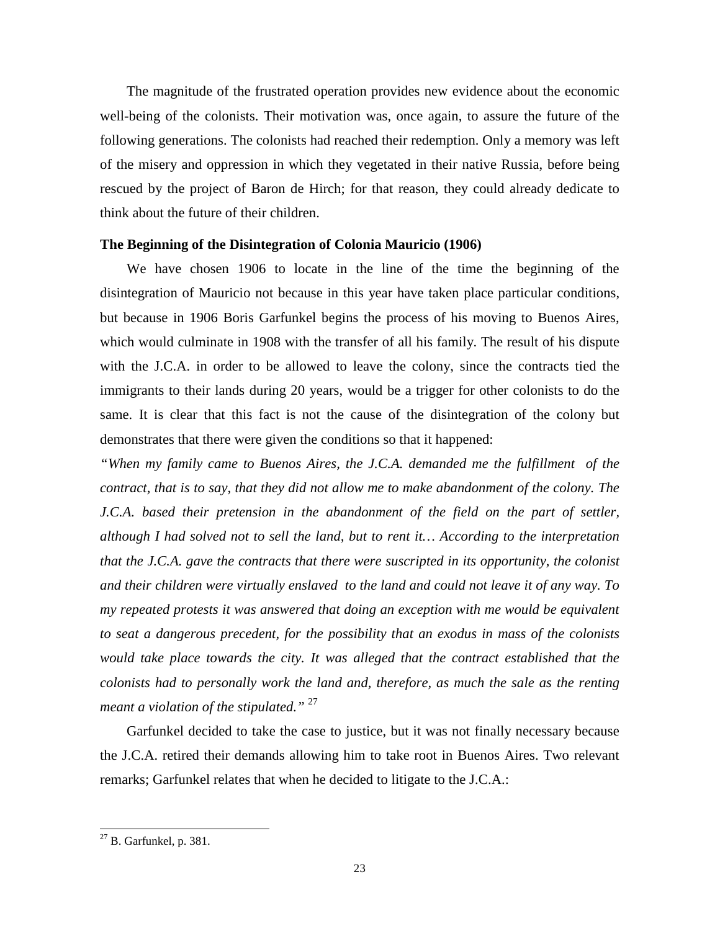The magnitude of the frustrated operation provides new evidence about the economic well-being of the colonists. Their motivation was, once again, to assure the future of the following generations. The colonists had reached their redemption. Only a memory was left of the misery and oppression in which they vegetated in their native Russia, before being rescued by the project of Baron de Hirch; for that reason, they could already dedicate to think about the future of their children.

#### **The Beginning of the Disintegration of Colonia Mauricio (1906)**

We have chosen 1906 to locate in the line of the time the beginning of the disintegration of Mauricio not because in this year have taken place particular conditions, but because in 1906 Boris Garfunkel begins the process of his moving to Buenos Aires, which would culminate in 1908 with the transfer of all his family. The result of his dispute with the J.C.A. in order to be allowed to leave the colony, since the contracts tied the immigrants to their lands during 20 years, would be a trigger for other colonists to do the same. It is clear that this fact is not the cause of the disintegration of the colony but demonstrates that there were given the conditions so that it happened:

*"When my family came to Buenos Aires, the J.C.A. demanded me the fulfillment of the contract, that is to say, that they did not allow me to make abandonment of the colony. The J.C.A. based their pretension in the abandonment of the field on the part of settler, although I had solved not to sell the land, but to rent it… According to the interpretation that the J.C.A. gave the contracts that there were suscripted in its opportunity, the colonist and their children were virtually enslaved to the land and could not leave it of any way. To my repeated protests it was answered that doing an exception with me would be equivalent to seat a dangerous precedent, for the possibility that an exodus in mass of the colonists would take place towards the city. It was alleged that the contract established that the colonists had to personally work the land and, therefore, as much the sale as the renting meant a violation of the stipulated."* <sup>27</sup>

Garfunkel decided to take the case to justice, but it was not finally necessary because the J.C.A. retired their demands allowing him to take root in Buenos Aires. Two relevant remarks; Garfunkel relates that when he decided to litigate to the J.C.A.:

 $^{27}$  B. Garfunkel, p. 381.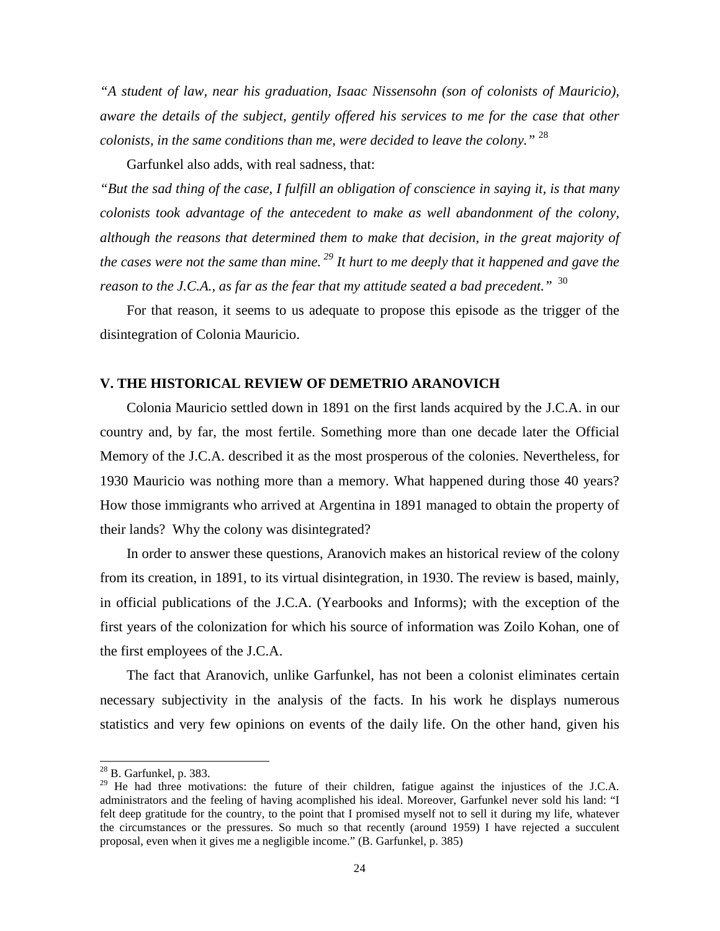*"A student of law, near his graduation, Isaac Nissensohn (son of colonists of Mauricio), aware the details of the subject, gentily offered his services to me for the case that other colonists, in the same conditions than me, were decided to leave the colony."* <sup>28</sup>

Garfunkel also adds, with real sadness, that:

*"But the sad thing of the case, I fulfill an obligation of conscience in saying it, is that many colonists took advantage of the antecedent to make as well abandonment of the colony, although the reasons that determined them to make that decision, in the great majority of the cases were not the same than mine.<sup>29</sup> It hurt to me deeply that it happened and gave the reason to the J.C.A., as far as the fear that my attitude seated a bad precedent.*" <sup>30</sup>

For that reason, it seems to us adequate to propose this episode as the trigger of the disintegration of Colonia Mauricio.

## **V. THE HISTORICAL REVIEW OF DEMETRIO ARANOVICH**

Colonia Mauricio settled down in 1891 on the first lands acquired by the J.C.A. in our country and, by far, the most fertile. Something more than one decade later the Official Memory of the J.C.A. described it as the most prosperous of the colonies. Nevertheless, for 1930 Mauricio was nothing more than a memory. What happened during those 40 years? How those immigrants who arrived at Argentina in 1891 managed to obtain the property of their lands? Why the colony was disintegrated?

In order to answer these questions, Aranovich makes an historical review of the colony from its creation, in 1891, to its virtual disintegration, in 1930. The review is based, mainly, in official publications of the J.C.A. (Yearbooks and Informs); with the exception of the first years of the colonization for which his source of information was Zoilo Kohan, one of the first employees of the J.C.A.

The fact that Aranovich, unlike Garfunkel, has not been a colonist eliminates certain necessary subjectivity in the analysis of the facts. In his work he displays numerous statistics and very few opinions on events of the daily life. On the other hand, given his

-

 $^{28}$  B. Garfunkel, p. 383.

<sup>&</sup>lt;sup>29</sup> He had three motivations: the future of their children, fatigue against the injustices of the J.C.A. administrators and the feeling of having acomplished his ideal. Moreover, Garfunkel never sold his land: "I felt deep gratitude for the country, to the point that I promised myself not to sell it during my life, whatever the circumstances or the pressures. So much so that recently (around 1959) I have rejected a succulent proposal, even when it gives me a negligible income." (B. Garfunkel, p. 385)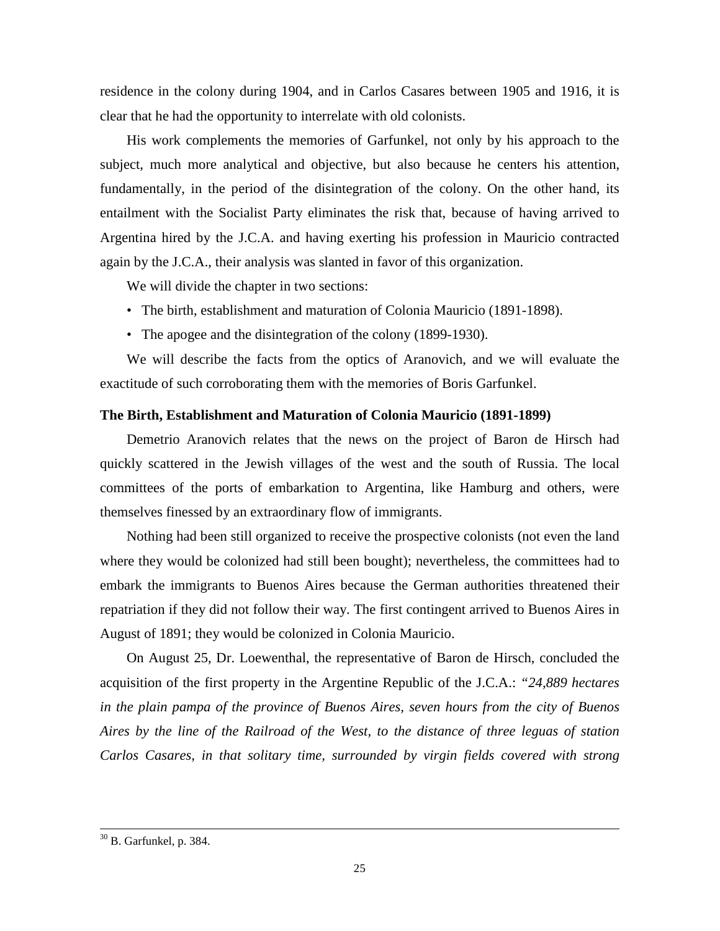residence in the colony during 1904, and in Carlos Casares between 1905 and 1916, it is clear that he had the opportunity to interrelate with old colonists.

His work complements the memories of Garfunkel, not only by his approach to the subject, much more analytical and objective, but also because he centers his attention, fundamentally, in the period of the disintegration of the colony. On the other hand, its entailment with the Socialist Party eliminates the risk that, because of having arrived to Argentina hired by the J.C.A. and having exerting his profession in Mauricio contracted again by the J.C.A., their analysis was slanted in favor of this organization.

We will divide the chapter in two sections:

- The birth, establishment and maturation of Colonia Mauricio (1891-1898).
- The apogee and the disintegration of the colony (1899-1930).

We will describe the facts from the optics of Aranovich, and we will evaluate the exactitude of such corroborating them with the memories of Boris Garfunkel.

## **The Birth, Establishment and Maturation of Colonia Mauricio (1891-1899)**

Demetrio Aranovich relates that the news on the project of Baron de Hirsch had quickly scattered in the Jewish villages of the west and the south of Russia. The local committees of the ports of embarkation to Argentina, like Hamburg and others, were themselves finessed by an extraordinary flow of immigrants.

Nothing had been still organized to receive the prospective colonists (not even the land where they would be colonized had still been bought); nevertheless, the committees had to embark the immigrants to Buenos Aires because the German authorities threatened their repatriation if they did not follow their way. The first contingent arrived to Buenos Aires in August of 1891; they would be colonized in Colonia Mauricio.

On August 25, Dr. Loewenthal, the representative of Baron de Hirsch, concluded the acquisition of the first property in the Argentine Republic of the J.C.A.: *"24,889 hectares in the plain pampa of the province of Buenos Aires, seven hours from the city of Buenos Aires by the line of the Railroad of the West, to the distance of three leguas of station Carlos Casares, in that solitary time, surrounded by virgin fields covered with strong* 

1

 $30$  B. Garfunkel, p. 384.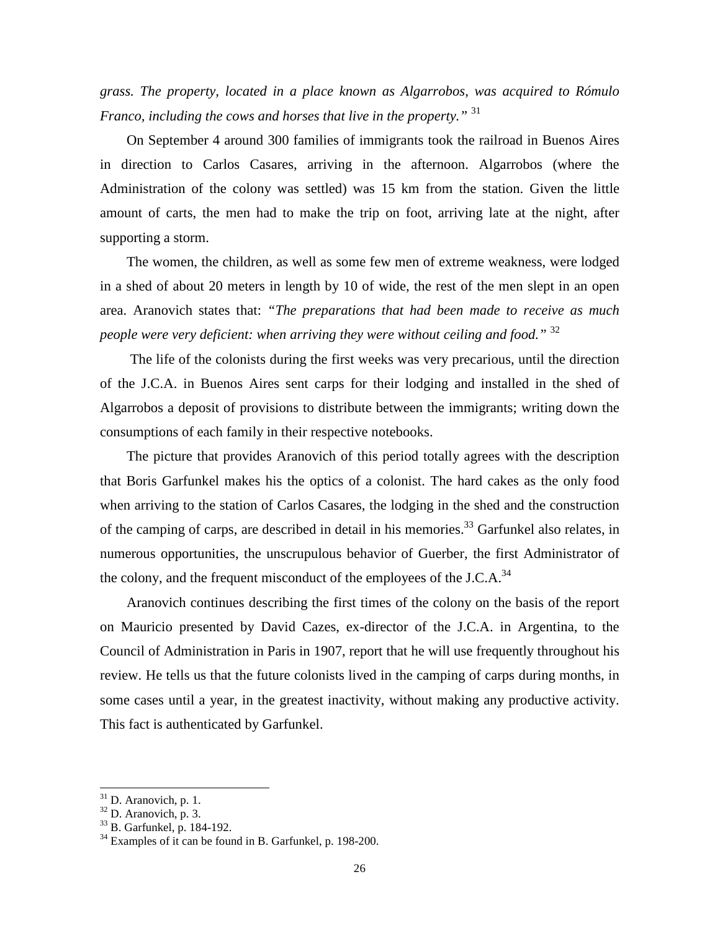*grass. The property, located in a place known as Algarrobos, was acquired to Rómulo Franco, including the cows and horses that live in the property."* <sup>31</sup>

On September 4 around 300 families of immigrants took the railroad in Buenos Aires in direction to Carlos Casares, arriving in the afternoon. Algarrobos (where the Administration of the colony was settled) was 15 km from the station. Given the little amount of carts, the men had to make the trip on foot, arriving late at the night, after supporting a storm.

The women, the children, as well as some few men of extreme weakness, were lodged in a shed of about 20 meters in length by 10 of wide, the rest of the men slept in an open area. Aranovich states that: *"The preparations that had been made to receive as much people were very deficient: when arriving they were without ceiling and food.*" <sup>32</sup>

 The life of the colonists during the first weeks was very precarious, until the direction of the J.C.A. in Buenos Aires sent carps for their lodging and installed in the shed of Algarrobos a deposit of provisions to distribute between the immigrants; writing down the consumptions of each family in their respective notebooks.

The picture that provides Aranovich of this period totally agrees with the description that Boris Garfunkel makes his the optics of a colonist. The hard cakes as the only food when arriving to the station of Carlos Casares, the lodging in the shed and the construction of the camping of carps, are described in detail in his memories.<sup>33</sup> Garfunkel also relates, in numerous opportunities, the unscrupulous behavior of Guerber, the first Administrator of the colony, and the frequent misconduct of the employees of the J.C.A. $^{34}$ 

Aranovich continues describing the first times of the colony on the basis of the report on Mauricio presented by David Cazes, ex-director of the J.C.A. in Argentina, to the Council of Administration in Paris in 1907, report that he will use frequently throughout his review. He tells us that the future colonists lived in the camping of carps during months, in some cases until a year, in the greatest inactivity, without making any productive activity. This fact is authenticated by Garfunkel.

 $31$  D. Aranovich, p. 1.

 $32$  D. Aranovich, p. 3.

<sup>33</sup> B. Garfunkel, p. 184-192.

 $34$  Examples of it can be found in B. Garfunkel, p. 198-200.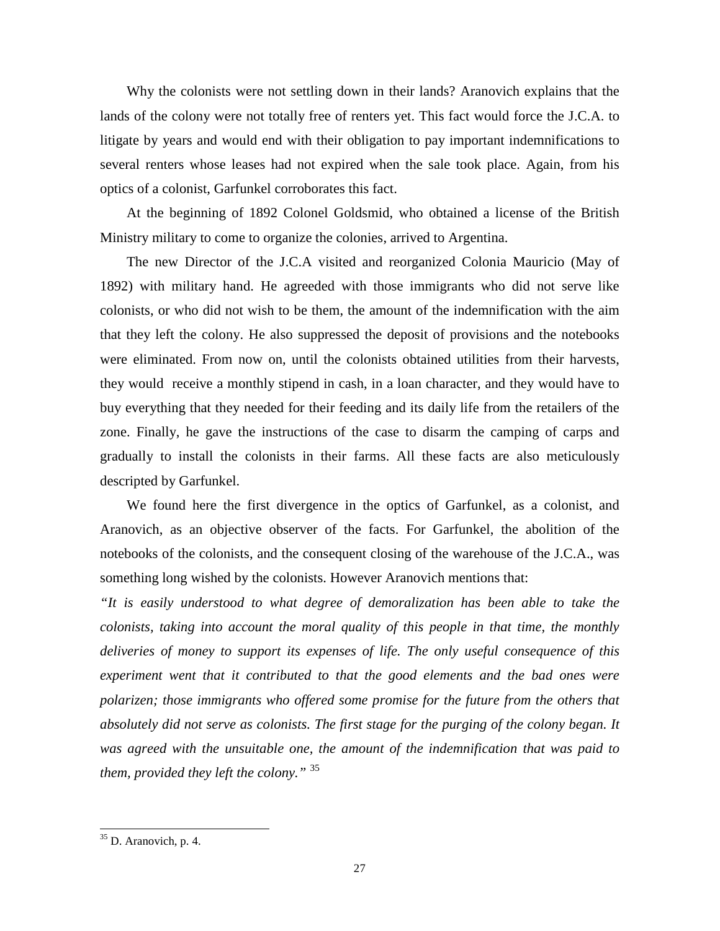Why the colonists were not settling down in their lands? Aranovich explains that the lands of the colony were not totally free of renters yet. This fact would force the J.C.A. to litigate by years and would end with their obligation to pay important indemnifications to several renters whose leases had not expired when the sale took place. Again, from his optics of a colonist, Garfunkel corroborates this fact.

At the beginning of 1892 Colonel Goldsmid, who obtained a license of the British Ministry military to come to organize the colonies, arrived to Argentina.

The new Director of the J.C.A visited and reorganized Colonia Mauricio (May of 1892) with military hand. He agreeded with those immigrants who did not serve like colonists, or who did not wish to be them, the amount of the indemnification with the aim that they left the colony. He also suppressed the deposit of provisions and the notebooks were eliminated. From now on, until the colonists obtained utilities from their harvests, they would receive a monthly stipend in cash, in a loan character, and they would have to buy everything that they needed for their feeding and its daily life from the retailers of the zone. Finally, he gave the instructions of the case to disarm the camping of carps and gradually to install the colonists in their farms. All these facts are also meticulously descripted by Garfunkel.

We found here the first divergence in the optics of Garfunkel, as a colonist, and Aranovich, as an objective observer of the facts. For Garfunkel, the abolition of the notebooks of the colonists, and the consequent closing of the warehouse of the J.C.A., was something long wished by the colonists. However Aranovich mentions that:

*"It is easily understood to what degree of demoralization has been able to take the colonists, taking into account the moral quality of this people in that time, the monthly deliveries of money to support its expenses of life. The only useful consequence of this experiment went that it contributed to that the good elements and the bad ones were polarizen; those immigrants who offered some promise for the future from the others that absolutely did not serve as colonists. The first stage for the purging of the colony began. It was agreed with the unsuitable one, the amount of the indemnification that was paid to them, provided they left the colony."* <sup>35</sup>

<sup>&</sup>lt;sup>35</sup> D. Aranovich, p. 4.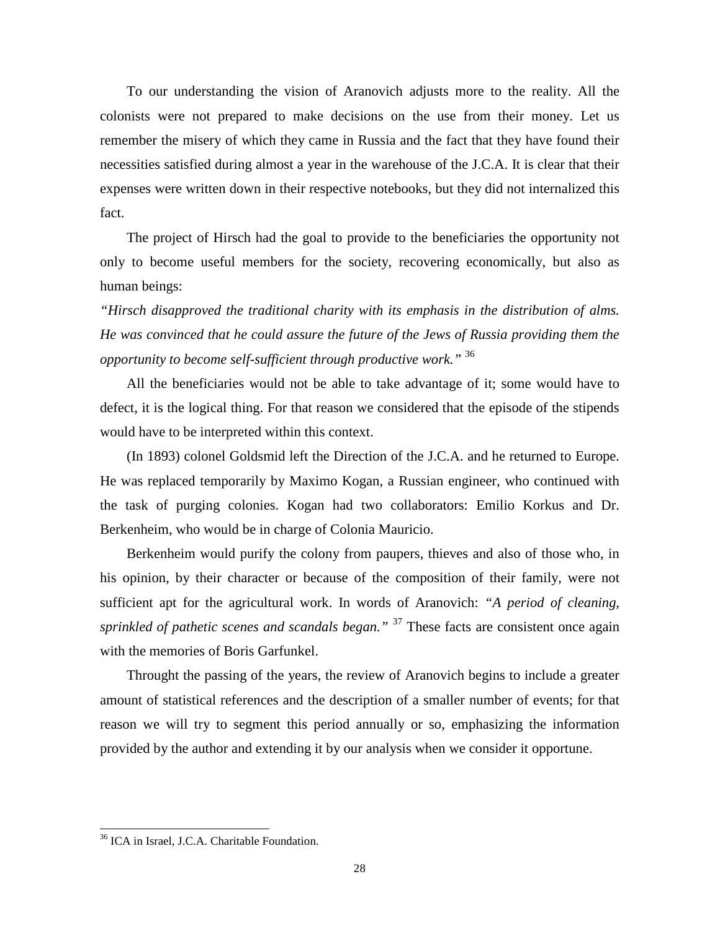To our understanding the vision of Aranovich adjusts more to the reality. All the colonists were not prepared to make decisions on the use from their money. Let us remember the misery of which they came in Russia and the fact that they have found their necessities satisfied during almost a year in the warehouse of the J.C.A. It is clear that their expenses were written down in their respective notebooks, but they did not internalized this fact.

The project of Hirsch had the goal to provide to the beneficiaries the opportunity not only to become useful members for the society, recovering economically, but also as human beings:

*"Hirsch disapproved the traditional charity with its emphasis in the distribution of alms. He was convinced that he could assure the future of the Jews of Russia providing them the opportunity to become self-sufficient through productive work."* <sup>36</sup>

All the beneficiaries would not be able to take advantage of it; some would have to defect, it is the logical thing. For that reason we considered that the episode of the stipends would have to be interpreted within this context.

(In 1893) colonel Goldsmid left the Direction of the J.C.A. and he returned to Europe. He was replaced temporarily by Maximo Kogan, a Russian engineer, who continued with the task of purging colonies. Kogan had two collaborators: Emilio Korkus and Dr. Berkenheim, who would be in charge of Colonia Mauricio.

Berkenheim would purify the colony from paupers, thieves and also of those who, in his opinion, by their character or because of the composition of their family, were not sufficient apt for the agricultural work. In words of Aranovich: *"A period of cleaning, sprinkled of pathetic scenes and scandals began.*"<sup>37</sup> These facts are consistent once again with the memories of Boris Garfunkel.

Throught the passing of the years, the review of Aranovich begins to include a greater amount of statistical references and the description of a smaller number of events; for that reason we will try to segment this period annually or so, emphasizing the information provided by the author and extending it by our analysis when we consider it opportune.

<sup>36</sup> ICA in Israel, J.C.A. Charitable Foundation.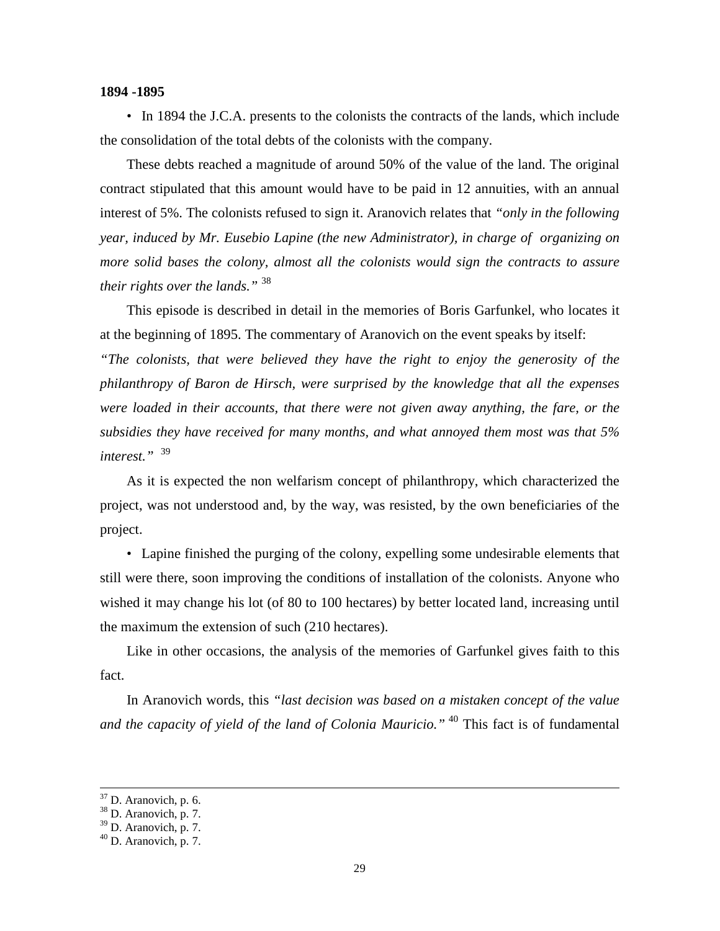#### **1894 -1895**

• In 1894 the J.C.A. presents to the colonists the contracts of the lands, which include the consolidation of the total debts of the colonists with the company.

These debts reached a magnitude of around 50% of the value of the land. The original contract stipulated that this amount would have to be paid in 12 annuities, with an annual interest of 5%. The colonists refused to sign it. Aranovich relates that *"only in the following year, induced by Mr. Eusebio Lapine (the new Administrator), in charge of organizing on more solid bases the colony, almost all the colonists would sign the contracts to assure their rights over the lands."* <sup>38</sup>

This episode is described in detail in the memories of Boris Garfunkel, who locates it at the beginning of 1895. The commentary of Aranovich on the event speaks by itself:

*"The colonists, that were believed they have the right to enjoy the generosity of the philanthropy of Baron de Hirsch, were surprised by the knowledge that all the expenses were loaded in their accounts, that there were not given away anything, the fare, or the subsidies they have received for many months, and what annoyed them most was that 5% interest."* 39

As it is expected the non welfarism concept of philanthropy, which characterized the project, was not understood and, by the way, was resisted, by the own beneficiaries of the project.

• Lapine finished the purging of the colony, expelling some undesirable elements that still were there, soon improving the conditions of installation of the colonists. Anyone who wished it may change his lot (of 80 to 100 hectares) by better located land, increasing until the maximum the extension of such (210 hectares).

Like in other occasions, the analysis of the memories of Garfunkel gives faith to this fact.

In Aranovich words, this *"last decision was based on a mistaken concept of the value and the capacity of yield of the land of Colonia Mauricio."*<sup>40</sup> This fact is of fundamental

-

 $37$  D. Aranovich, p. 6.

 $38$  D. Aranovich, p. 7.

<sup>39</sup> D. Aranovich, p. 7.

 $40$  D. Aranovich, p. 7.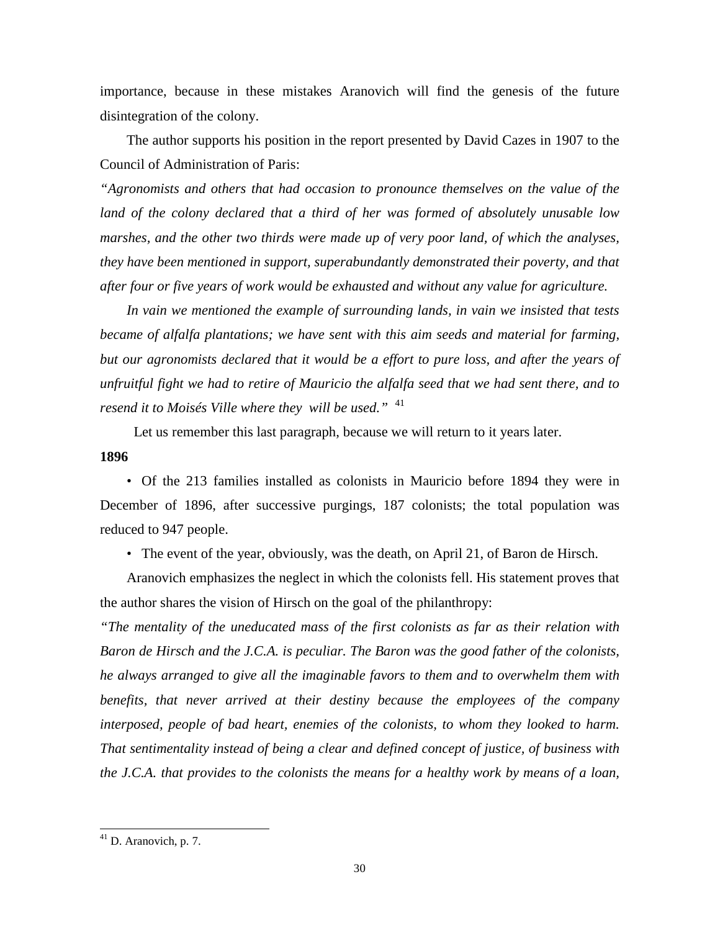importance, because in these mistakes Aranovich will find the genesis of the future disintegration of the colony.

The author supports his position in the report presented by David Cazes in 1907 to the Council of Administration of Paris:

*"Agronomists and others that had occasion to pronounce themselves on the value of the land of the colony declared that a third of her was formed of absolutely unusable low marshes, and the other two thirds were made up of very poor land, of which the analyses, they have been mentioned in support, superabundantly demonstrated their poverty, and that after four or five years of work would be exhausted and without any value for agriculture.* 

*In vain we mentioned the example of surrounding lands, in vain we insisted that tests became of alfalfa plantations; we have sent with this aim seeds and material for farming, but our agronomists declared that it would be a effort to pure loss, and after the years of unfruitful fight we had to retire of Mauricio the alfalfa seed that we had sent there, and to resend it to Moisés Ville where they will be used."* <sup>41</sup>

Let us remember this last paragraph, because we will return to it years later.

#### **1896**

• Of the 213 families installed as colonists in Mauricio before 1894 they were in December of 1896, after successive purgings, 187 colonists; the total population was reduced to 947 people.

• The event of the year, obviously, was the death, on April 21, of Baron de Hirsch.

Aranovich emphasizes the neglect in which the colonists fell. His statement proves that the author shares the vision of Hirsch on the goal of the philanthropy:

*"The mentality of the uneducated mass of the first colonists as far as their relation with Baron de Hirsch and the J.C.A. is peculiar. The Baron was the good father of the colonists, he always arranged to give all the imaginable favors to them and to overwhelm them with benefits, that never arrived at their destiny because the employees of the company interposed, people of bad heart, enemies of the colonists, to whom they looked to harm. That sentimentality instead of being a clear and defined concept of justice, of business with the J.C.A. that provides to the colonists the means for a healthy work by means of a loan,* 

 $41$  D. Aranovich, p. 7.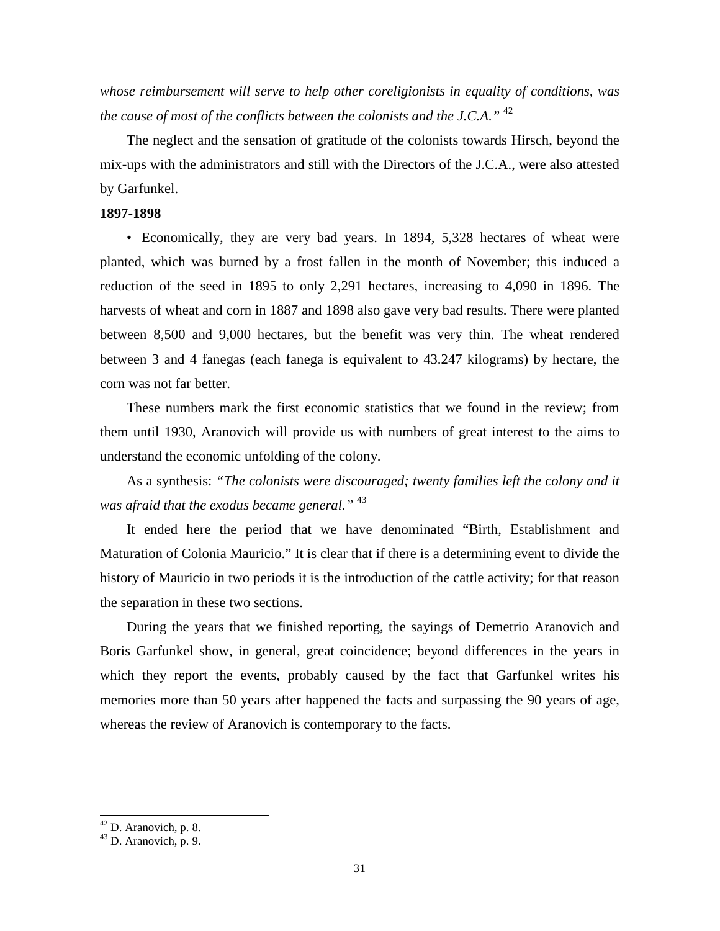*whose reimbursement will serve to help other coreligionists in equality of conditions, was the cause of most of the conflicts between the colonists and the J.C.A."* <sup>42</sup>

The neglect and the sensation of gratitude of the colonists towards Hirsch, beyond the mix-ups with the administrators and still with the Directors of the J.C.A., were also attested by Garfunkel.

## **1897-1898**

• Economically, they are very bad years. In 1894, 5,328 hectares of wheat were planted, which was burned by a frost fallen in the month of November; this induced a reduction of the seed in 1895 to only 2,291 hectares, increasing to 4,090 in 1896. The harvests of wheat and corn in 1887 and 1898 also gave very bad results. There were planted between 8,500 and 9,000 hectares, but the benefit was very thin. The wheat rendered between 3 and 4 fanegas (each fanega is equivalent to 43.247 kilograms) by hectare, the corn was not far better.

These numbers mark the first economic statistics that we found in the review; from them until 1930, Aranovich will provide us with numbers of great interest to the aims to understand the economic unfolding of the colony.

As a synthesis: *"The colonists were discouraged; twenty families left the colony and it was afraid that the exodus became general."* <sup>43</sup>

It ended here the period that we have denominated "Birth, Establishment and Maturation of Colonia Mauricio." It is clear that if there is a determining event to divide the history of Mauricio in two periods it is the introduction of the cattle activity; for that reason the separation in these two sections.

During the years that we finished reporting, the sayings of Demetrio Aranovich and Boris Garfunkel show, in general, great coincidence; beyond differences in the years in which they report the events, probably caused by the fact that Garfunkel writes his memories more than 50 years after happened the facts and surpassing the 90 years of age, whereas the review of Aranovich is contemporary to the facts.

 $42$  D. Aranovich, p. 8.

<sup>43</sup> D. Aranovich, p. 9.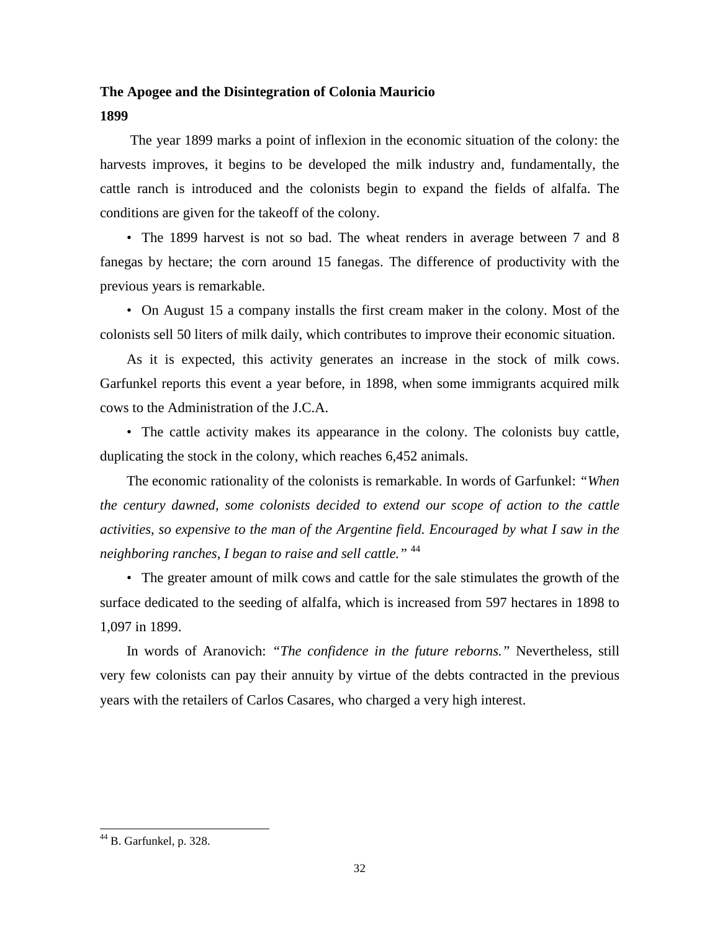## **The Apogee and the Disintegration of Colonia Mauricio**

**1899** 

 The year 1899 marks a point of inflexion in the economic situation of the colony: the harvests improves, it begins to be developed the milk industry and, fundamentally, the cattle ranch is introduced and the colonists begin to expand the fields of alfalfa. The conditions are given for the takeoff of the colony.

• The 1899 harvest is not so bad. The wheat renders in average between 7 and 8 fanegas by hectare; the corn around 15 fanegas. The difference of productivity with the previous years is remarkable.

• On August 15 a company installs the first cream maker in the colony. Most of the colonists sell 50 liters of milk daily, which contributes to improve their economic situation.

As it is expected, this activity generates an increase in the stock of milk cows. Garfunkel reports this event a year before, in 1898, when some immigrants acquired milk cows to the Administration of the J.C.A.

• The cattle activity makes its appearance in the colony. The colonists buy cattle, duplicating the stock in the colony, which reaches 6,452 animals.

The economic rationality of the colonists is remarkable. In words of Garfunkel: *"When the century dawned, some colonists decided to extend our scope of action to the cattle activities, so expensive to the man of the Argentine field. Encouraged by what I saw in the neighboring ranches, I began to raise and sell cattle."* <sup>44</sup>

• The greater amount of milk cows and cattle for the sale stimulates the growth of the surface dedicated to the seeding of alfalfa, which is increased from 597 hectares in 1898 to 1,097 in 1899.

In words of Aranovich: *"The confidence in the future reborns."* Nevertheless, still very few colonists can pay their annuity by virtue of the debts contracted in the previous years with the retailers of Carlos Casares, who charged a very high interest.

 $44$  B. Garfunkel, p. 328.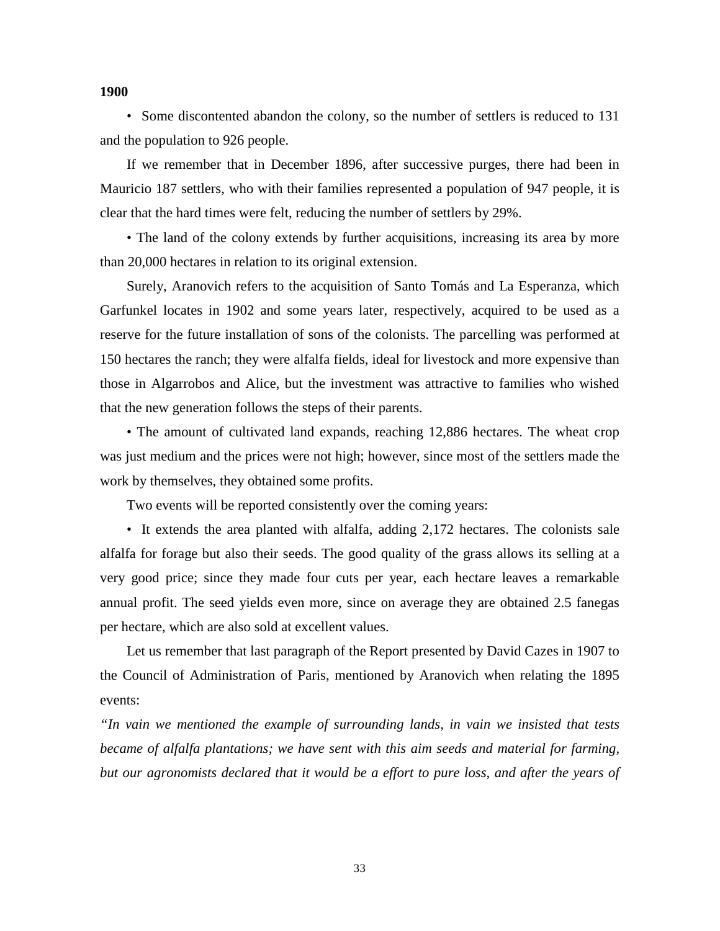#### **1900**

• Some discontented abandon the colony, so the number of settlers is reduced to 131 and the population to 926 people.

If we remember that in December 1896, after successive purges, there had been in Mauricio 187 settlers, who with their families represented a population of 947 people, it is clear that the hard times were felt, reducing the number of settlers by 29%.

• The land of the colony extends by further acquisitions, increasing its area by more than 20,000 hectares in relation to its original extension.

Surely, Aranovich refers to the acquisition of Santo Tomás and La Esperanza, which Garfunkel locates in 1902 and some years later, respectively, acquired to be used as a reserve for the future installation of sons of the colonists. The parcelling was performed at 150 hectares the ranch; they were alfalfa fields, ideal for livestock and more expensive than those in Algarrobos and Alice, but the investment was attractive to families who wished that the new generation follows the steps of their parents.

• The amount of cultivated land expands, reaching 12,886 hectares. The wheat crop was just medium and the prices were not high; however, since most of the settlers made the work by themselves, they obtained some profits.

Two events will be reported consistently over the coming years:

• It extends the area planted with alfalfa, adding 2,172 hectares. The colonists sale alfalfa for forage but also their seeds. The good quality of the grass allows its selling at a very good price; since they made four cuts per year, each hectare leaves a remarkable annual profit. The seed yields even more, since on average they are obtained 2.5 fanegas per hectare, which are also sold at excellent values.

Let us remember that last paragraph of the Report presented by David Cazes in 1907 to the Council of Administration of Paris, mentioned by Aranovich when relating the 1895 events:

*"In vain we mentioned the example of surrounding lands, in vain we insisted that tests became of alfalfa plantations; we have sent with this aim seeds and material for farming, but our agronomists declared that it would be a effort to pure loss, and after the years of*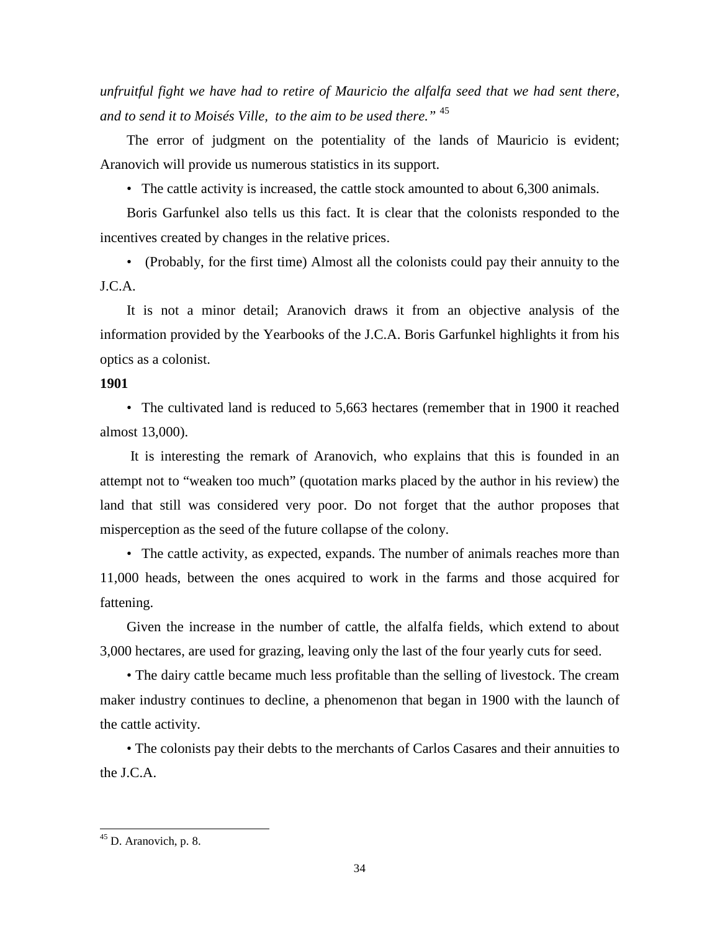*unfruitful fight we have had to retire of Mauricio the alfalfa seed that we had sent there, and to send it to Moisés Ville, to the aim to be used there."* <sup>45</sup>

The error of judgment on the potentiality of the lands of Mauricio is evident; Aranovich will provide us numerous statistics in its support.

• The cattle activity is increased, the cattle stock amounted to about 6,300 animals.

Boris Garfunkel also tells us this fact. It is clear that the colonists responded to the incentives created by changes in the relative prices.

• (Probably, for the first time) Almost all the colonists could pay their annuity to the J.C.A.

It is not a minor detail; Aranovich draws it from an objective analysis of the information provided by the Yearbooks of the J.C.A. Boris Garfunkel highlights it from his optics as a colonist.

## **1901**

• The cultivated land is reduced to 5,663 hectares (remember that in 1900 it reached almost 13,000).

 It is interesting the remark of Aranovich, who explains that this is founded in an attempt not to "weaken too much" (quotation marks placed by the author in his review) the land that still was considered very poor. Do not forget that the author proposes that misperception as the seed of the future collapse of the colony.

• The cattle activity, as expected, expands. The number of animals reaches more than 11,000 heads, between the ones acquired to work in the farms and those acquired for fattening.

Given the increase in the number of cattle, the alfalfa fields, which extend to about 3,000 hectares, are used for grazing, leaving only the last of the four yearly cuts for seed.

• The dairy cattle became much less profitable than the selling of livestock. The cream maker industry continues to decline, a phenomenon that began in 1900 with the launch of the cattle activity.

• The colonists pay their debts to the merchants of Carlos Casares and their annuities to the J.C.A.

<sup>&</sup>lt;sup>45</sup> D. Aranovich, p. 8.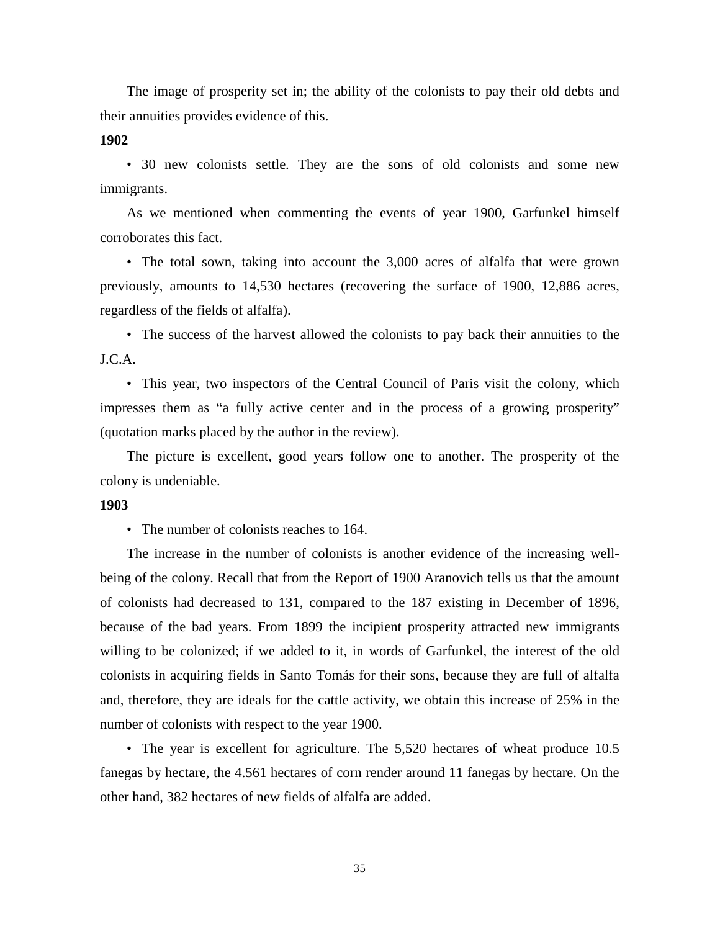The image of prosperity set in; the ability of the colonists to pay their old debts and their annuities provides evidence of this.

**1902** 

• 30 new colonists settle. They are the sons of old colonists and some new immigrants.

As we mentioned when commenting the events of year 1900, Garfunkel himself corroborates this fact.

• The total sown, taking into account the 3,000 acres of alfalfa that were grown previously, amounts to 14,530 hectares (recovering the surface of 1900, 12,886 acres, regardless of the fields of alfalfa).

• The success of the harvest allowed the colonists to pay back their annuities to the J.C.A.

• This year, two inspectors of the Central Council of Paris visit the colony, which impresses them as "a fully active center and in the process of a growing prosperity" (quotation marks placed by the author in the review).

The picture is excellent, good years follow one to another. The prosperity of the colony is undeniable.

#### **1903**

• The number of colonists reaches to 164.

The increase in the number of colonists is another evidence of the increasing wellbeing of the colony. Recall that from the Report of 1900 Aranovich tells us that the amount of colonists had decreased to 131, compared to the 187 existing in December of 1896, because of the bad years. From 1899 the incipient prosperity attracted new immigrants willing to be colonized; if we added to it, in words of Garfunkel, the interest of the old colonists in acquiring fields in Santo Tomás for their sons, because they are full of alfalfa and, therefore, they are ideals for the cattle activity, we obtain this increase of 25% in the number of colonists with respect to the year 1900.

• The year is excellent for agriculture. The 5,520 hectares of wheat produce 10.5 fanegas by hectare, the 4.561 hectares of corn render around 11 fanegas by hectare. On the other hand, 382 hectares of new fields of alfalfa are added.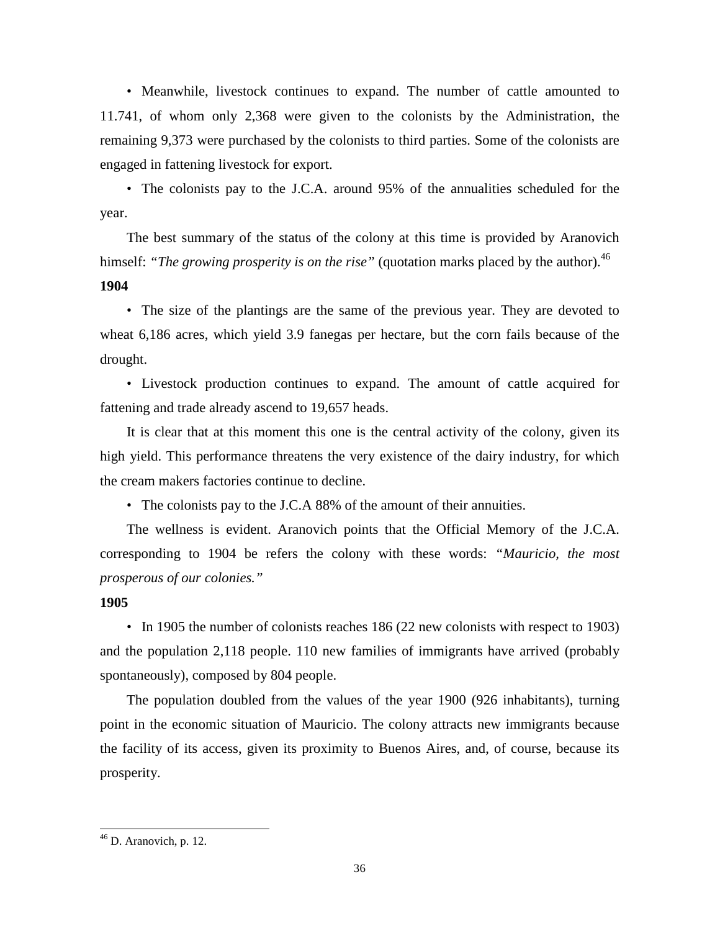• Meanwhile, livestock continues to expand. The number of cattle amounted to 11.741, of whom only 2,368 were given to the colonists by the Administration, the remaining 9,373 were purchased by the colonists to third parties. Some of the colonists are engaged in fattening livestock for export.

• The colonists pay to the J.C.A. around 95% of the annualities scheduled for the year.

The best summary of the status of the colony at this time is provided by Aranovich himself: "The growing prosperity is on the rise" (quotation marks placed by the author).<sup>46</sup> **1904** 

• The size of the plantings are the same of the previous year. They are devoted to wheat 6,186 acres, which yield 3.9 fanegas per hectare, but the corn fails because of the drought.

• Livestock production continues to expand. The amount of cattle acquired for fattening and trade already ascend to 19,657 heads.

It is clear that at this moment this one is the central activity of the colony, given its high yield. This performance threatens the very existence of the dairy industry, for which the cream makers factories continue to decline.

• The colonists pay to the J.C.A 88% of the amount of their annuities.

The wellness is evident. Aranovich points that the Official Memory of the J.C.A. corresponding to 1904 be refers the colony with these words: *"Mauricio, the most prosperous of our colonies."* 

## **1905**

• In 1905 the number of colonists reaches 186 (22 new colonists with respect to 1903) and the population 2,118 people. 110 new families of immigrants have arrived (probably spontaneously), composed by 804 people.

The population doubled from the values of the year 1900 (926 inhabitants), turning point in the economic situation of Mauricio. The colony attracts new immigrants because the facility of its access, given its proximity to Buenos Aires, and, of course, because its prosperity.

 $46$  D. Aranovich, p. 12.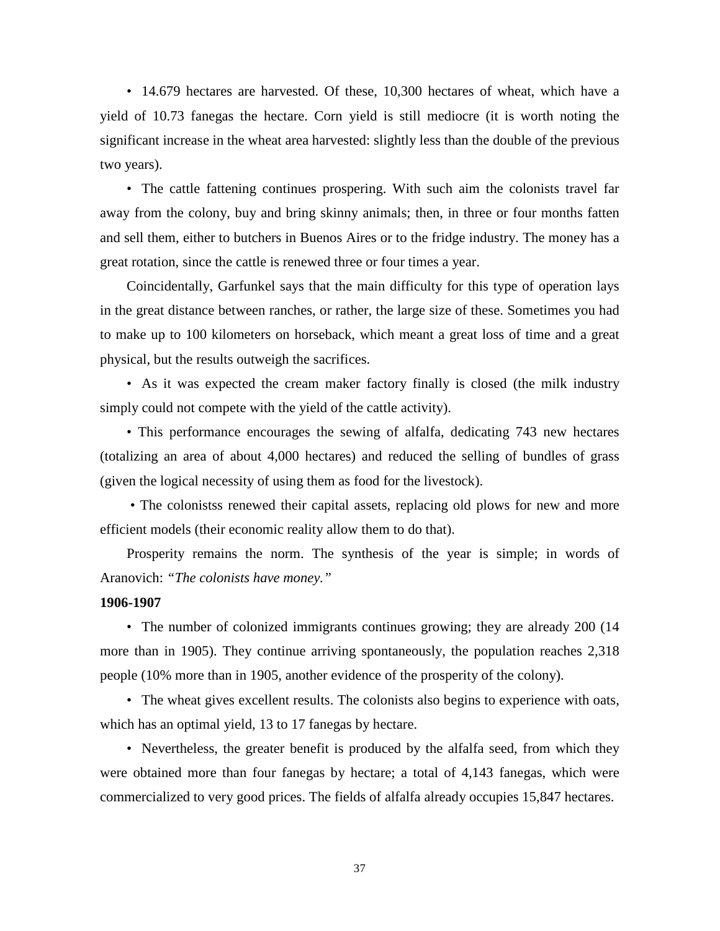• 14.679 hectares are harvested. Of these, 10,300 hectares of wheat, which have a yield of 10.73 fanegas the hectare. Corn yield is still mediocre (it is worth noting the significant increase in the wheat area harvested: slightly less than the double of the previous two years).

• The cattle fattening continues prospering. With such aim the colonists travel far away from the colony, buy and bring skinny animals; then, in three or four months fatten and sell them, either to butchers in Buenos Aires or to the fridge industry. The money has a great rotation, since the cattle is renewed three or four times a year.

Coincidentally, Garfunkel says that the main difficulty for this type of operation lays in the great distance between ranches, or rather, the large size of these. Sometimes you had to make up to 100 kilometers on horseback, which meant a great loss of time and a great physical, but the results outweigh the sacrifices.

• As it was expected the cream maker factory finally is closed (the milk industry simply could not compete with the yield of the cattle activity).

• This performance encourages the sewing of alfalfa, dedicating 743 new hectares (totalizing an area of about 4,000 hectares) and reduced the selling of bundles of grass (given the logical necessity of using them as food for the livestock).

 • The colonistss renewed their capital assets, replacing old plows for new and more efficient models (their economic reality allow them to do that).

Prosperity remains the norm. The synthesis of the year is simple; in words of Aranovich: *"The colonists have money."* 

## **1906-1907**

• The number of colonized immigrants continues growing; they are already 200 (14) more than in 1905). They continue arriving spontaneously, the population reaches 2,318 people (10% more than in 1905, another evidence of the prosperity of the colony).

• The wheat gives excellent results. The colonists also begins to experience with oats, which has an optimal yield, 13 to 17 fanegas by hectare.

• Nevertheless, the greater benefit is produced by the alfalfa seed, from which they were obtained more than four fanegas by hectare; a total of 4,143 fanegas, which were commercialized to very good prices. The fields of alfalfa already occupies 15,847 hectares.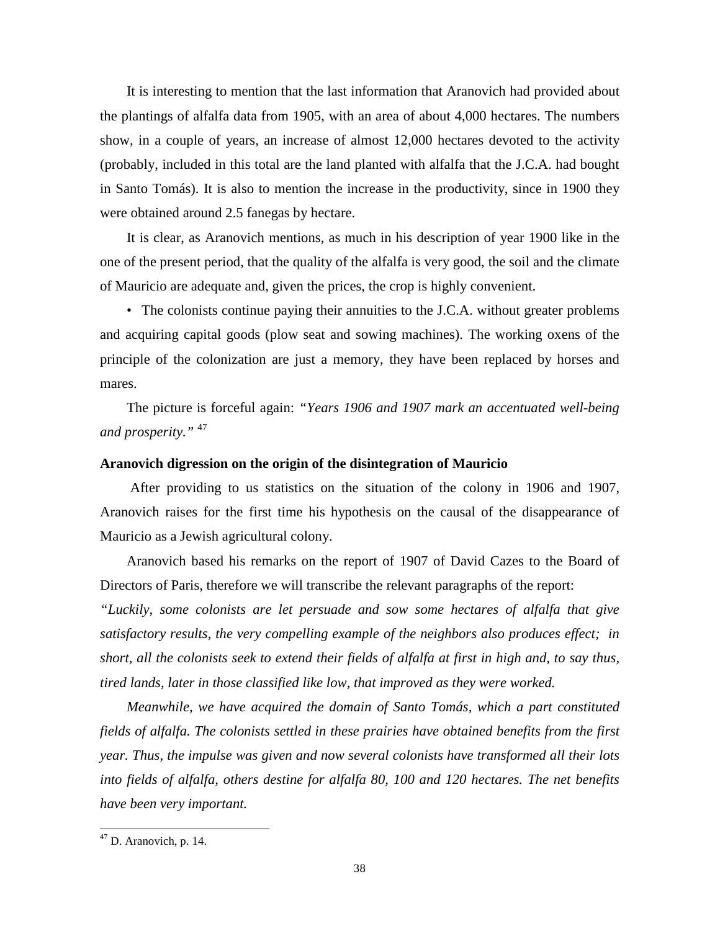It is interesting to mention that the last information that Aranovich had provided about the plantings of alfalfa data from 1905, with an area of about 4,000 hectares. The numbers show, in a couple of years, an increase of almost 12,000 hectares devoted to the activity (probably, included in this total are the land planted with alfalfa that the J.C.A. had bought in Santo Tomás). It is also to mention the increase in the productivity, since in 1900 they were obtained around 2.5 fanegas by hectare.

It is clear, as Aranovich mentions, as much in his description of year 1900 like in the one of the present period, that the quality of the alfalfa is very good, the soil and the climate of Mauricio are adequate and, given the prices, the crop is highly convenient.

• The colonists continue paying their annuities to the J.C.A. without greater problems and acquiring capital goods (plow seat and sowing machines). The working oxens of the principle of the colonization are just a memory, they have been replaced by horses and mares.

The picture is forceful again: *"Years 1906 and 1907 mark an accentuated well-being and prosperity."* <sup>47</sup>

#### **Aranovich digression on the origin of the disintegration of Mauricio**

 After providing to us statistics on the situation of the colony in 1906 and 1907, Aranovich raises for the first time his hypothesis on the causal of the disappearance of Mauricio as a Jewish agricultural colony.

Aranovich based his remarks on the report of 1907 of David Cazes to the Board of Directors of Paris, therefore we will transcribe the relevant paragraphs of the report:

*"Luckily, some colonists are let persuade and sow some hectares of alfalfa that give satisfactory results, the very compelling example of the neighbors also produces effect; in short, all the colonists seek to extend their fields of alfalfa at first in high and, to say thus, tired lands, later in those classified like low, that improved as they were worked.* 

*Meanwhile, we have acquired the domain of Santo Tomás, which a part constituted fields of alfalfa. The colonists settled in these prairies have obtained benefits from the first year. Thus, the impulse was given and now several colonists have transformed all their lots into fields of alfalfa, others destine for alfalfa 80, 100 and 120 hectares. The net benefits have been very important.* 

 $47$  D. Aranovich, p. 14.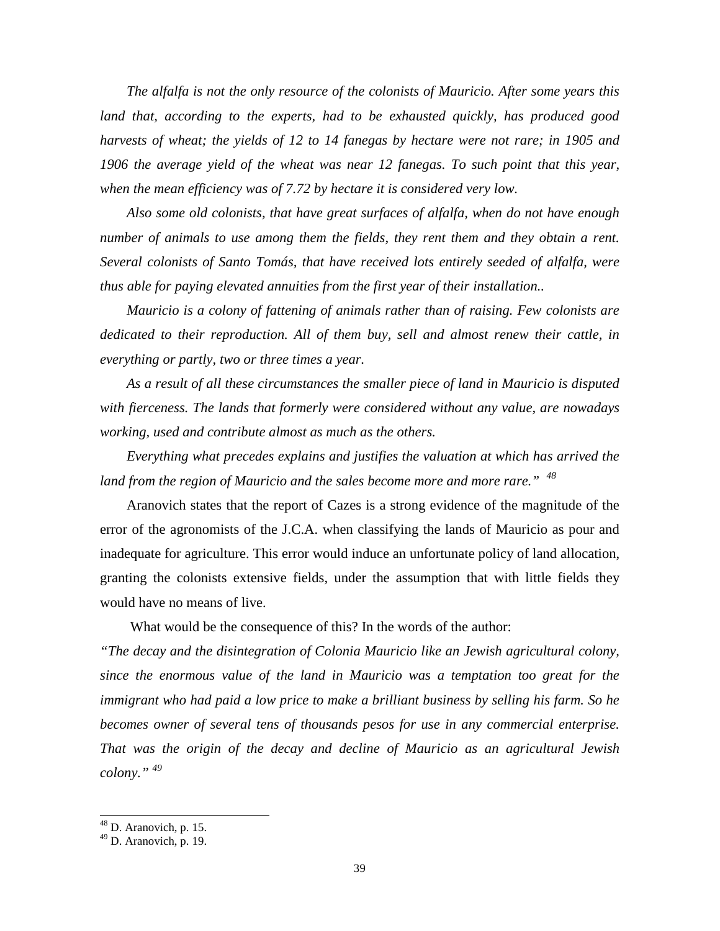*The alfalfa is not the only resource of the colonists of Mauricio. After some years this*  land that, according to the experts, had to be exhausted quickly, has produced good *harvests of wheat; the yields of 12 to 14 fanegas by hectare were not rare; in 1905 and 1906 the average yield of the wheat was near 12 fanegas. To such point that this year, when the mean efficiency was of 7.72 by hectare it is considered very low.* 

*Also some old colonists, that have great surfaces of alfalfa, when do not have enough number of animals to use among them the fields, they rent them and they obtain a rent. Several colonists of Santo Tomás, that have received lots entirely seeded of alfalfa, were thus able for paying elevated annuities from the first year of their installation..* 

*Mauricio is a colony of fattening of animals rather than of raising. Few colonists are dedicated to their reproduction. All of them buy, sell and almost renew their cattle, in everything or partly, two or three times a year.* 

*As a result of all these circumstances the smaller piece of land in Mauricio is disputed with fierceness. The lands that formerly were considered without any value, are nowadays working, used and contribute almost as much as the others.* 

*Everything what precedes explains and justifies the valuation at which has arrived the*  land from the region of Mauricio and the sales become more and more rare."<sup>48</sup>

Aranovich states that the report of Cazes is a strong evidence of the magnitude of the error of the agronomists of the J.C.A. when classifying the lands of Mauricio as pour and inadequate for agriculture. This error would induce an unfortunate policy of land allocation, granting the colonists extensive fields, under the assumption that with little fields they would have no means of live.

What would be the consequence of this? In the words of the author:

*"The decay and the disintegration of Colonia Mauricio like an Jewish agricultural colony, since the enormous value of the land in Mauricio was a temptation too great for the immigrant who had paid a low price to make a brilliant business by selling his farm. So he becomes owner of several tens of thousands pesos for use in any commercial enterprise. That was the origin of the decay and decline of Mauricio as an agricultural Jewish colony." <sup>49</sup>* 

 $48$  D. Aranovich, p. 15.

 $49$  D. Aranovich, p. 19.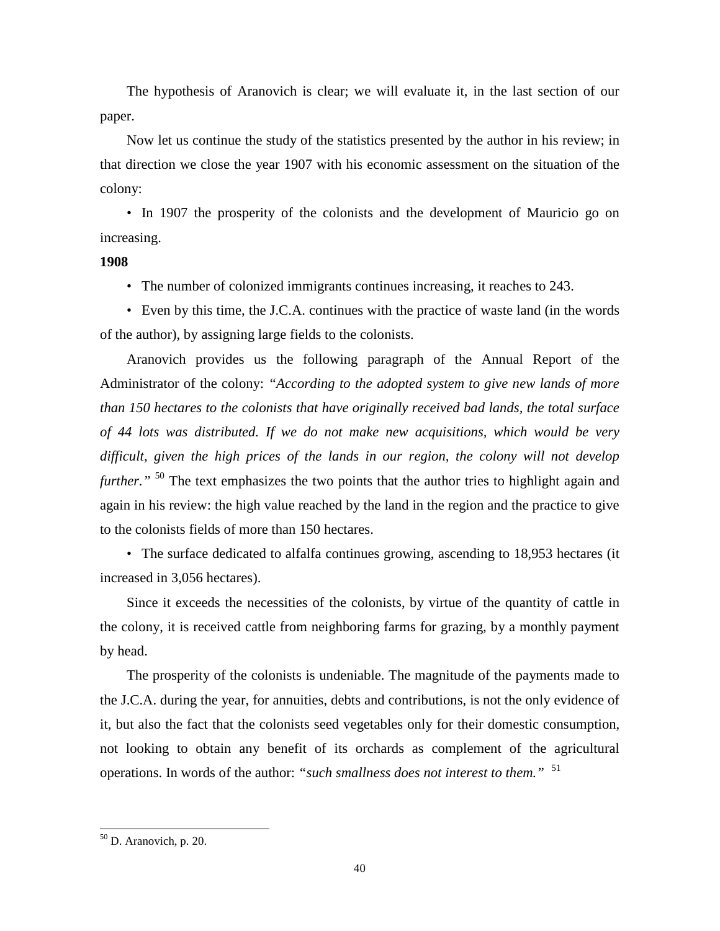The hypothesis of Aranovich is clear; we will evaluate it, in the last section of our paper.

Now let us continue the study of the statistics presented by the author in his review; in that direction we close the year 1907 with his economic assessment on the situation of the colony:

• In 1907 the prosperity of the colonists and the development of Mauricio go on increasing.

#### **1908**

• The number of colonized immigrants continues increasing, it reaches to 243.

• Even by this time, the J.C.A. continues with the practice of waste land (in the words of the author), by assigning large fields to the colonists.

Aranovich provides us the following paragraph of the Annual Report of the Administrator of the colony: *"According to the adopted system to give new lands of more than 150 hectares to the colonists that have originally received bad lands, the total surface of 44 lots was distributed. If we do not make new acquisitions, which would be very difficult, given the high prices of the lands in our region, the colony will not develop further.*"<sup>50</sup> The text emphasizes the two points that the author tries to highlight again and again in his review: the high value reached by the land in the region and the practice to give to the colonists fields of more than 150 hectares.

• The surface dedicated to alfalfa continues growing, ascending to 18,953 hectares (it increased in 3,056 hectares).

Since it exceeds the necessities of the colonists, by virtue of the quantity of cattle in the colony, it is received cattle from neighboring farms for grazing, by a monthly payment by head.

The prosperity of the colonists is undeniable. The magnitude of the payments made to the J.C.A. during the year, for annuities, debts and contributions, is not the only evidence of it, but also the fact that the colonists seed vegetables only for their domestic consumption, not looking to obtain any benefit of its orchards as complement of the agricultural operations. In words of the author: *"such smallness does not interest to them."* <sup>51</sup>

 $50$  D. Aranovich, p. 20.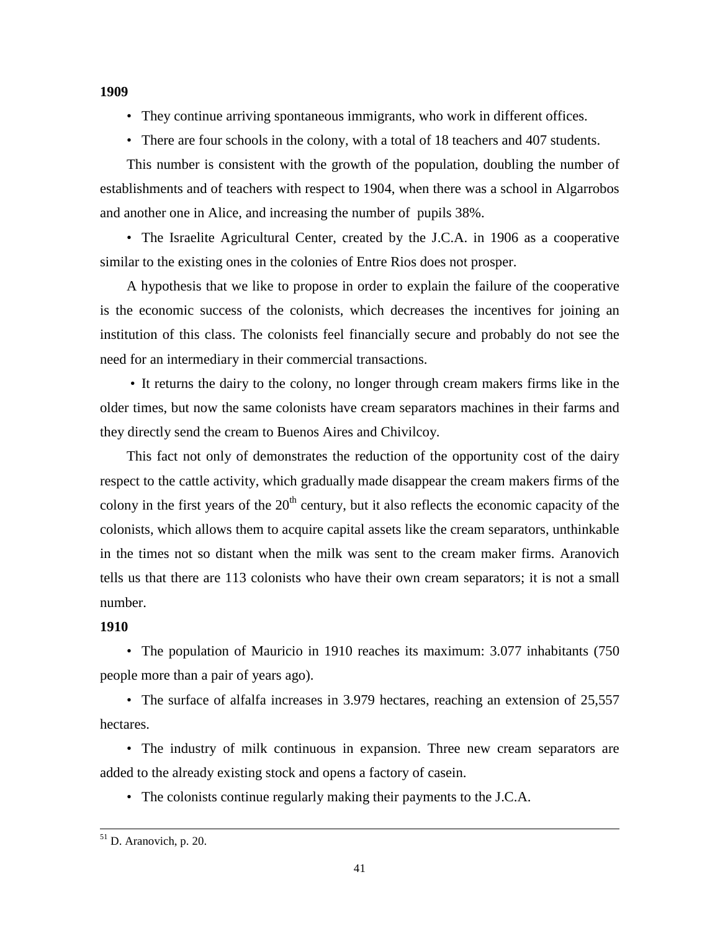• They continue arriving spontaneous immigrants, who work in different offices.

• There are four schools in the colony, with a total of 18 teachers and 407 students.

This number is consistent with the growth of the population, doubling the number of establishments and of teachers with respect to 1904, when there was a school in Algarrobos and another one in Alice, and increasing the number of pupils 38%.

• The Israelite Agricultural Center, created by the J.C.A. in 1906 as a cooperative similar to the existing ones in the colonies of Entre Rios does not prosper.

A hypothesis that we like to propose in order to explain the failure of the cooperative is the economic success of the colonists, which decreases the incentives for joining an institution of this class. The colonists feel financially secure and probably do not see the need for an intermediary in their commercial transactions.

 • It returns the dairy to the colony, no longer through cream makers firms like in the older times, but now the same colonists have cream separators machines in their farms and they directly send the cream to Buenos Aires and Chivilcoy.

This fact not only of demonstrates the reduction of the opportunity cost of the dairy respect to the cattle activity, which gradually made disappear the cream makers firms of the colony in the first years of the  $20<sup>th</sup>$  century, but it also reflects the economic capacity of the colonists, which allows them to acquire capital assets like the cream separators, unthinkable in the times not so distant when the milk was sent to the cream maker firms. Aranovich tells us that there are 113 colonists who have their own cream separators; it is not a small number.

## **1910**

• The population of Mauricio in 1910 reaches its maximum: 3.077 inhabitants (750) people more than a pair of years ago).

• The surface of alfalfa increases in 3.979 hectares, reaching an extension of 25,557 hectares.

• The industry of milk continuous in expansion. Three new cream separators are added to the already existing stock and opens a factory of casein.

• The colonists continue regularly making their payments to the J.C.A.

## **1909**

<sup>1</sup> <sup>51</sup> D. Aranovich, p. 20.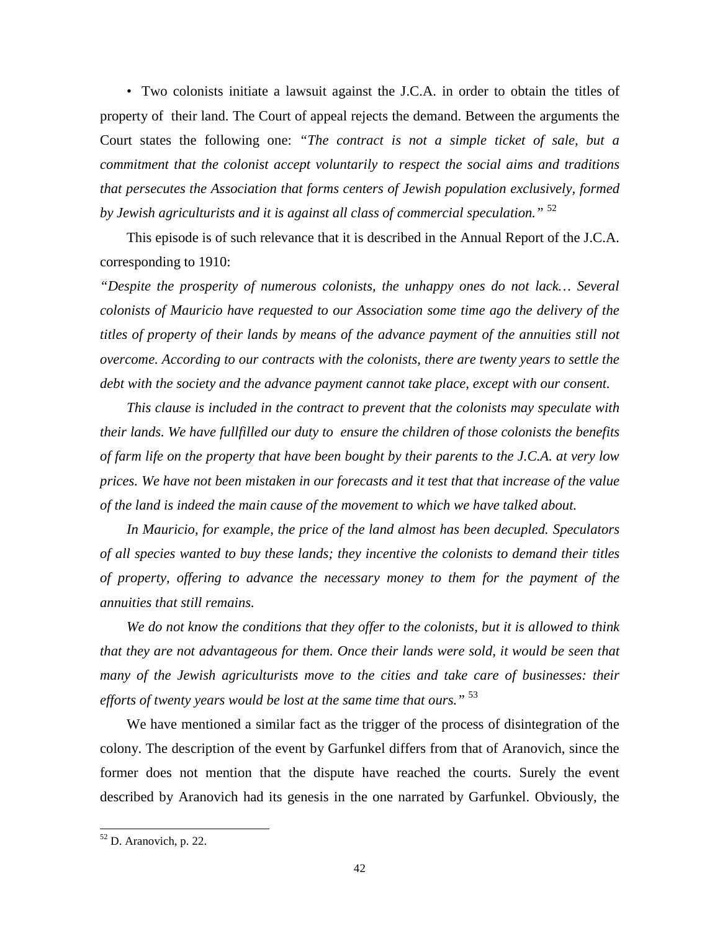• Two colonists initiate a lawsuit against the J.C.A. in order to obtain the titles of property of their land. The Court of appeal rejects the demand. Between the arguments the Court states the following one: *"The contract is not a simple ticket of sale, but a commitment that the colonist accept voluntarily to respect the social aims and traditions that persecutes the Association that forms centers of Jewish population exclusively, formed by Jewish agriculturists and it is against all class of commercial speculation."* <sup>52</sup>

This episode is of such relevance that it is described in the Annual Report of the J.C.A. corresponding to 1910:

*"Despite the prosperity of numerous colonists, the unhappy ones do not lack… Several colonists of Mauricio have requested to our Association some time ago the delivery of the titles of property of their lands by means of the advance payment of the annuities still not overcome. According to our contracts with the colonists, there are twenty years to settle the debt with the society and the advance payment cannot take place, except with our consent.* 

*This clause is included in the contract to prevent that the colonists may speculate with their lands. We have fullfilled our duty to ensure the children of those colonists the benefits of farm life on the property that have been bought by their parents to the J.C.A. at very low prices. We have not been mistaken in our forecasts and it test that that increase of the value of the land is indeed the main cause of the movement to which we have talked about.* 

*In Mauricio, for example, the price of the land almost has been decupled. Speculators of all species wanted to buy these lands; they incentive the colonists to demand their titles of property, offering to advance the necessary money to them for the payment of the annuities that still remains.* 

*We do not know the conditions that they offer to the colonists, but it is allowed to think that they are not advantageous for them. Once their lands were sold, it would be seen that many of the Jewish agriculturists move to the cities and take care of businesses: their efforts of twenty years would be lost at the same time that ours."* <sup>53</sup>

We have mentioned a similar fact as the trigger of the process of disintegration of the colony. The description of the event by Garfunkel differs from that of Aranovich, since the former does not mention that the dispute have reached the courts. Surely the event described by Aranovich had its genesis in the one narrated by Garfunkel. Obviously, the

 $52$  D. Aranovich, p. 22.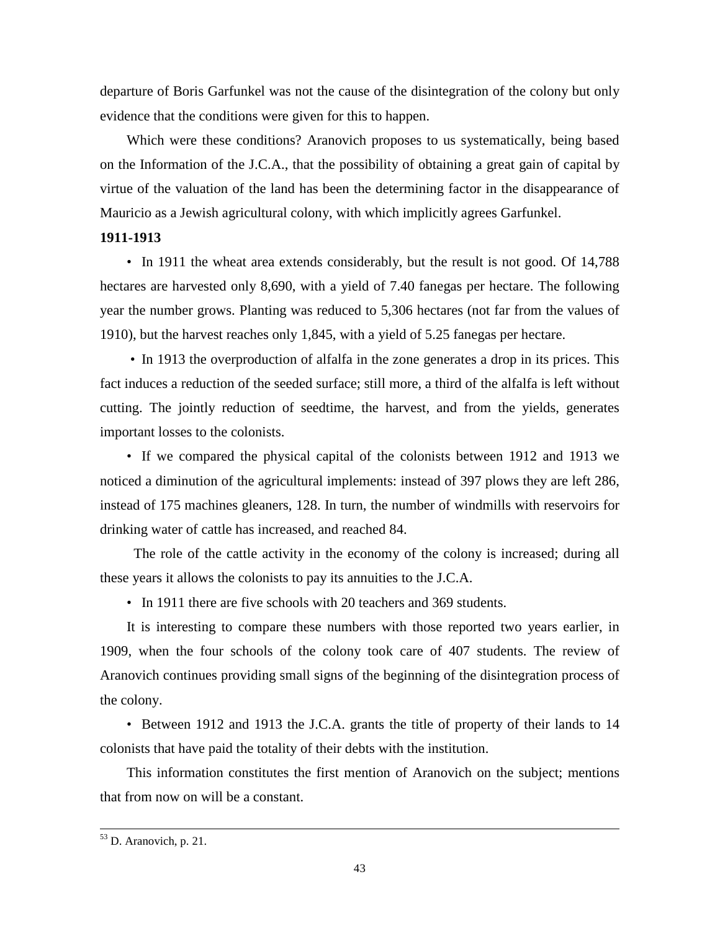departure of Boris Garfunkel was not the cause of the disintegration of the colony but only evidence that the conditions were given for this to happen.

Which were these conditions? Aranovich proposes to us systematically, being based on the Information of the J.C.A., that the possibility of obtaining a great gain of capital by virtue of the valuation of the land has been the determining factor in the disappearance of Mauricio as a Jewish agricultural colony, with which implicitly agrees Garfunkel.

## **1911-1913**

• In 1911 the wheat area extends considerably, but the result is not good. Of 14,788 hectares are harvested only 8,690, with a yield of 7.40 fanegas per hectare. The following year the number grows. Planting was reduced to 5,306 hectares (not far from the values of 1910), but the harvest reaches only 1,845, with a yield of 5.25 fanegas per hectare.

 • In 1913 the overproduction of alfalfa in the zone generates a drop in its prices. This fact induces a reduction of the seeded surface; still more, a third of the alfalfa is left without cutting. The jointly reduction of seedtime, the harvest, and from the yields, generates important losses to the colonists.

• If we compared the physical capital of the colonists between 1912 and 1913 we noticed a diminution of the agricultural implements: instead of 397 plows they are left 286, instead of 175 machines gleaners, 128. In turn, the number of windmills with reservoirs for drinking water of cattle has increased, and reached 84.

 The role of the cattle activity in the economy of the colony is increased; during all these years it allows the colonists to pay its annuities to the J.C.A.

• In 1911 there are five schools with 20 teachers and 369 students.

It is interesting to compare these numbers with those reported two years earlier, in 1909, when the four schools of the colony took care of 407 students. The review of Aranovich continues providing small signs of the beginning of the disintegration process of the colony.

• Between 1912 and 1913 the J.C.A. grants the title of property of their lands to 14 colonists that have paid the totality of their debts with the institution.

This information constitutes the first mention of Aranovich on the subject; mentions that from now on will be a constant.

1

<sup>&</sup>lt;sup>53</sup> D. Aranovich, p. 21.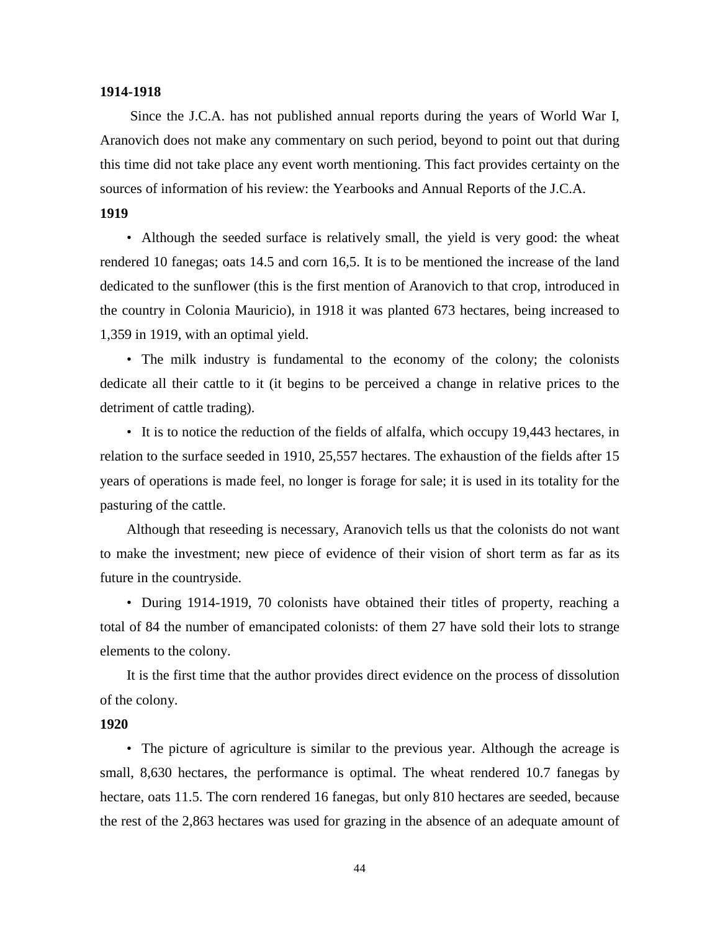#### **1914-1918**

 Since the J.C.A. has not published annual reports during the years of World War I, Aranovich does not make any commentary on such period, beyond to point out that during this time did not take place any event worth mentioning. This fact provides certainty on the sources of information of his review: the Yearbooks and Annual Reports of the J.C.A.

## **1919**

• Although the seeded surface is relatively small, the yield is very good: the wheat rendered 10 fanegas; oats 14.5 and corn 16,5. It is to be mentioned the increase of the land dedicated to the sunflower (this is the first mention of Aranovich to that crop, introduced in the country in Colonia Mauricio), in 1918 it was planted 673 hectares, being increased to 1,359 in 1919, with an optimal yield.

• The milk industry is fundamental to the economy of the colony; the colonists dedicate all their cattle to it (it begins to be perceived a change in relative prices to the detriment of cattle trading).

• It is to notice the reduction of the fields of alfalfa, which occupy 19,443 hectares, in relation to the surface seeded in 1910, 25,557 hectares. The exhaustion of the fields after 15 years of operations is made feel, no longer is forage for sale; it is used in its totality for the pasturing of the cattle.

Although that reseeding is necessary, Aranovich tells us that the colonists do not want to make the investment; new piece of evidence of their vision of short term as far as its future in the countryside.

• During 1914-1919, 70 colonists have obtained their titles of property, reaching a total of 84 the number of emancipated colonists: of them 27 have sold their lots to strange elements to the colony.

It is the first time that the author provides direct evidence on the process of dissolution of the colony.

## **1920**

• The picture of agriculture is similar to the previous year. Although the acreage is small, 8,630 hectares, the performance is optimal. The wheat rendered 10.7 fanegas by hectare, oats 11.5. The corn rendered 16 fanegas, but only 810 hectares are seeded, because the rest of the 2,863 hectares was used for grazing in the absence of an adequate amount of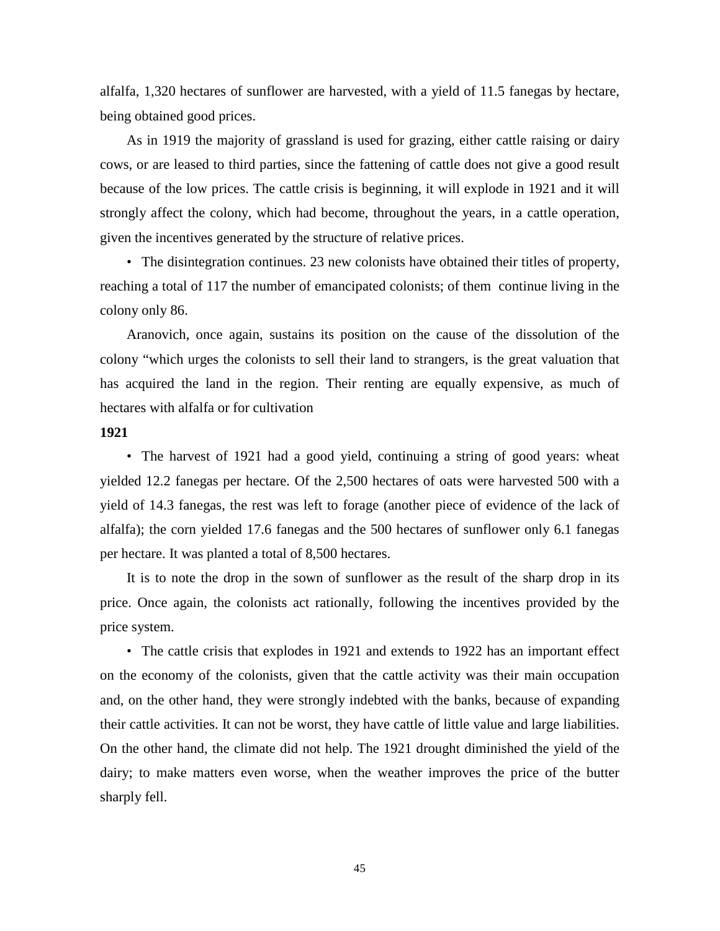alfalfa, 1,320 hectares of sunflower are harvested, with a yield of 11.5 fanegas by hectare, being obtained good prices.

As in 1919 the majority of grassland is used for grazing, either cattle raising or dairy cows, or are leased to third parties, since the fattening of cattle does not give a good result because of the low prices. The cattle crisis is beginning, it will explode in 1921 and it will strongly affect the colony, which had become, throughout the years, in a cattle operation, given the incentives generated by the structure of relative prices.

• The disintegration continues. 23 new colonists have obtained their titles of property, reaching a total of 117 the number of emancipated colonists; of them continue living in the colony only 86.

Aranovich, once again, sustains its position on the cause of the dissolution of the colony "which urges the colonists to sell their land to strangers, is the great valuation that has acquired the land in the region. Their renting are equally expensive, as much of hectares with alfalfa or for cultivation

#### **1921**

• The harvest of 1921 had a good yield, continuing a string of good years: wheat yielded 12.2 fanegas per hectare. Of the 2,500 hectares of oats were harvested 500 with a yield of 14.3 fanegas, the rest was left to forage (another piece of evidence of the lack of alfalfa); the corn yielded 17.6 fanegas and the 500 hectares of sunflower only 6.1 fanegas per hectare. It was planted a total of 8,500 hectares.

It is to note the drop in the sown of sunflower as the result of the sharp drop in its price. Once again, the colonists act rationally, following the incentives provided by the price system.

• The cattle crisis that explodes in 1921 and extends to 1922 has an important effect on the economy of the colonists, given that the cattle activity was their main occupation and, on the other hand, they were strongly indebted with the banks, because of expanding their cattle activities. It can not be worst, they have cattle of little value and large liabilities. On the other hand, the climate did not help. The 1921 drought diminished the yield of the dairy; to make matters even worse, when the weather improves the price of the butter sharply fell.

45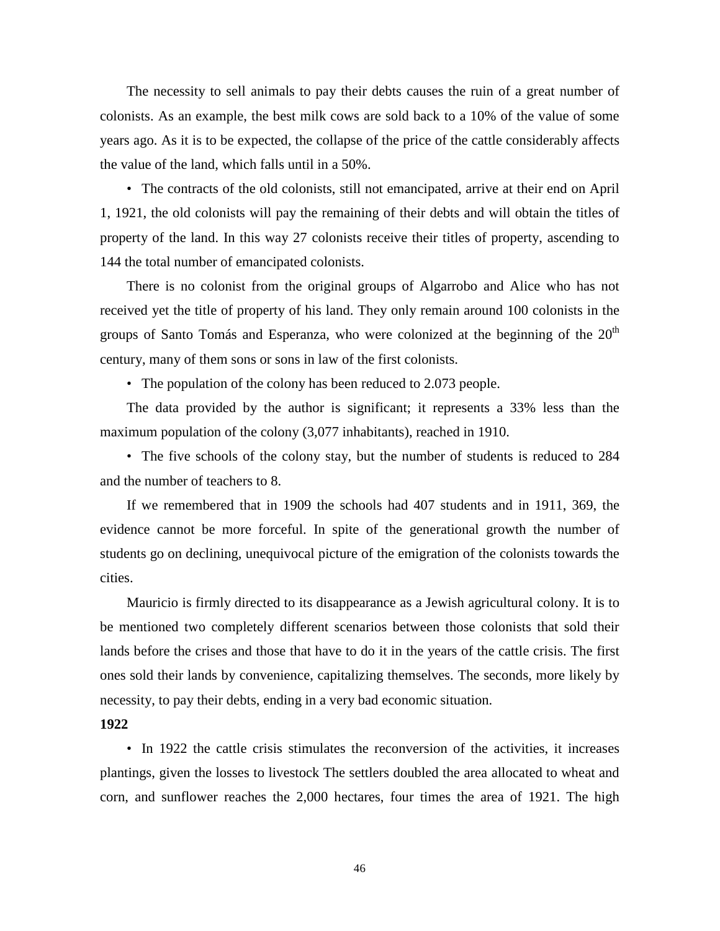The necessity to sell animals to pay their debts causes the ruin of a great number of colonists. As an example, the best milk cows are sold back to a 10% of the value of some years ago. As it is to be expected, the collapse of the price of the cattle considerably affects the value of the land, which falls until in a 50%.

• The contracts of the old colonists, still not emancipated, arrive at their end on April 1, 1921, the old colonists will pay the remaining of their debts and will obtain the titles of property of the land. In this way 27 colonists receive their titles of property, ascending to 144 the total number of emancipated colonists.

There is no colonist from the original groups of Algarrobo and Alice who has not received yet the title of property of his land. They only remain around 100 colonists in the groups of Santo Tomás and Esperanza, who were colonized at the beginning of the  $20<sup>th</sup>$ century, many of them sons or sons in law of the first colonists.

• The population of the colony has been reduced to 2.073 people.

The data provided by the author is significant; it represents a 33% less than the maximum population of the colony (3,077 inhabitants), reached in 1910.

• The five schools of the colony stay, but the number of students is reduced to 284 and the number of teachers to 8.

If we remembered that in 1909 the schools had 407 students and in 1911, 369, the evidence cannot be more forceful. In spite of the generational growth the number of students go on declining, unequivocal picture of the emigration of the colonists towards the cities.

Mauricio is firmly directed to its disappearance as a Jewish agricultural colony. It is to be mentioned two completely different scenarios between those colonists that sold their lands before the crises and those that have to do it in the years of the cattle crisis. The first ones sold their lands by convenience, capitalizing themselves. The seconds, more likely by necessity, to pay their debts, ending in a very bad economic situation.

## **1922**

• In 1922 the cattle crisis stimulates the reconversion of the activities, it increases plantings, given the losses to livestock The settlers doubled the area allocated to wheat and corn, and sunflower reaches the 2,000 hectares, four times the area of 1921. The high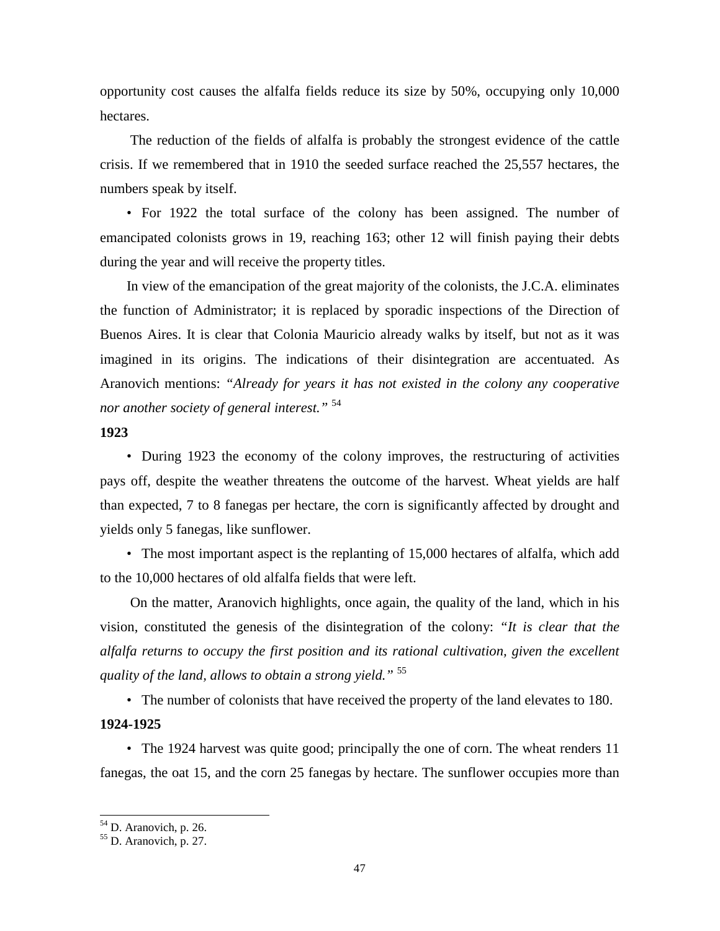opportunity cost causes the alfalfa fields reduce its size by 50%, occupying only 10,000 hectares.

 The reduction of the fields of alfalfa is probably the strongest evidence of the cattle crisis. If we remembered that in 1910 the seeded surface reached the 25,557 hectares, the numbers speak by itself.

• For 1922 the total surface of the colony has been assigned. The number of emancipated colonists grows in 19, reaching 163; other 12 will finish paying their debts during the year and will receive the property titles.

In view of the emancipation of the great majority of the colonists, the J.C.A. eliminates the function of Administrator; it is replaced by sporadic inspections of the Direction of Buenos Aires. It is clear that Colonia Mauricio already walks by itself, but not as it was imagined in its origins. The indications of their disintegration are accentuated. As Aranovich mentions: *"Already for years it has not existed in the colony any cooperative nor another society of general interest."* <sup>54</sup>

#### **1923**

• During 1923 the economy of the colony improves, the restructuring of activities pays off, despite the weather threatens the outcome of the harvest. Wheat yields are half than expected, 7 to 8 fanegas per hectare, the corn is significantly affected by drought and yields only 5 fanegas, like sunflower.

• The most important aspect is the replanting of 15,000 hectares of alfalfa, which add to the 10,000 hectares of old alfalfa fields that were left.

 On the matter, Aranovich highlights, once again, the quality of the land, which in his vision, constituted the genesis of the disintegration of the colony: *"It is clear that the alfalfa returns to occupy the first position and its rational cultivation, given the excellent quality of the land, allows to obtain a strong yield."* <sup>55</sup>

• The number of colonists that have received the property of the land elevates to 180.

## **1924-1925**

l

• The 1924 harvest was quite good; principally the one of corn. The wheat renders 11 fanegas, the oat 15, and the corn 25 fanegas by hectare. The sunflower occupies more than

<sup>&</sup>lt;sup>54</sup> D. Aranovich, p. 26.

<sup>55</sup> D. Aranovich, p. 27.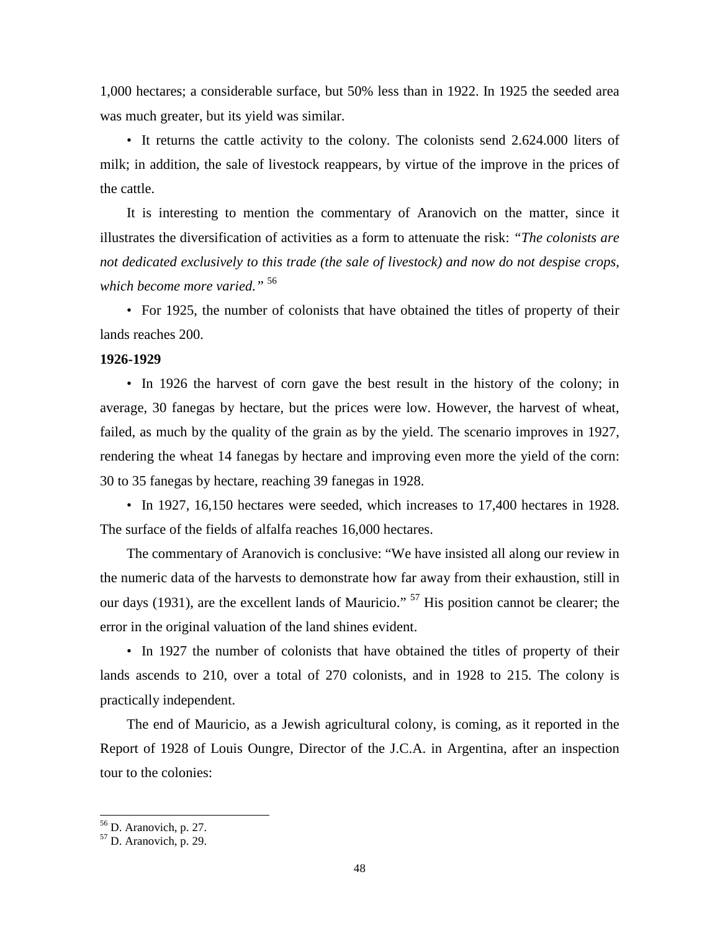1,000 hectares; a considerable surface, but 50% less than in 1922. In 1925 the seeded area was much greater, but its yield was similar.

• It returns the cattle activity to the colony. The colonists send 2.624.000 liters of milk; in addition, the sale of livestock reappears, by virtue of the improve in the prices of the cattle.

It is interesting to mention the commentary of Aranovich on the matter, since it illustrates the diversification of activities as a form to attenuate the risk: *"The colonists are not dedicated exclusively to this trade (the sale of livestock) and now do not despise crops, which become more varied."* <sup>56</sup>

• For 1925, the number of colonists that have obtained the titles of property of their lands reaches 200.

#### **1926-1929**

• In 1926 the harvest of corn gave the best result in the history of the colony; in average, 30 fanegas by hectare, but the prices were low. However, the harvest of wheat, failed, as much by the quality of the grain as by the yield. The scenario improves in 1927, rendering the wheat 14 fanegas by hectare and improving even more the yield of the corn: 30 to 35 fanegas by hectare, reaching 39 fanegas in 1928.

• In 1927, 16,150 hectares were seeded, which increases to 17,400 hectares in 1928. The surface of the fields of alfalfa reaches 16,000 hectares.

The commentary of Aranovich is conclusive: "We have insisted all along our review in the numeric data of the harvests to demonstrate how far away from their exhaustion, still in our days (1931), are the excellent lands of Mauricio." <sup>57</sup> His position cannot be clearer; the error in the original valuation of the land shines evident.

• In 1927 the number of colonists that have obtained the titles of property of their lands ascends to 210, over a total of 270 colonists, and in 1928 to 215. The colony is practically independent.

The end of Mauricio, as a Jewish agricultural colony, is coming, as it reported in the Report of 1928 of Louis Oungre, Director of the J.C.A. in Argentina, after an inspection tour to the colonies:

<sup>&</sup>lt;sup>56</sup> D. Aranovich, p. 27.

 $57$  D. Aranovich, p. 29.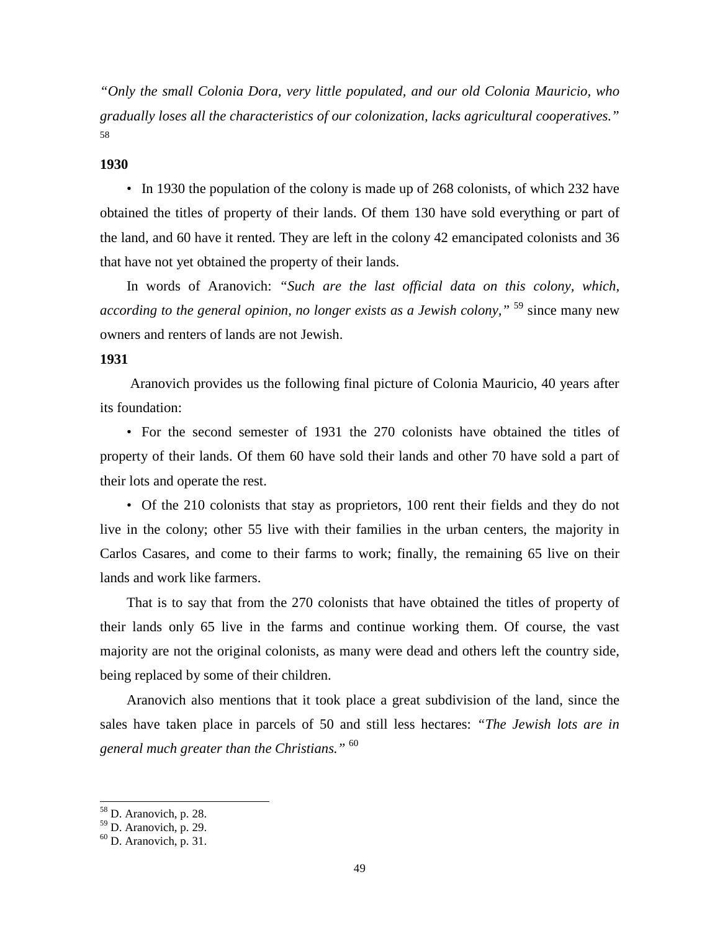*"Only the small Colonia Dora, very little populated, and our old Colonia Mauricio, who gradually loses all the characteristics of our colonization, lacks agricultural cooperatives."* 58

#### **1930**

• In 1930 the population of the colony is made up of 268 colonists, of which 232 have obtained the titles of property of their lands. Of them 130 have sold everything or part of the land, and 60 have it rented. They are left in the colony 42 emancipated colonists and 36 that have not yet obtained the property of their lands.

In words of Aranovich: *"Such are the last official data on this colony, which, according to the general opinion, no longer exists as a Jewish colony.*<sup>" 59</sup> since many new owners and renters of lands are not Jewish.

#### **1931**

 Aranovich provides us the following final picture of Colonia Mauricio, 40 years after its foundation:

• For the second semester of 1931 the 270 colonists have obtained the titles of property of their lands. Of them 60 have sold their lands and other 70 have sold a part of their lots and operate the rest.

• Of the 210 colonists that stay as proprietors, 100 rent their fields and they do not live in the colony; other 55 live with their families in the urban centers, the majority in Carlos Casares, and come to their farms to work; finally, the remaining 65 live on their lands and work like farmers.

That is to say that from the 270 colonists that have obtained the titles of property of their lands only 65 live in the farms and continue working them. Of course, the vast majority are not the original colonists, as many were dead and others left the country side, being replaced by some of their children.

Aranovich also mentions that it took place a great subdivision of the land, since the sales have taken place in parcels of 50 and still less hectares: *"The Jewish lots are in general much greater than the Christians."* <sup>60</sup>

-

<sup>&</sup>lt;sup>58</sup> D. Aranovich, p. 28.

<sup>59</sup> D. Aranovich, p. 29.

 $60$  D. Aranovich, p. 31.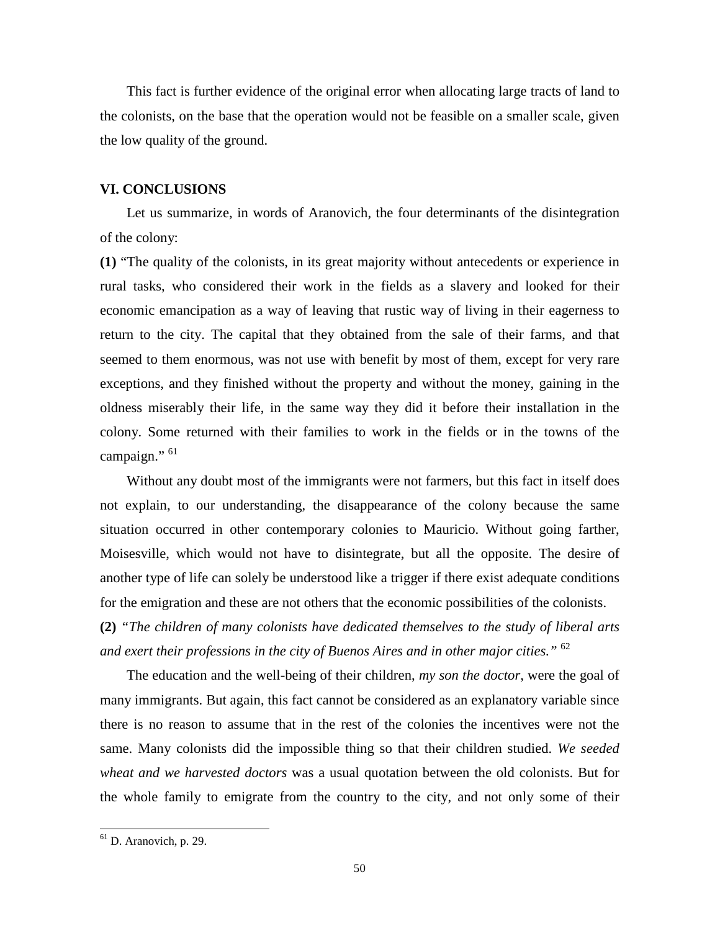This fact is further evidence of the original error when allocating large tracts of land to the colonists, on the base that the operation would not be feasible on a smaller scale, given the low quality of the ground.

#### **VI. CONCLUSIONS**

Let us summarize, in words of Aranovich, the four determinants of the disintegration of the colony:

**(1)** "The quality of the colonists, in its great majority without antecedents or experience in rural tasks, who considered their work in the fields as a slavery and looked for their economic emancipation as a way of leaving that rustic way of living in their eagerness to return to the city. The capital that they obtained from the sale of their farms, and that seemed to them enormous, was not use with benefit by most of them, except for very rare exceptions, and they finished without the property and without the money, gaining in the oldness miserably their life, in the same way they did it before their installation in the colony. Some returned with their families to work in the fields or in the towns of the campaign."<sup>61</sup>

Without any doubt most of the immigrants were not farmers, but this fact in itself does not explain, to our understanding, the disappearance of the colony because the same situation occurred in other contemporary colonies to Mauricio. Without going farther, Moisesville, which would not have to disintegrate, but all the opposite. The desire of another type of life can solely be understood like a trigger if there exist adequate conditions for the emigration and these are not others that the economic possibilities of the colonists.

**(2)** *"The children of many colonists have dedicated themselves to the study of liberal arts and exert their professions in the city of Buenos Aires and in other major cities."* <sup>62</sup>

The education and the well-being of their children, *my son the doctor*, were the goal of many immigrants. But again, this fact cannot be considered as an explanatory variable since there is no reason to assume that in the rest of the colonies the incentives were not the same. Many colonists did the impossible thing so that their children studied. *We seeded wheat and we harvested doctors* was a usual quotation between the old colonists. But for the whole family to emigrate from the country to the city, and not only some of their

 $61$  D. Aranovich, p. 29.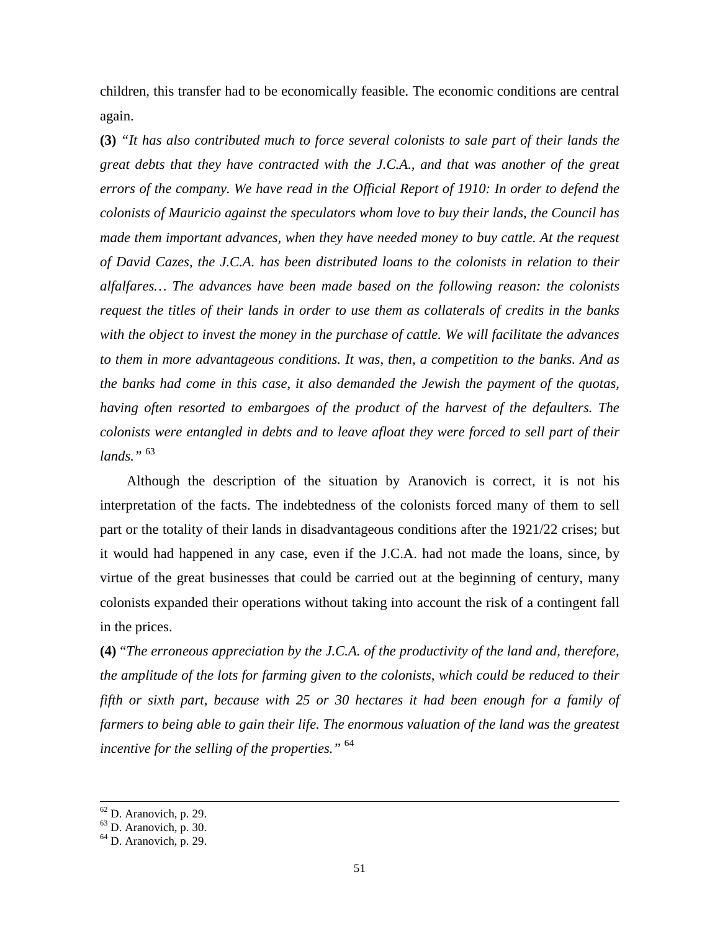children, this transfer had to be economically feasible. The economic conditions are central again.

**(3)** *"It has also contributed much to force several colonists to sale part of their lands the great debts that they have contracted with the J.C.A., and that was another of the great errors of the company. We have read in the Official Report of 1910: In order to defend the colonists of Mauricio against the speculators whom love to buy their lands, the Council has made them important advances, when they have needed money to buy cattle. At the request of David Cazes, the J.C.A. has been distributed loans to the colonists in relation to their alfalfares… The advances have been made based on the following reason: the colonists request the titles of their lands in order to use them as collaterals of credits in the banks with the object to invest the money in the purchase of cattle. We will facilitate the advances to them in more advantageous conditions. It was, then, a competition to the banks. And as the banks had come in this case, it also demanded the Jewish the payment of the quotas, having often resorted to embargoes of the product of the harvest of the defaulters. The colonists were entangled in debts and to leave afloat they were forced to sell part of their lands."* <sup>63</sup>

Although the description of the situation by Aranovich is correct, it is not his interpretation of the facts. The indebtedness of the colonists forced many of them to sell part or the totality of their lands in disadvantageous conditions after the 1921/22 crises; but it would had happened in any case, even if the J.C.A. had not made the loans, since, by virtue of the great businesses that could be carried out at the beginning of century, many colonists expanded their operations without taking into account the risk of a contingent fall in the prices.

**(4)** "*The erroneous appreciation by the J.C.A. of the productivity of the land and, therefore, the amplitude of the lots for farming given to the colonists, which could be reduced to their fifth or sixth part, because with 25 or 30 hectares it had been enough for a family of farmers to being able to gain their life. The enormous valuation of the land was the greatest incentive for the selling of the properties."* <sup>64</sup>

-

 $62$  D. Aranovich, p. 29.

<sup>63</sup> D. Aranovich, p. 30.

 $64$  D. Aranovich, p. 29.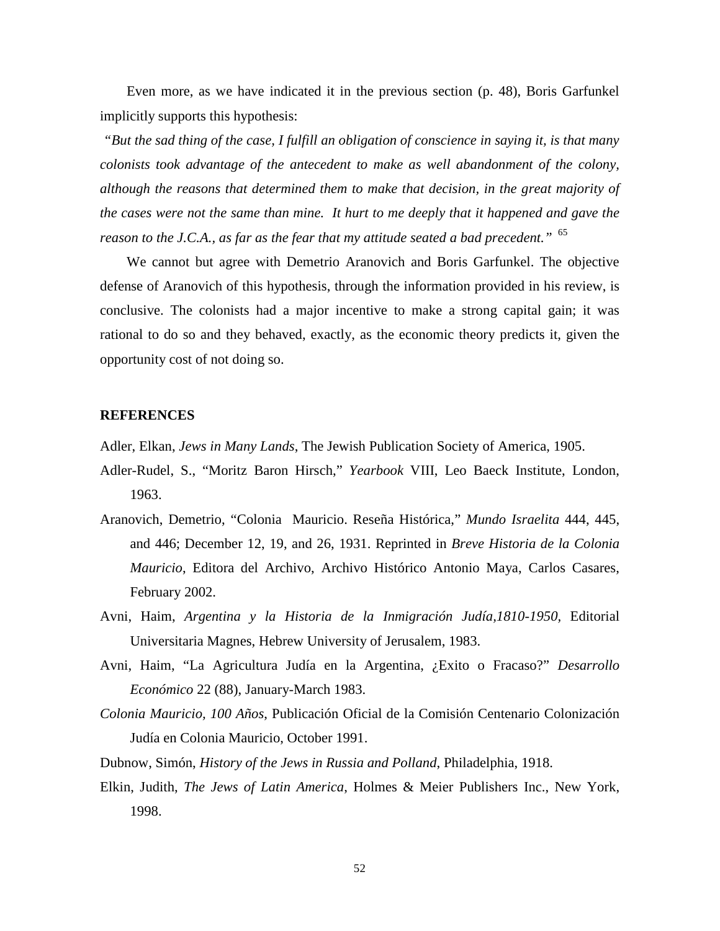Even more, as we have indicated it in the previous section (p. 48), Boris Garfunkel implicitly supports this hypothesis:

 *"But the sad thing of the case, I fulfill an obligation of conscience in saying it, is that many colonists took advantage of the antecedent to make as well abandonment of the colony, although the reasons that determined them to make that decision, in the great majority of the cases were not the same than mine. It hurt to me deeply that it happened and gave the reason to the J.C.A., as far as the fear that my attitude seated a bad precedent.*" <sup>65</sup>

We cannot but agree with Demetrio Aranovich and Boris Garfunkel. The objective defense of Aranovich of this hypothesis, through the information provided in his review, is conclusive. The colonists had a major incentive to make a strong capital gain; it was rational to do so and they behaved, exactly, as the economic theory predicts it, given the opportunity cost of not doing so.

#### **REFERENCES**

Adler, Elkan, *Jews in Many Lands*, The Jewish Publication Society of America, 1905.

- Adler-Rudel, S., "Moritz Baron Hirsch," *Yearbook* VIII, Leo Baeck Institute, London, 1963.
- Aranovich, Demetrio, "Colonia Mauricio. Reseña Histórica," *Mundo Israelita* 444, 445, and 446; December 12, 19, and 26, 1931. Reprinted in *Breve Historia de la Colonia Mauricio*, Editora del Archivo, Archivo Histórico Antonio Maya, Carlos Casares, February 2002.
- Avni, Haim, *Argentina y la Historia de la Inmigración Judía,1810-1950,* Editorial Universitaria Magnes, Hebrew University of Jerusalem, 1983.
- Avni, Haim, "La Agricultura Judía en la Argentina, ¿Exito o Fracaso?" *Desarrollo Económico* 22 (88), January-March 1983.
- *Colonia Mauricio, 100 Años*, Publicación Oficial de la Comisión Centenario Colonización Judía en Colonia Mauricio, October 1991.
- Dubnow, Simón, *History of the Jews in Russia and Polland*, Philadelphia, 1918.
- Elkin, Judith, *The Jews of Latin America*, Holmes & Meier Publishers Inc., New York, 1998.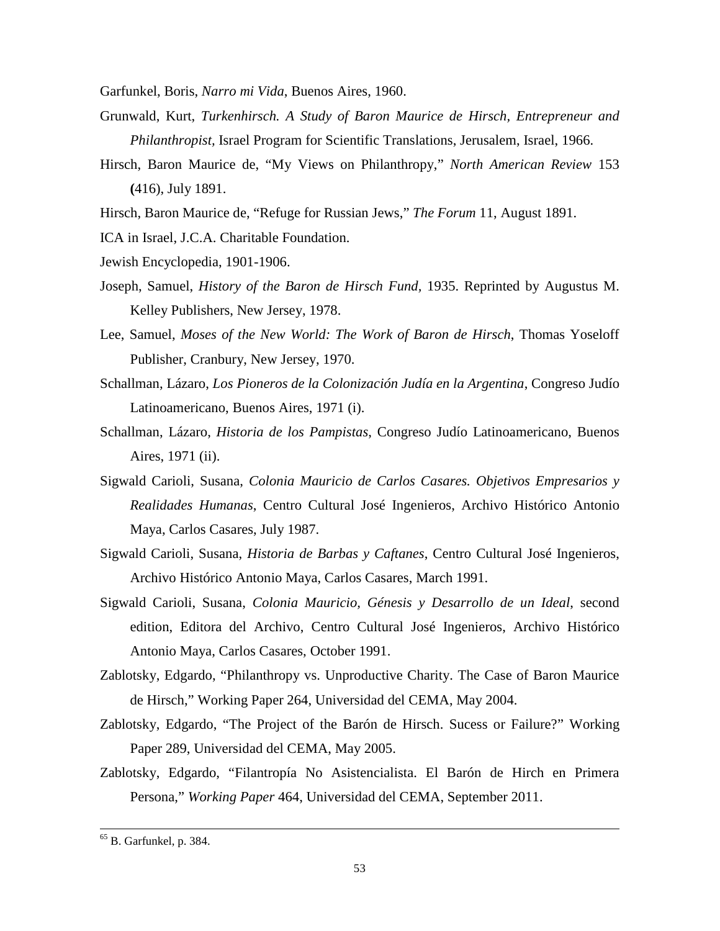Garfunkel, Boris, *Narro mi Vida*, Buenos Aires, 1960.

- Grunwald, Kurt, *Turkenhirsch. A Study of Baron Maurice de Hirsch, Entrepreneur and Philanthropist,* Israel Program for Scientific Translations, Jerusalem, Israel, 1966.
- Hirsch, Baron Maurice de, "My Views on Philanthropy," *North American Review* 153 **(**416), July 1891.
- Hirsch, Baron Maurice de, "Refuge for Russian Jews," *The Forum* 11, August 1891.

ICA in Israel, J.C.A. Charitable Foundation.

- Jewish Encyclopedia, 1901-1906.
- Joseph, Samuel, *History of the Baron de Hirsch Fund,* 1935. Reprinted by Augustus M. Kelley Publishers, New Jersey, 1978.
- Lee, Samuel, *Moses of the New World: The Work of Baron de Hirsch*, Thomas Yoseloff Publisher, Cranbury, New Jersey, 1970.
- Schallman, Lázaro, *Los Pioneros de la Colonización Judía en la Argentina*, Congreso Judío Latinoamericano, Buenos Aires, 1971 (i).
- Schallman, Lázaro, *Historia de los Pampistas*, Congreso Judío Latinoamericano, Buenos Aires, 1971 (ii).
- Sigwald Carioli, Susana, *Colonia Mauricio de Carlos Casares. Objetivos Empresarios y Realidades Humanas*, Centro Cultural José Ingenieros, Archivo Histórico Antonio Maya, Carlos Casares, July 1987.
- Sigwald Carioli, Susana, *Historia de Barbas y Caftanes*, Centro Cultural José Ingenieros, Archivo Histórico Antonio Maya, Carlos Casares, March 1991.
- Sigwald Carioli, Susana, *Colonia Mauricio, Génesis y Desarrollo de un Ideal*, second edition, Editora del Archivo, Centro Cultural José Ingenieros, Archivo Histórico Antonio Maya, Carlos Casares, October 1991.
- Zablotsky, Edgardo, "Philanthropy vs. Unproductive Charity. The Case of Baron Maurice de Hirsch," Working Paper 264, Universidad del CEMA, May 2004.
- Zablotsky, Edgardo, "The Project of the Barón de Hirsch. Sucess or Failure?" Working Paper 289, Universidad del CEMA, May 2005.
- Zablotsky, Edgardo, "Filantropía No Asistencialista. El Barón de Hirch en Primera Persona," *Working Paper* 464, Universidad del CEMA, September 2011.

1

 $<sup>65</sup>$  B. Garfunkel, p. 384.</sup>